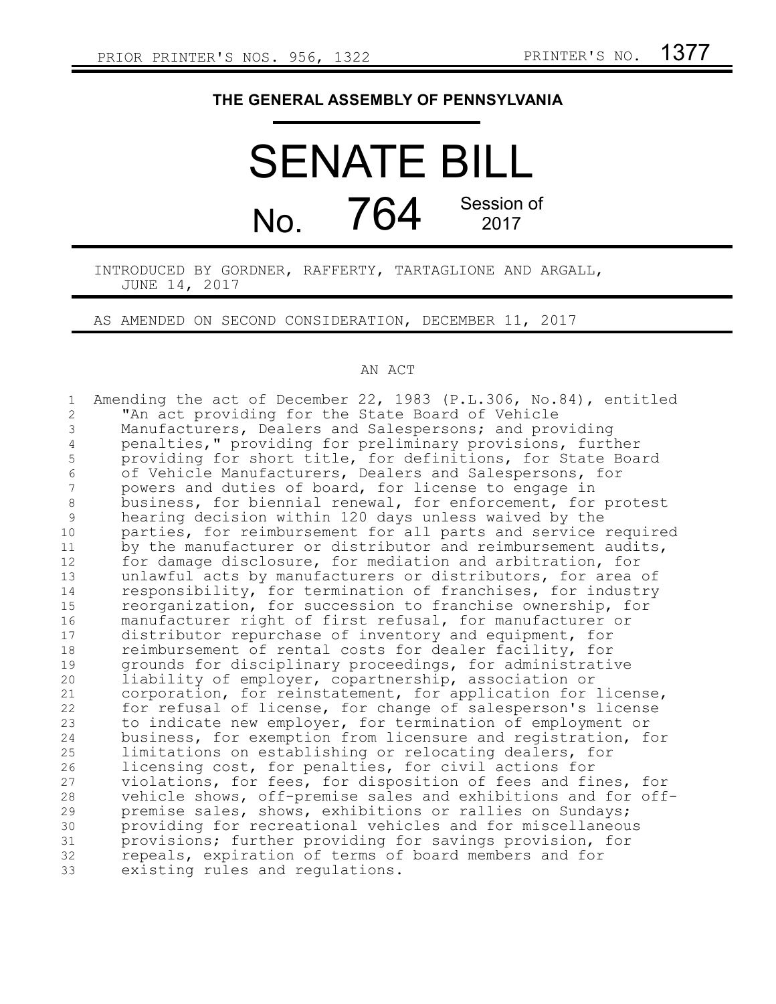## **THE GENERAL ASSEMBLY OF PENNSYLVANIA**

## SENATE BILL No. 764 Session of 2017

INTRODUCED BY GORDNER, RAFFERTY, TARTAGLIONE AND ARGALL, JUNE 14, 2017

AS AMENDED ON SECOND CONSIDERATION, DECEMBER 11, 2017

## AN ACT

| $\mathbf 1$    | Amending the act of December 22, 1983 (P.L.306, No.84), entitled |
|----------------|------------------------------------------------------------------|
| $\overline{c}$ | "An act providing for the State Board of Vehicle                 |
| 3              | Manufacturers, Dealers and Salespersons; and providing           |
| $\overline{4}$ | penalties," providing for preliminary provisions, further        |
| 5              | providing for short title, for definitions, for State Board      |
| 6              | of Vehicle Manufacturers, Dealers and Salespersons, for          |
| 7              | powers and duties of board, for license to engage in             |
| $\,8\,$        | business, for biennial renewal, for enforcement, for protest     |
| 9              | hearing decision within 120 days unless waived by the            |
| $10$           | parties, for reimbursement for all parts and service required    |
| 11             | by the manufacturer or distributor and reimbursement audits,     |
| 12             | for damage disclosure, for mediation and arbitration, for        |
| 13             | unlawful acts by manufacturers or distributors, for area of      |
| 14             | responsibility, for termination of franchises, for industry      |
| 15             | reorganization, for succession to franchise ownership, for       |
| 16             | manufacturer right of first refusal, for manufacturer or         |
| 17             | distributor repurchase of inventory and equipment, for           |
| 18             | reimbursement of rental costs for dealer facility, for           |
| 19             | grounds for disciplinary proceedings, for administrative         |
| 20             | liability of employer, copartnership, association or             |
| 21             | corporation, for reinstatement, for application for license,     |
| 22             | for refusal of license, for change of salesperson's license      |
| 23             | to indicate new employer, for termination of employment or       |
| 24             | business, for exemption from licensure and registration, for     |
| 25             | limitations on establishing or relocating dealers, for           |
| 26             | licensing cost, for penalties, for civil actions for             |
| 27             | violations, for fees, for disposition of fees and fines, for     |
| 28             | vehicle shows, off-premise sales and exhibitions and for off-    |
| 29             | premise sales, shows, exhibitions or rallies on Sundays;         |
| 30             | providing for recreational vehicles and for miscellaneous        |
| 31             | provisions; further providing for savings provision, for         |
| 32             | repeals, expiration of terms of board members and for            |
| 33             | existing rules and regulations.                                  |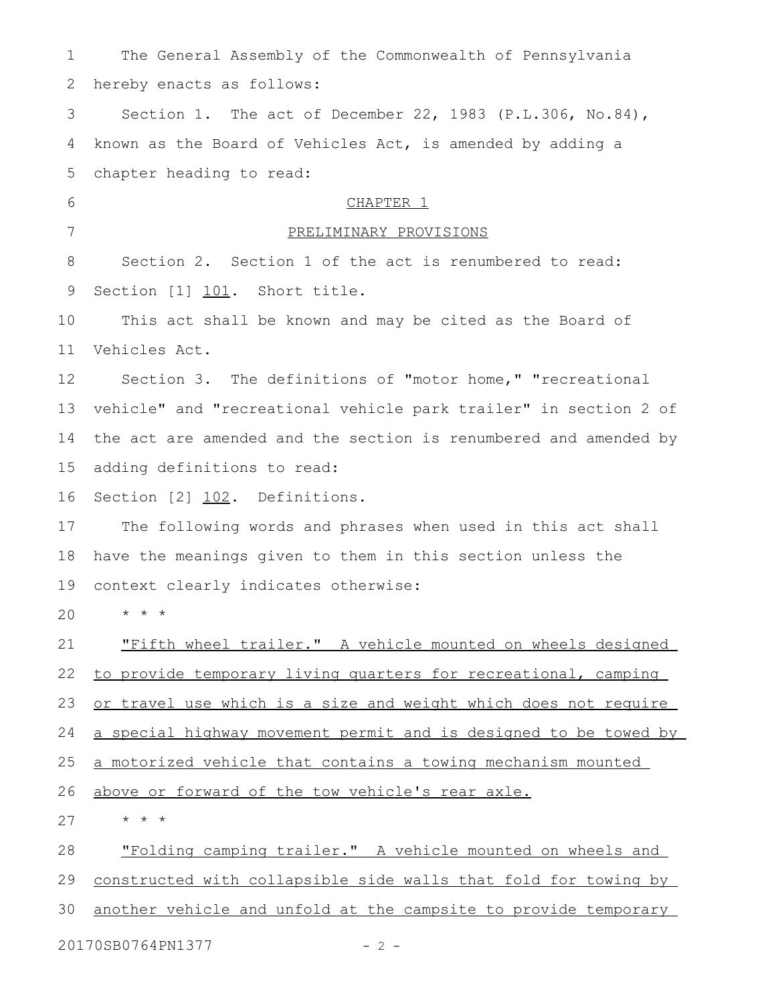| $\mathbf 1$     | The General Assembly of the Commonwealth of Pennsylvania         |
|-----------------|------------------------------------------------------------------|
| 2               | hereby enacts as follows:                                        |
| 3               | Section 1. The act of December 22, 1983 (P.L.306, No.84),        |
| 4               | known as the Board of Vehicles Act, is amended by adding a       |
| 5               | chapter heading to read:                                         |
| 6               | CHAPTER 1                                                        |
| $7\phantom{.0}$ | PRELIMINARY PROVISIONS                                           |
| 8               | Section 2. Section 1 of the act is renumbered to read:           |
| 9               | Section [1] 101. Short title.                                    |
| 10              | This act shall be known and may be cited as the Board of         |
| 11              | Vehicles Act.                                                    |
| 12              | Section 3. The definitions of "motor home," "recreational        |
| 13              | vehicle" and "recreational vehicle park trailer" in section 2 of |
| 14              | the act are amended and the section is renumbered and amended by |
| 15              | adding definitions to read:                                      |
| 16              | Section [2] 102. Definitions.                                    |
| 17              | The following words and phrases when used in this act shall      |
| 18              | have the meanings given to them in this section unless the       |
| 19              | context clearly indicates otherwise:                             |
|                 | 20 $\qquad \qquad \star \qquad \star$ $\qquad \star$             |
| 21              | "Fifth wheel trailer." A vehicle mounted on wheels designed      |
| 22              | to provide temporary living quarters for recreational, camping   |
| 23              | or travel use which is a size and weight which does not require  |
| 24              | a special highway movement permit and is designed to be towed by |
| 25              | a motorized vehicle that contains a towing mechanism mounted     |
| 26              | above or forward of the tow vehicle's rear axle.                 |
| 27              | $\star$ $\star$ $\star$                                          |
| 28              | "Folding camping trailer." A vehicle mounted on wheels and       |
| 29              | constructed with collapsible side walls that fold for towing by  |
| 30              | another vehicle and unfold at the campsite to provide temporary  |

20170SB0764PN1377 - 2 -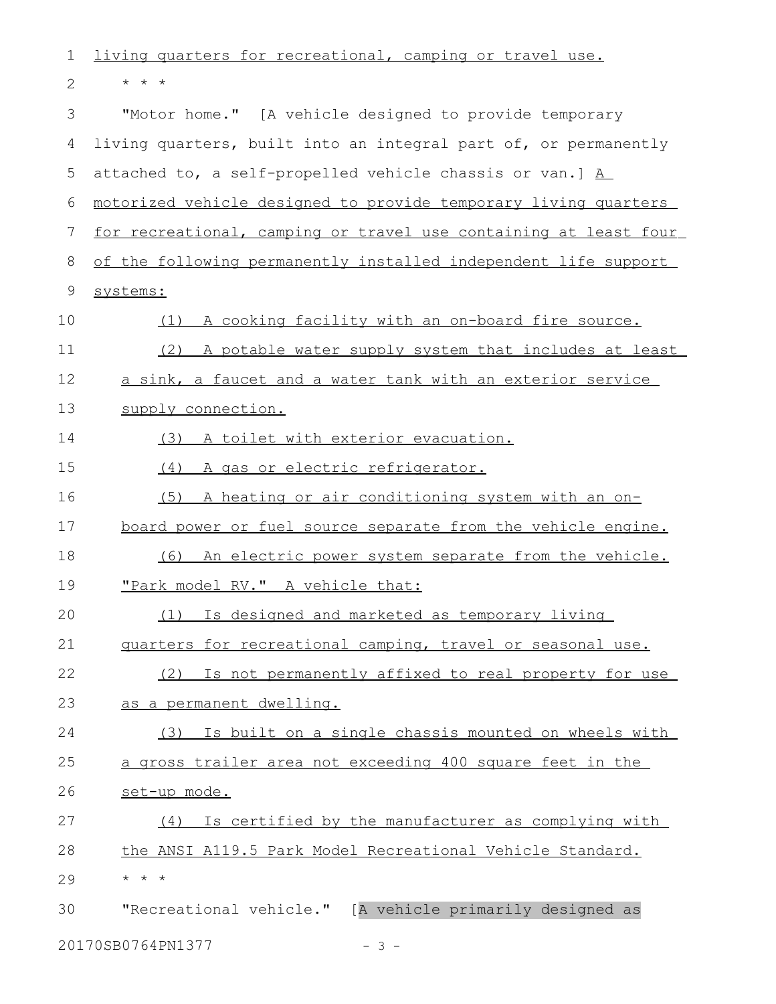| 1            | living quarters for recreational, camping or travel use.               |
|--------------|------------------------------------------------------------------------|
| $\mathbf{2}$ | $\star$ $\star$ $\star$                                                |
| 3            | "Motor home." [A vehicle designed to provide temporary                 |
| 4            | living quarters, built into an integral part of, or permanently        |
| 5            | attached to, a self-propelled vehicle chassis or van.] $\underline{A}$ |
| 6            | motorized vehicle designed to provide temporary living quarters        |
| 7            | for recreational, camping or travel use containing at least four       |
| 8            | of the following permanently installed independent life support        |
| 9            | systems:                                                               |
| 10           | A cooking facility with an on-board fire source.<br>(1)                |
| 11           | (2)<br>A potable water supply system that includes at least            |
| 12           | a sink, a faucet and a water tank with an exterior service             |
| 13           | supply connection.                                                     |
| 14           | (3) A toilet with exterior evacuation.                                 |
| 15           | A gas or electric refrigerator.<br>(4)                                 |
| 16           | (5)<br>A heating or air conditioning system with an on-                |
| 17           | board power or fuel source separate from the vehicle engine.           |
| 18           | An electric power system separate from the vehicle.<br>(6)             |
| 19           | "Park model RV." A vehicle that:                                       |
| 20           | (1) Is designed and marketed as temporary living                       |
| 21           | quarters for recreational camping, travel or seasonal use.             |
| 22           | (2) Is not permanently affixed to real property for use                |
| 23           | as a permanent dwelling.                                               |
| 24           | (3) Is built on a single chassis mounted on wheels with                |
| 25           | a gross trailer area not exceeding 400 square feet in the              |
| 26           | set-up mode.                                                           |
| 27           | Is certified by the manufacturer as complying with<br>(4)              |
| 28           | the ANSI A119.5 Park Model Recreational Vehicle Standard.              |
| 29           | $\star$ $\star$ $\star$                                                |
| 30           | "Recreational vehicle." [A vehicle primarily designed as               |
|              | 20170SB0764PN1377<br>$-3 -$                                            |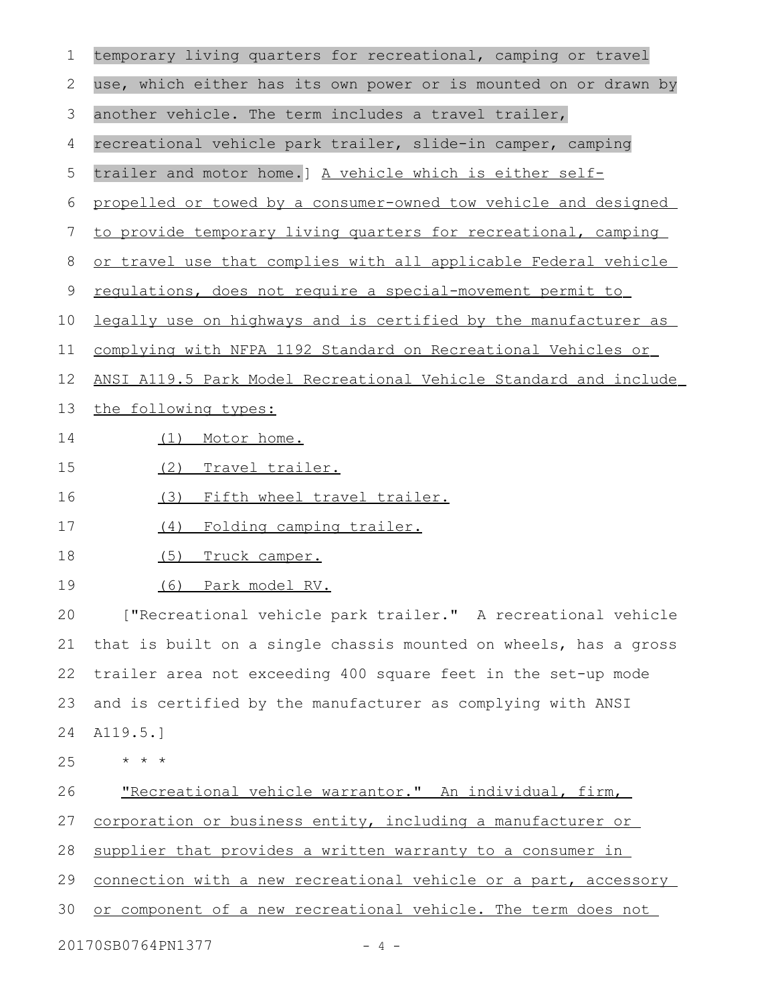| $\mathbf 1$ | temporary living quarters for recreational, camping or travel    |
|-------------|------------------------------------------------------------------|
| 2           | use, which either has its own power or is mounted on or drawn by |
| 3           | another vehicle. The term includes a travel trailer,             |
| 4           | recreational vehicle park trailer, slide-in camper, camping      |
| 5           | trailer and motor home.] A vehicle which is either self-         |
| 6           | propelled or towed by a consumer-owned tow vehicle and designed  |
| 7           | to provide temporary living quarters for recreational, camping   |
| 8           | or travel use that complies with all applicable Federal vehicle  |
| $\mathsf 9$ | requlations, does not require a special-movement permit to       |
| 10          | legally use on highways and is certified by the manufacturer as  |
| 11          | complying with NFPA 1192 Standard on Recreational Vehicles or    |
| 12          | ANSI A119.5 Park Model Recreational Vehicle Standard and include |
| 13          | the following types:                                             |
| 14          | Motor home.<br>(1)                                               |
| 15          | (2)<br>Travel trailer.                                           |
| 16          | Fifth wheel travel trailer.<br>(3)                               |
| 17          | Folding camping trailer.<br>(4)                                  |
| 18          | (5)<br>Truck camper.                                             |
| 19          | (6)<br><u>Park model RV.</u>                                     |
| 20          | ["Recreational vehicle park trailer." A recreational vehicle     |
| 21          | that is built on a single chassis mounted on wheels, has a gross |
| 22          | trailer area not exceeding 400 square feet in the set-up mode    |
| 23          | and is certified by the manufacturer as complying with ANSI      |
| 24          | A119.5.]                                                         |
| 25          | $\star$ $\star$ $\star$                                          |
| 26          | "Recreational vehicle warrantor." An individual, firm,           |
| 27          | corporation or business entity, including a manufacturer or      |
| 28          | supplier that provides a written warranty to a consumer in       |
| 29          | connection with a new recreational vehicle or a part, accessory  |
| 30          | or component of a new recreational vehicle. The term does not    |
|             | 20170SB0764PN1377<br>-4-                                         |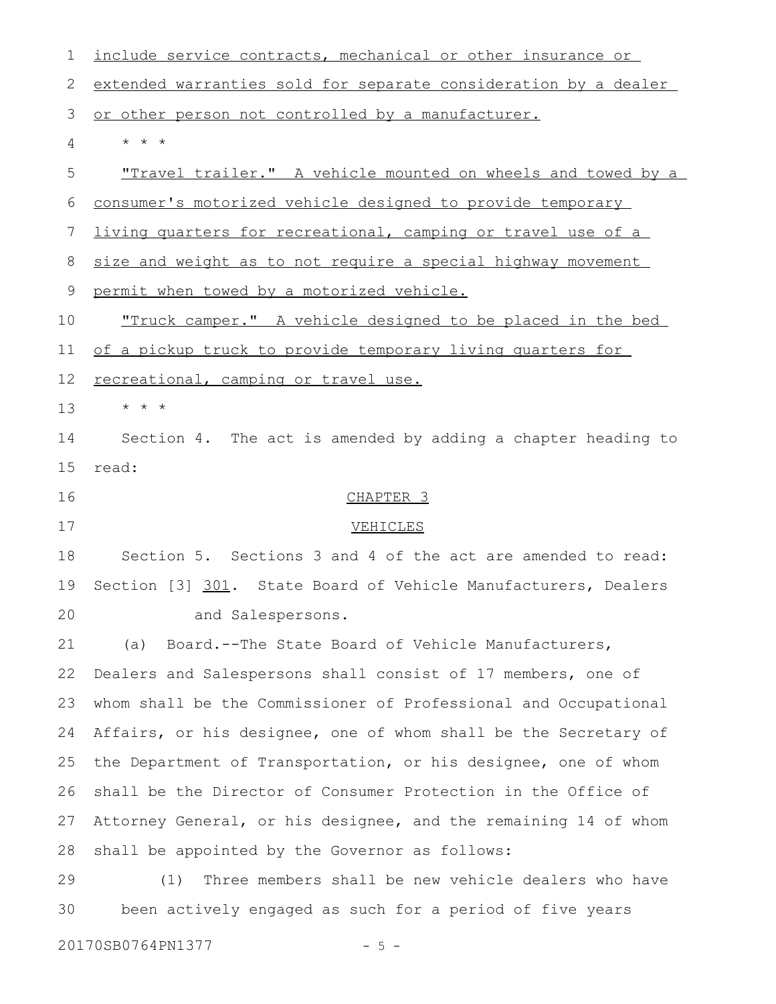| 1  | include service contracts, mechanical or other insurance or         |
|----|---------------------------------------------------------------------|
| 2  | extended warranties sold for separate consideration by a dealer     |
| 3  | or other person not controlled by a manufacturer.                   |
| 4  | $\star$ $\star$ $\star$                                             |
| 5  | "Travel trailer." A vehicle mounted on wheels and towed by a        |
| 6  | consumer's motorized vehicle designed to provide temporary          |
| 7  | <u>living quarters for recreational, camping or travel use of a</u> |
| 8  | size and weight as to not require a special highway movement        |
| 9  | permit when towed by a motorized vehicle.                           |
| 10 | <u>"Truck camper." A vehicle designed to be placed in the bed</u>   |
| 11 | of a pickup truck to provide temporary living quarters for          |
| 12 | recreational, camping or travel use.                                |
| 13 | $\star$ $\star$ $\star$                                             |
| 14 | Section 4. The act is amended by adding a chapter heading to        |
| 15 | read:                                                               |
| 16 | CHAPTER <sub>3</sub>                                                |
| 17 | VEHICLES                                                            |
| 18 | Section 5. Sections 3 and 4 of the act are amended to read:         |
| 19 | Section [3] 301. State Board of Vehicle Manufacturers, Dealers      |
| 20 | and Salespersons.                                                   |
| 21 | Board.--The State Board of Vehicle Manufacturers,<br>(a)            |
| 22 | Dealers and Salespersons shall consist of 17 members, one of        |
| 23 | whom shall be the Commissioner of Professional and Occupational     |
| 24 | Affairs, or his designee, one of whom shall be the Secretary of     |
| 25 | the Department of Transportation, or his designee, one of whom      |
| 26 | shall be the Director of Consumer Protection in the Office of       |
| 27 | Attorney General, or his designee, and the remaining 14 of whom     |
| 28 | shall be appointed by the Governor as follows:                      |
| 29 | Three members shall be new vehicle dealers who have<br>(1)          |
| 30 | been actively engaged as such for a period of five years            |
|    |                                                                     |

20170SB0764PN1377 - 5 -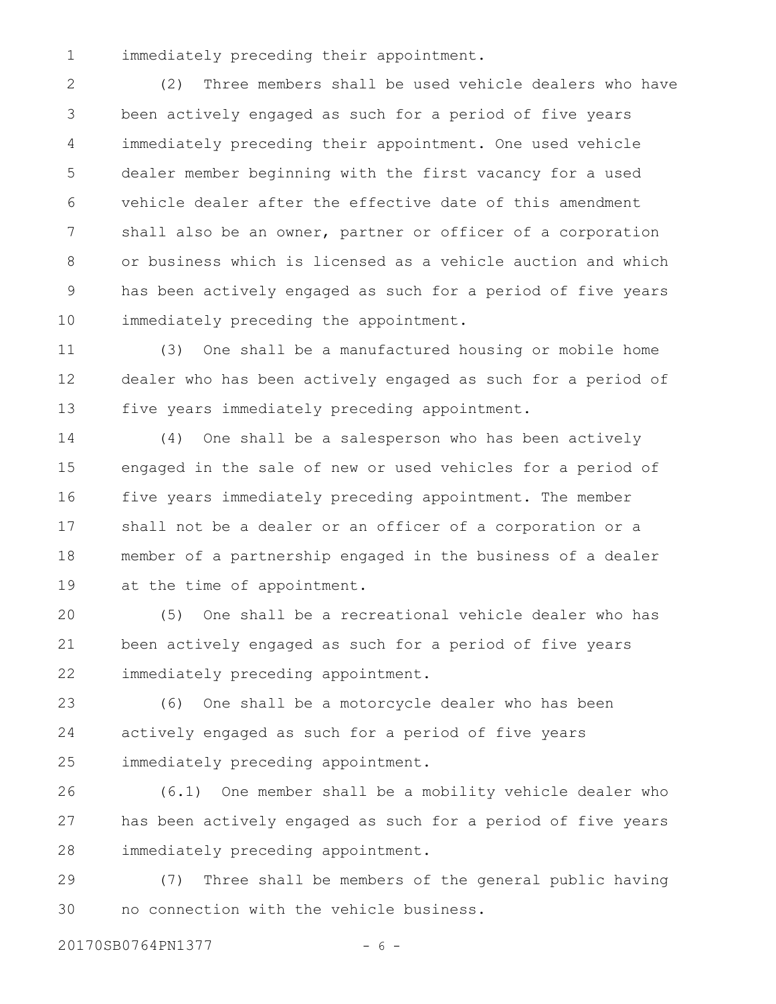immediately preceding their appointment. 1

(2) Three members shall be used vehicle dealers who have been actively engaged as such for a period of five years immediately preceding their appointment. One used vehicle dealer member beginning with the first vacancy for a used vehicle dealer after the effective date of this amendment shall also be an owner, partner or officer of a corporation or business which is licensed as a vehicle auction and which has been actively engaged as such for a period of five years immediately preceding the appointment. 2 3 4 5 6 7 8 9 10

(3) One shall be a manufactured housing or mobile home dealer who has been actively engaged as such for a period of five years immediately preceding appointment. 11 12 13

(4) One shall be a salesperson who has been actively engaged in the sale of new or used vehicles for a period of five years immediately preceding appointment. The member shall not be a dealer or an officer of a corporation or a member of a partnership engaged in the business of a dealer at the time of appointment. 14 15 16 17 18 19

(5) One shall be a recreational vehicle dealer who has been actively engaged as such for a period of five years immediately preceding appointment. 20 21 22

(6) One shall be a motorcycle dealer who has been actively engaged as such for a period of five years immediately preceding appointment. 23 24 25

(6.1) One member shall be a mobility vehicle dealer who has been actively engaged as such for a period of five years immediately preceding appointment. 26 27 28

(7) Three shall be members of the general public having no connection with the vehicle business. 29 30

20170SB0764PN1377 - 6 -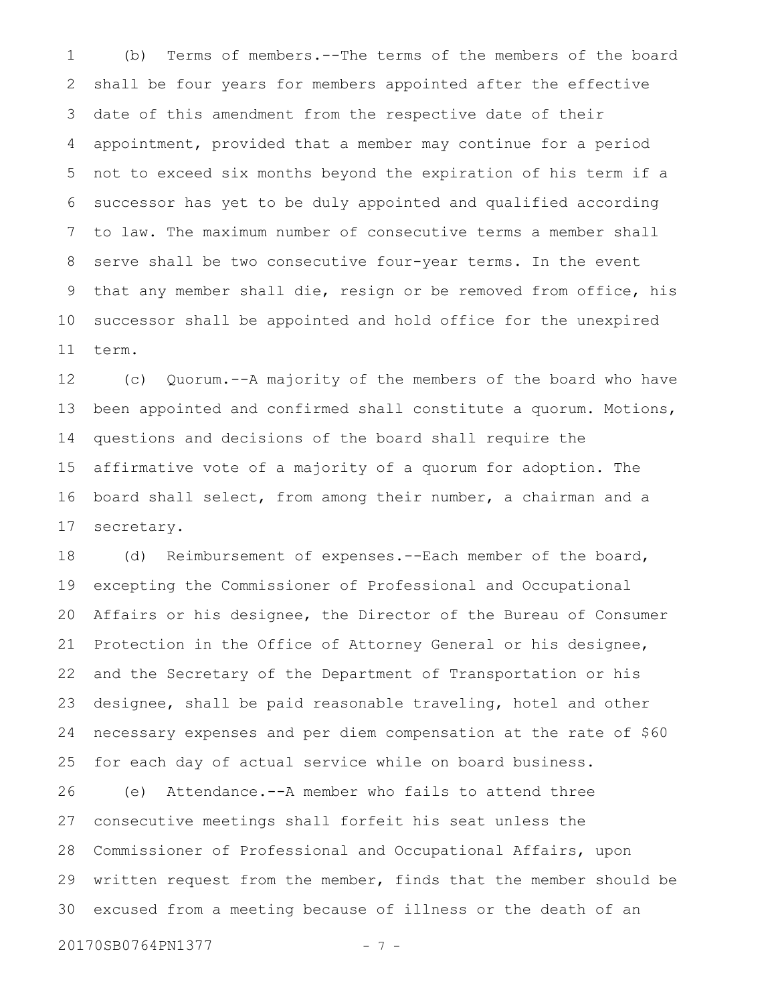(b) Terms of members.--The terms of the members of the board shall be four years for members appointed after the effective date of this amendment from the respective date of their appointment, provided that a member may continue for a period not to exceed six months beyond the expiration of his term if a successor has yet to be duly appointed and qualified according to law. The maximum number of consecutive terms a member shall serve shall be two consecutive four-year terms. In the event that any member shall die, resign or be removed from office, his successor shall be appointed and hold office for the unexpired term. 1 2 3 4 5 6 7 8 9 10 11

(c) Quorum.--A majority of the members of the board who have been appointed and confirmed shall constitute a quorum. Motions, questions and decisions of the board shall require the affirmative vote of a majority of a quorum for adoption. The board shall select, from among their number, a chairman and a secretary. 12 13 14 15 16 17

(d) Reimbursement of expenses.--Each member of the board, excepting the Commissioner of Professional and Occupational Affairs or his designee, the Director of the Bureau of Consumer Protection in the Office of Attorney General or his designee, and the Secretary of the Department of Transportation or his designee, shall be paid reasonable traveling, hotel and other necessary expenses and per diem compensation at the rate of \$60 for each day of actual service while on board business. 18 19 20 21 22 23 24 25

(e) Attendance.--A member who fails to attend three consecutive meetings shall forfeit his seat unless the Commissioner of Professional and Occupational Affairs, upon written request from the member, finds that the member should be excused from a meeting because of illness or the death of an 26 27 28 29 30

20170SB0764PN1377 - 7 -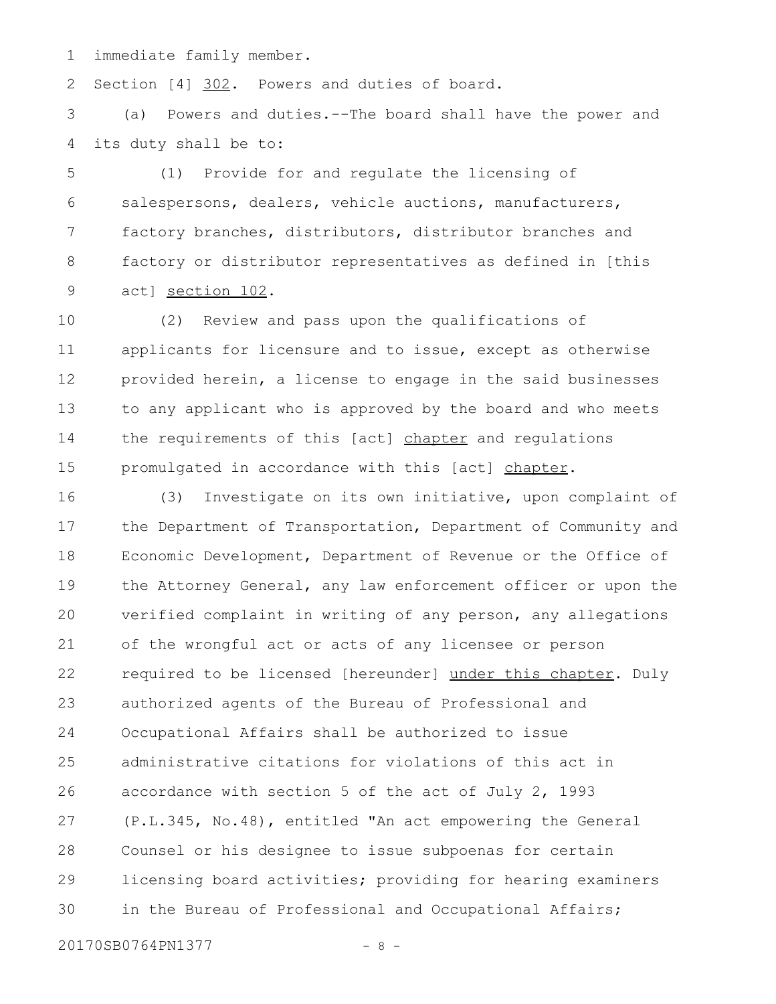immediate family member. 1

Section [4] 302. Powers and duties of board. 2

(a) Powers and duties.--The board shall have the power and its duty shall be to: 3 4

(1) Provide for and regulate the licensing of salespersons, dealers, vehicle auctions, manufacturers, factory branches, distributors, distributor branches and factory or distributor representatives as defined in [this act] section 102. 5 6 7 8 9

(2) Review and pass upon the qualifications of applicants for licensure and to issue, except as otherwise provided herein, a license to engage in the said businesses to any applicant who is approved by the board and who meets the requirements of this [act] chapter and regulations promulgated in accordance with this [act] chapter. 10 11 12 13 14 15

(3) Investigate on its own initiative, upon complaint of the Department of Transportation, Department of Community and Economic Development, Department of Revenue or the Office of the Attorney General, any law enforcement officer or upon the verified complaint in writing of any person, any allegations of the wrongful act or acts of any licensee or person required to be licensed [hereunder] under this chapter. Duly authorized agents of the Bureau of Professional and Occupational Affairs shall be authorized to issue administrative citations for violations of this act in accordance with section 5 of the act of July 2, 1993 (P.L.345, No.48), entitled "An act empowering the General Counsel or his designee to issue subpoenas for certain licensing board activities; providing for hearing examiners in the Bureau of Professional and Occupational Affairs; 16 17 18 19 20 21 22 23 24 25 26 27 28 29 30

20170SB0764PN1377 - 8 -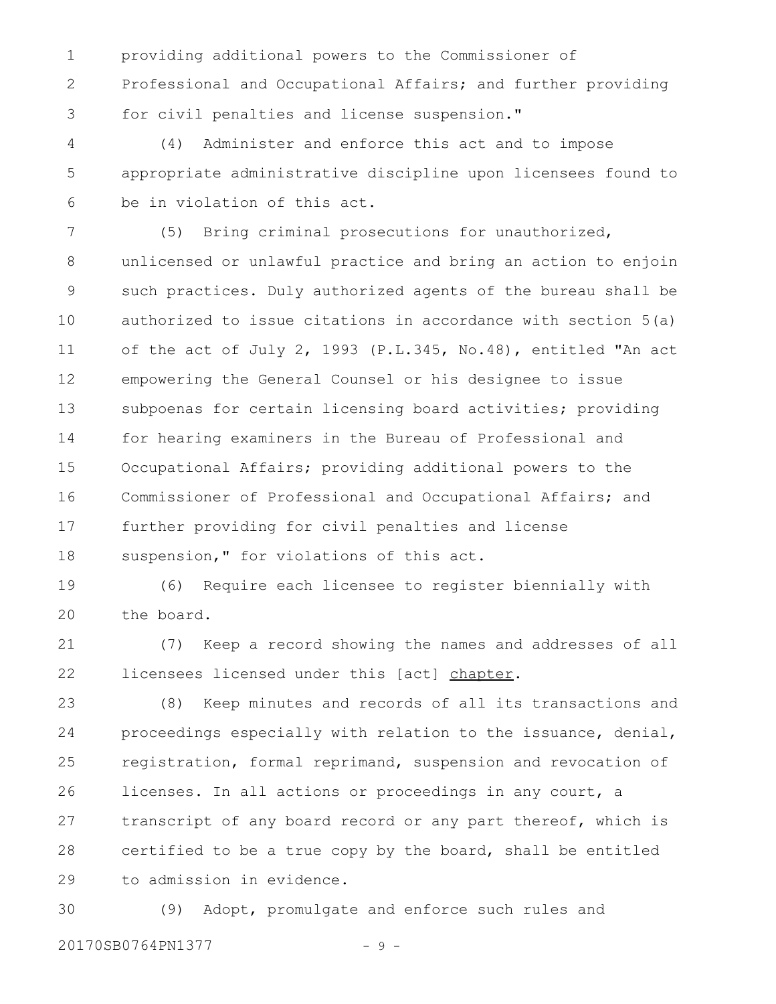providing additional powers to the Commissioner of Professional and Occupational Affairs; and further providing for civil penalties and license suspension." 1 2 3

(4) Administer and enforce this act and to impose appropriate administrative discipline upon licensees found to be in violation of this act. 4 5 6

(5) Bring criminal prosecutions for unauthorized, unlicensed or unlawful practice and bring an action to enjoin such practices. Duly authorized agents of the bureau shall be authorized to issue citations in accordance with section 5(a) of the act of July 2, 1993 (P.L.345, No.48), entitled "An act empowering the General Counsel or his designee to issue subpoenas for certain licensing board activities; providing for hearing examiners in the Bureau of Professional and Occupational Affairs; providing additional powers to the Commissioner of Professional and Occupational Affairs; and further providing for civil penalties and license suspension," for violations of this act. 7 8 9 10 11 12 13 14 15 16 17 18

(6) Require each licensee to register biennially with the board. 19 20

(7) Keep a record showing the names and addresses of all licensees licensed under this [act] chapter. 21 22

(8) Keep minutes and records of all its transactions and proceedings especially with relation to the issuance, denial, registration, formal reprimand, suspension and revocation of licenses. In all actions or proceedings in any court, a transcript of any board record or any part thereof, which is certified to be a true copy by the board, shall be entitled to admission in evidence. 23 24 25 26 27 28 29

(9) Adopt, promulgate and enforce such rules and 20170SB0764PN1377 - 9 -30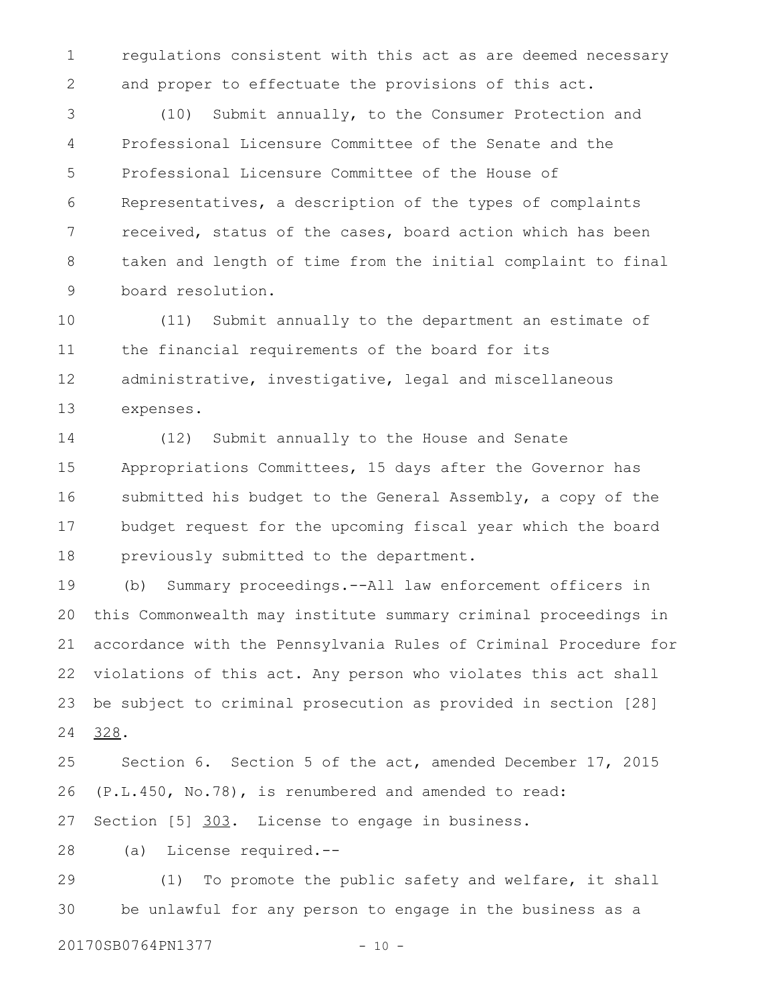regulations consistent with this act as are deemed necessary and proper to effectuate the provisions of this act. 1 2

(10) Submit annually, to the Consumer Protection and Professional Licensure Committee of the Senate and the Professional Licensure Committee of the House of Representatives, a description of the types of complaints received, status of the cases, board action which has been taken and length of time from the initial complaint to final board resolution. 3 4 5 6 7 8 9

(11) Submit annually to the department an estimate of the financial requirements of the board for its administrative, investigative, legal and miscellaneous expenses. 10 11 12 13

(12) Submit annually to the House and Senate Appropriations Committees, 15 days after the Governor has submitted his budget to the General Assembly, a copy of the budget request for the upcoming fiscal year which the board previously submitted to the department. 14 15 16 17 18

(b) Summary proceedings.--All law enforcement officers in this Commonwealth may institute summary criminal proceedings in accordance with the Pennsylvania Rules of Criminal Procedure for violations of this act. Any person who violates this act shall be subject to criminal prosecution as provided in section [28] 328. 19 20 21 22 23 24

Section 6. Section 5 of the act, amended December 17, 2015 (P.L.450, No.78), is renumbered and amended to read: Section [5] 303. License to engage in business. 25 26 27

(a) License required.-- 28

(1) To promote the public safety and welfare, it shall be unlawful for any person to engage in the business as a 29 30

20170SB0764PN1377 - 10 -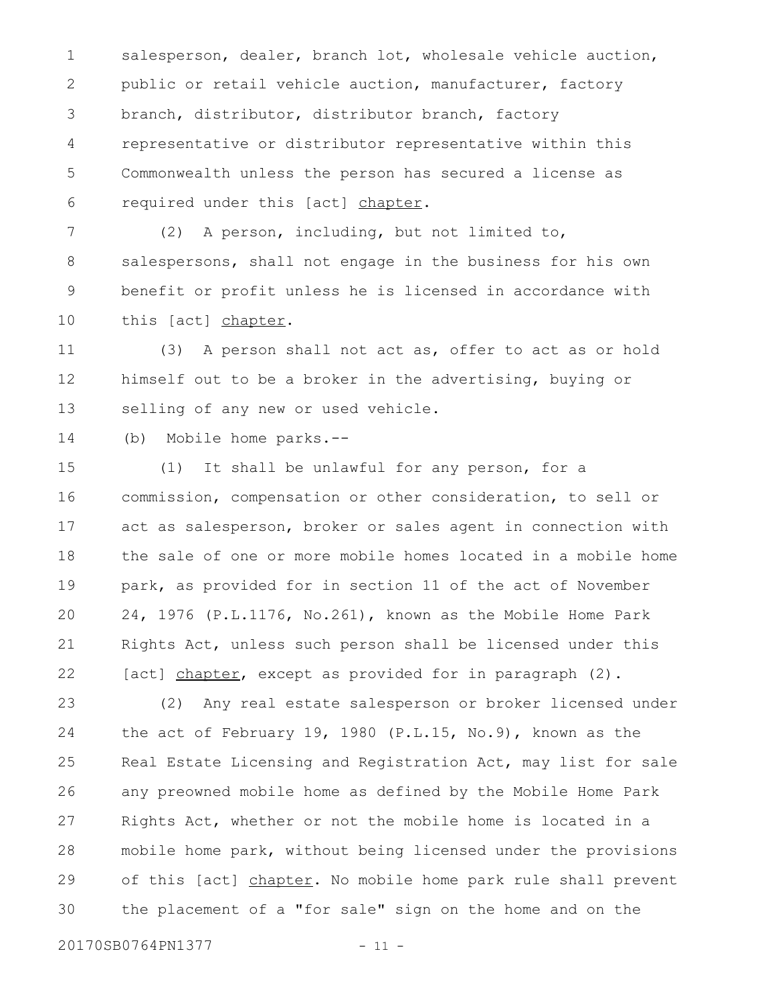salesperson, dealer, branch lot, wholesale vehicle auction, public or retail vehicle auction, manufacturer, factory branch, distributor, distributor branch, factory representative or distributor representative within this Commonwealth unless the person has secured a license as required under this [act] chapter. 1 2 3 4 5 6

(2) A person, including, but not limited to, salespersons, shall not engage in the business for his own benefit or profit unless he is licensed in accordance with this [act] chapter. 7 8 9 10

(3) A person shall not act as, offer to act as or hold himself out to be a broker in the advertising, buying or selling of any new or used vehicle. 11 12 13

(b) Mobile home parks.-- 14

(1) It shall be unlawful for any person, for a commission, compensation or other consideration, to sell or act as salesperson, broker or sales agent in connection with the sale of one or more mobile homes located in a mobile home park, as provided for in section 11 of the act of November 24, 1976 (P.L.1176, No.261), known as the Mobile Home Park Rights Act, unless such person shall be licensed under this [act] chapter, except as provided for in paragraph (2). 15 16 17 18 19 20 21 22

(2) Any real estate salesperson or broker licensed under the act of February 19, 1980 (P.L.15, No.9), known as the Real Estate Licensing and Registration Act, may list for sale any preowned mobile home as defined by the Mobile Home Park Rights Act, whether or not the mobile home is located in a mobile home park, without being licensed under the provisions of this [act] chapter. No mobile home park rule shall prevent the placement of a "for sale" sign on the home and on the 23 24 25 26 27 28 29 30

20170SB0764PN1377 - 11 -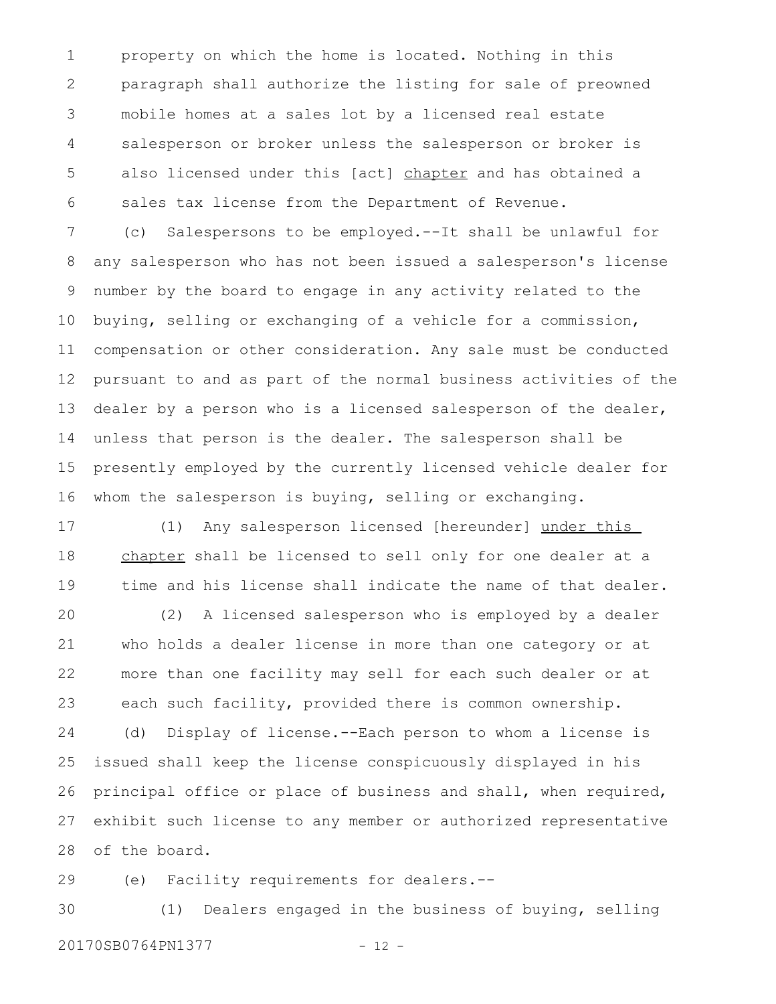property on which the home is located. Nothing in this paragraph shall authorize the listing for sale of preowned mobile homes at a sales lot by a licensed real estate salesperson or broker unless the salesperson or broker is also licensed under this [act] chapter and has obtained a sales tax license from the Department of Revenue. 1 2 3 4 5 6

(c) Salespersons to be employed.--It shall be unlawful for any salesperson who has not been issued a salesperson's license number by the board to engage in any activity related to the buying, selling or exchanging of a vehicle for a commission, compensation or other consideration. Any sale must be conducted pursuant to and as part of the normal business activities of the dealer by a person who is a licensed salesperson of the dealer, unless that person is the dealer. The salesperson shall be presently employed by the currently licensed vehicle dealer for whom the salesperson is buying, selling or exchanging. 7 8 9 10 11 12 13 14 15 16

(1) Any salesperson licensed [hereunder] under this chapter shall be licensed to sell only for one dealer at a time and his license shall indicate the name of that dealer. 17 18 19

(2) A licensed salesperson who is employed by a dealer who holds a dealer license in more than one category or at more than one facility may sell for each such dealer or at each such facility, provided there is common ownership. (d) Display of license.--Each person to whom a license is issued shall keep the license conspicuously displayed in his 20 21 22 23 24 25

principal office or place of business and shall, when required, exhibit such license to any member or authorized representative of the board. 26 27 28

(e) Facility requirements for dealers.-- 29

(1) Dealers engaged in the business of buying, selling 20170SB0764PN1377 - 12 -30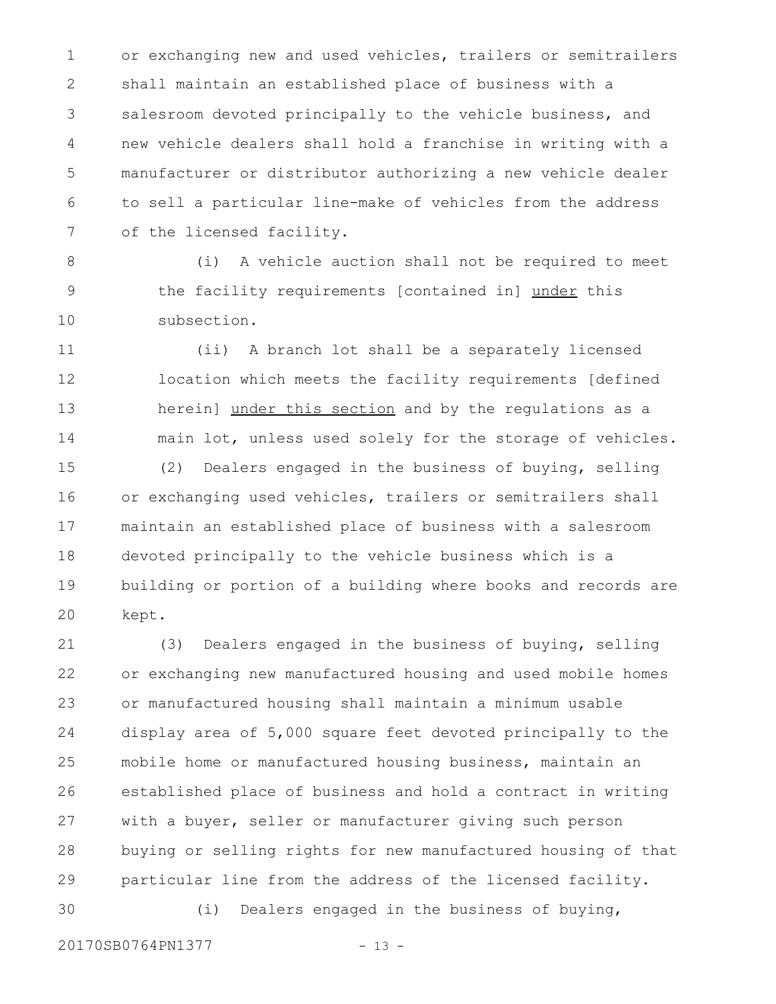or exchanging new and used vehicles, trailers or semitrailers shall maintain an established place of business with a salesroom devoted principally to the vehicle business, and new vehicle dealers shall hold a franchise in writing with a manufacturer or distributor authorizing a new vehicle dealer to sell a particular line-make of vehicles from the address of the licensed facility. 1 2 3 4 5 6 7

(i) A vehicle auction shall not be required to meet the facility requirements [contained in] under this subsection. 8 9 10

(ii) A branch lot shall be a separately licensed location which meets the facility requirements [defined herein] under this section and by the regulations as a main lot, unless used solely for the storage of vehicles. 11 12 13 14

(2) Dealers engaged in the business of buying, selling or exchanging used vehicles, trailers or semitrailers shall maintain an established place of business with a salesroom devoted principally to the vehicle business which is a building or portion of a building where books and records are kept. 15 16 17 18 19 20

(3) Dealers engaged in the business of buying, selling or exchanging new manufactured housing and used mobile homes or manufactured housing shall maintain a minimum usable display area of 5,000 square feet devoted principally to the mobile home or manufactured housing business, maintain an established place of business and hold a contract in writing with a buyer, seller or manufacturer giving such person buying or selling rights for new manufactured housing of that particular line from the address of the licensed facility. (i) Dealers engaged in the business of buying, 21 22 23 24 25 26 27 28 29 30

20170SB0764PN1377 - 13 -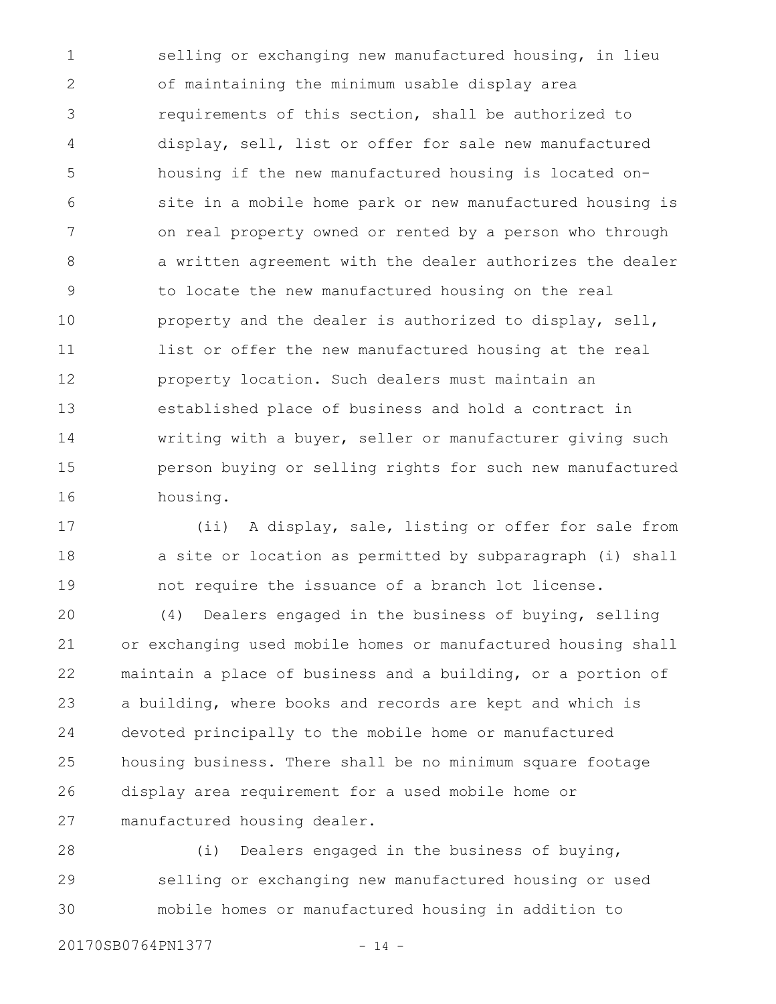selling or exchanging new manufactured housing, in lieu of maintaining the minimum usable display area requirements of this section, shall be authorized to display, sell, list or offer for sale new manufactured housing if the new manufactured housing is located onsite in a mobile home park or new manufactured housing is on real property owned or rented by a person who through a written agreement with the dealer authorizes the dealer to locate the new manufactured housing on the real property and the dealer is authorized to display, sell, list or offer the new manufactured housing at the real property location. Such dealers must maintain an established place of business and hold a contract in writing with a buyer, seller or manufacturer giving such person buying or selling rights for such new manufactured housing. 1 2 3 4 5 6 7 8 9 10 11 12 13 14 15 16

(ii) A display, sale, listing or offer for sale from a site or location as permitted by subparagraph (i) shall not require the issuance of a branch lot license. 17 18 19

(4) Dealers engaged in the business of buying, selling or exchanging used mobile homes or manufactured housing shall maintain a place of business and a building, or a portion of a building, where books and records are kept and which is devoted principally to the mobile home or manufactured housing business. There shall be no minimum square footage display area requirement for a used mobile home or manufactured housing dealer. 20 21 22 23 24 25 26 27

(i) Dealers engaged in the business of buying, selling or exchanging new manufactured housing or used mobile homes or manufactured housing in addition to 28 29 30

20170SB0764PN1377 - 14 -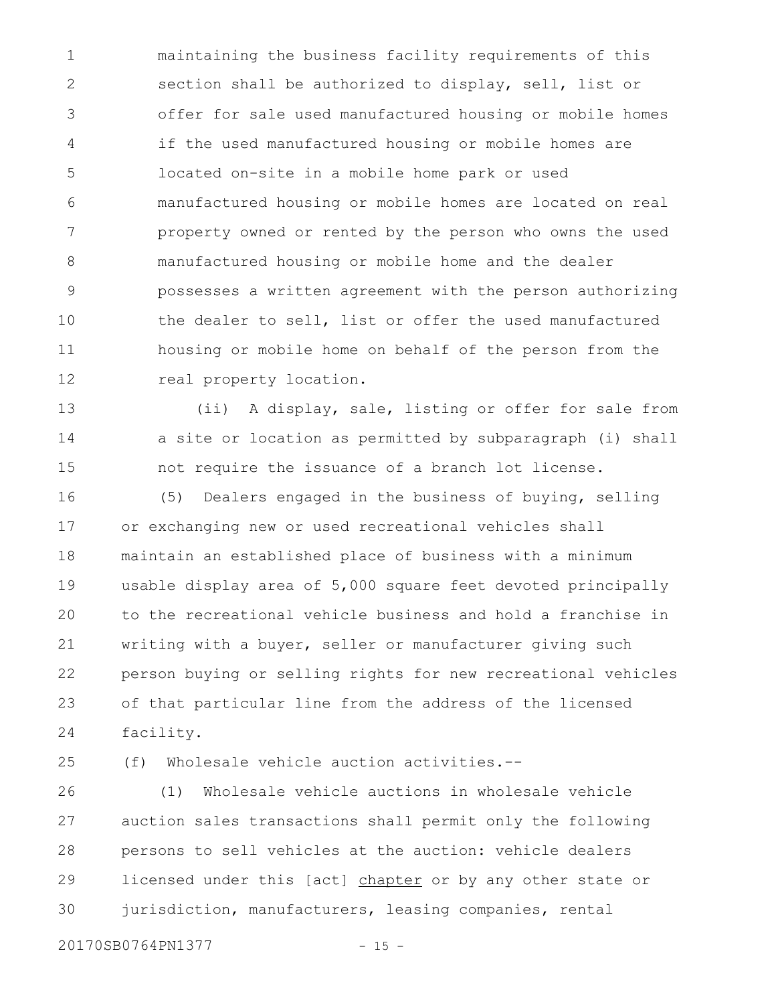maintaining the business facility requirements of this section shall be authorized to display, sell, list or offer for sale used manufactured housing or mobile homes if the used manufactured housing or mobile homes are located on-site in a mobile home park or used manufactured housing or mobile homes are located on real property owned or rented by the person who owns the used manufactured housing or mobile home and the dealer possesses a written agreement with the person authorizing the dealer to sell, list or offer the used manufactured housing or mobile home on behalf of the person from the real property location. 1 2 3 4 5 6 7 8 9 10 11 12

(ii) A display, sale, listing or offer for sale from a site or location as permitted by subparagraph (i) shall not require the issuance of a branch lot license. 13 14 15

(5) Dealers engaged in the business of buying, selling or exchanging new or used recreational vehicles shall maintain an established place of business with a minimum usable display area of 5,000 square feet devoted principally to the recreational vehicle business and hold a franchise in writing with a buyer, seller or manufacturer giving such person buying or selling rights for new recreational vehicles of that particular line from the address of the licensed facility. 16 17 18 19 20 21 22 23 24

25

(f) Wholesale vehicle auction activities.--

(1) Wholesale vehicle auctions in wholesale vehicle auction sales transactions shall permit only the following persons to sell vehicles at the auction: vehicle dealers licensed under this [act] chapter or by any other state or jurisdiction, manufacturers, leasing companies, rental 26 27 28 29 30

20170SB0764PN1377 - 15 -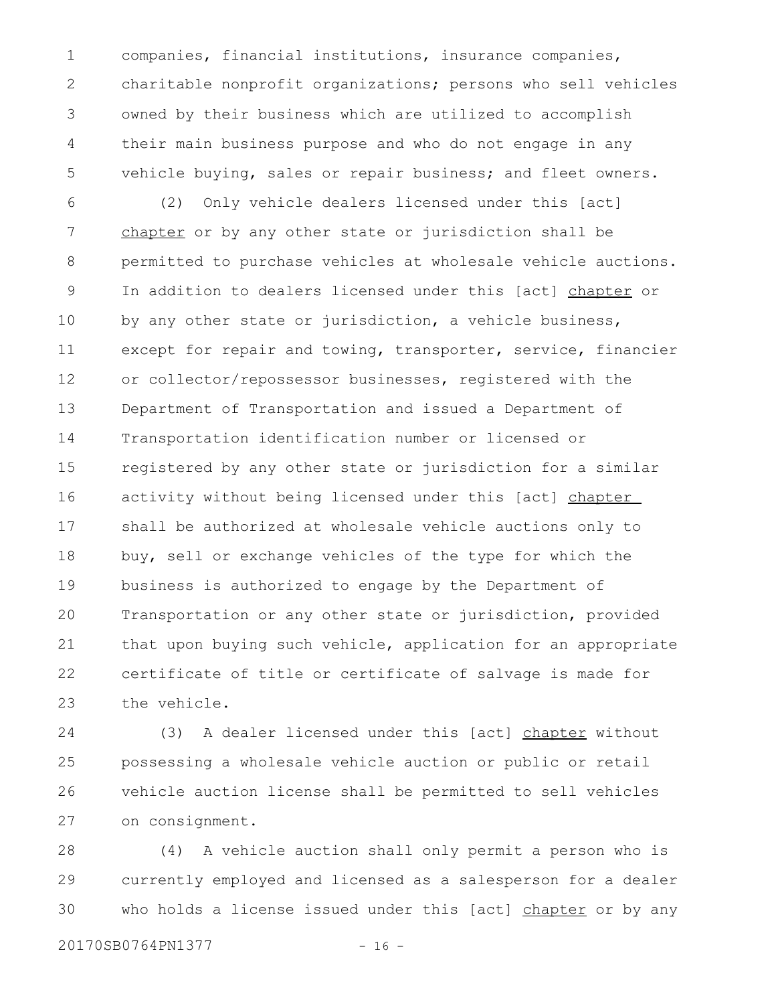companies, financial institutions, insurance companies, charitable nonprofit organizations; persons who sell vehicles owned by their business which are utilized to accomplish their main business purpose and who do not engage in any vehicle buying, sales or repair business; and fleet owners. 1 2 3 4 5

(2) Only vehicle dealers licensed under this [act] chapter or by any other state or jurisdiction shall be permitted to purchase vehicles at wholesale vehicle auctions. In addition to dealers licensed under this [act] chapter or by any other state or jurisdiction, a vehicle business, except for repair and towing, transporter, service, financier or collector/repossessor businesses, registered with the Department of Transportation and issued a Department of Transportation identification number or licensed or registered by any other state or jurisdiction for a similar activity without being licensed under this [act] chapter shall be authorized at wholesale vehicle auctions only to buy, sell or exchange vehicles of the type for which the business is authorized to engage by the Department of Transportation or any other state or jurisdiction, provided that upon buying such vehicle, application for an appropriate certificate of title or certificate of salvage is made for the vehicle. 6 7 8 9 10 11 12 13 14 15 16 17 18 19 20 21 22 23

(3) A dealer licensed under this [act] chapter without possessing a wholesale vehicle auction or public or retail vehicle auction license shall be permitted to sell vehicles on consignment. 24 25 26 27

(4) A vehicle auction shall only permit a person who is currently employed and licensed as a salesperson for a dealer who holds a license issued under this [act] chapter or by any 28 29 30

20170SB0764PN1377 - 16 -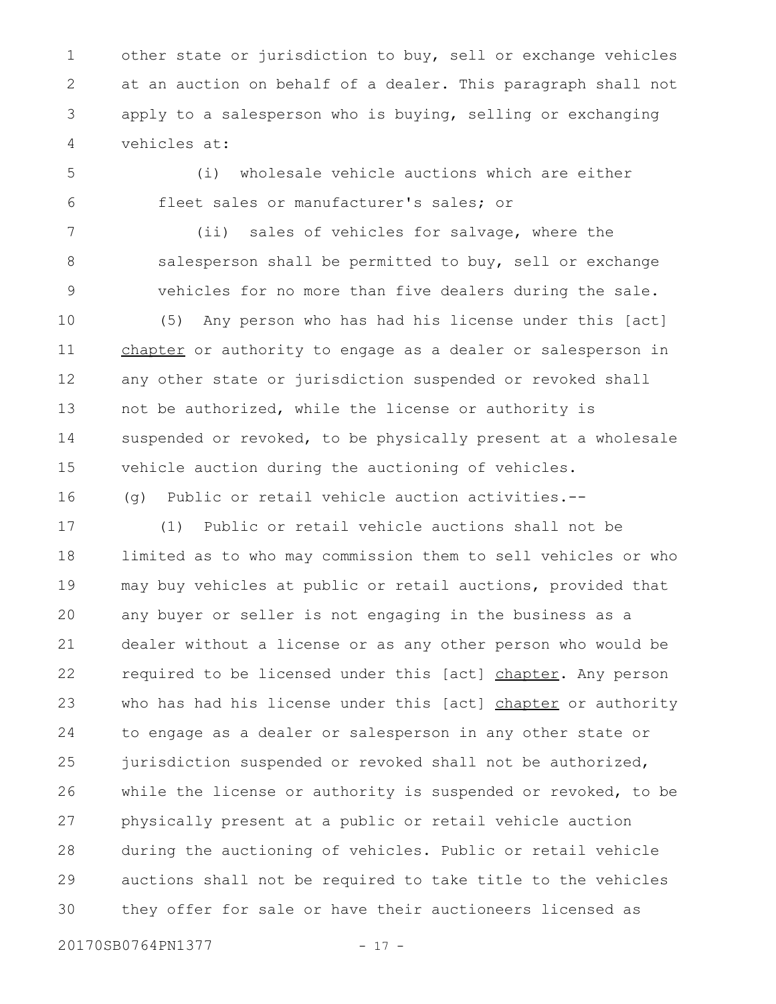other state or jurisdiction to buy, sell or exchange vehicles at an auction on behalf of a dealer. This paragraph shall not apply to a salesperson who is buying, selling or exchanging vehicles at: 1 2 3 4

(i) wholesale vehicle auctions which are either fleet sales or manufacturer's sales; or 5 6

(ii) sales of vehicles for salvage, where the salesperson shall be permitted to buy, sell or exchange vehicles for no more than five dealers during the sale. 7 8 9

(5) Any person who has had his license under this [act] chapter or authority to engage as a dealer or salesperson in any other state or jurisdiction suspended or revoked shall not be authorized, while the license or authority is suspended or revoked, to be physically present at a wholesale vehicle auction during the auctioning of vehicles. 10 11 12 13 14 15

(g) Public or retail vehicle auction activities.-- 16

(1) Public or retail vehicle auctions shall not be limited as to who may commission them to sell vehicles or who may buy vehicles at public or retail auctions, provided that any buyer or seller is not engaging in the business as a dealer without a license or as any other person who would be required to be licensed under this [act] chapter. Any person who has had his license under this [act] chapter or authority to engage as a dealer or salesperson in any other state or jurisdiction suspended or revoked shall not be authorized, while the license or authority is suspended or revoked, to be physically present at a public or retail vehicle auction during the auctioning of vehicles. Public or retail vehicle auctions shall not be required to take title to the vehicles they offer for sale or have their auctioneers licensed as 17 18 19 20 21 22 23 24 25 26 27 28 29 30

20170SB0764PN1377 - 17 -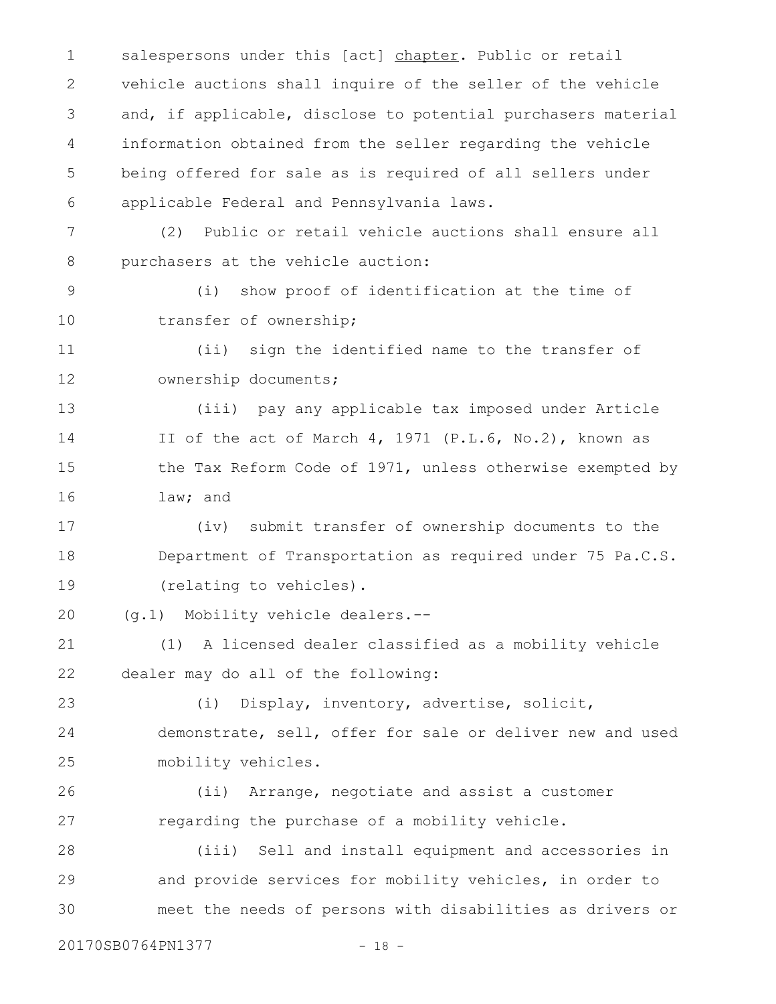salespersons under this [act] chapter. Public or retail vehicle auctions shall inquire of the seller of the vehicle and, if applicable, disclose to potential purchasers material information obtained from the seller regarding the vehicle being offered for sale as is required of all sellers under applicable Federal and Pennsylvania laws. 1 2 3 4 5 6

(2) Public or retail vehicle auctions shall ensure all purchasers at the vehicle auction: 7 8

(i) show proof of identification at the time of transfer of ownership; 9 10

(ii) sign the identified name to the transfer of ownership documents; 11 12

(iii) pay any applicable tax imposed under Article II of the act of March 4, 1971 (P.L.6, No.2), known as the Tax Reform Code of 1971, unless otherwise exempted by law; and 13 14 15 16

(iv) submit transfer of ownership documents to the Department of Transportation as required under 75 Pa.C.S. (relating to vehicles). 17 18 19

(g.1) Mobility vehicle dealers.-- 20

(1) A licensed dealer classified as a mobility vehicle dealer may do all of the following: 21 22

(i) Display, inventory, advertise, solicit, demonstrate, sell, offer for sale or deliver new and used mobility vehicles. 23 24 25

(ii) Arrange, negotiate and assist a customer regarding the purchase of a mobility vehicle. 26 27

(iii) Sell and install equipment and accessories in and provide services for mobility vehicles, in order to meet the needs of persons with disabilities as drivers or 28 29 30

20170SB0764PN1377 - 18 -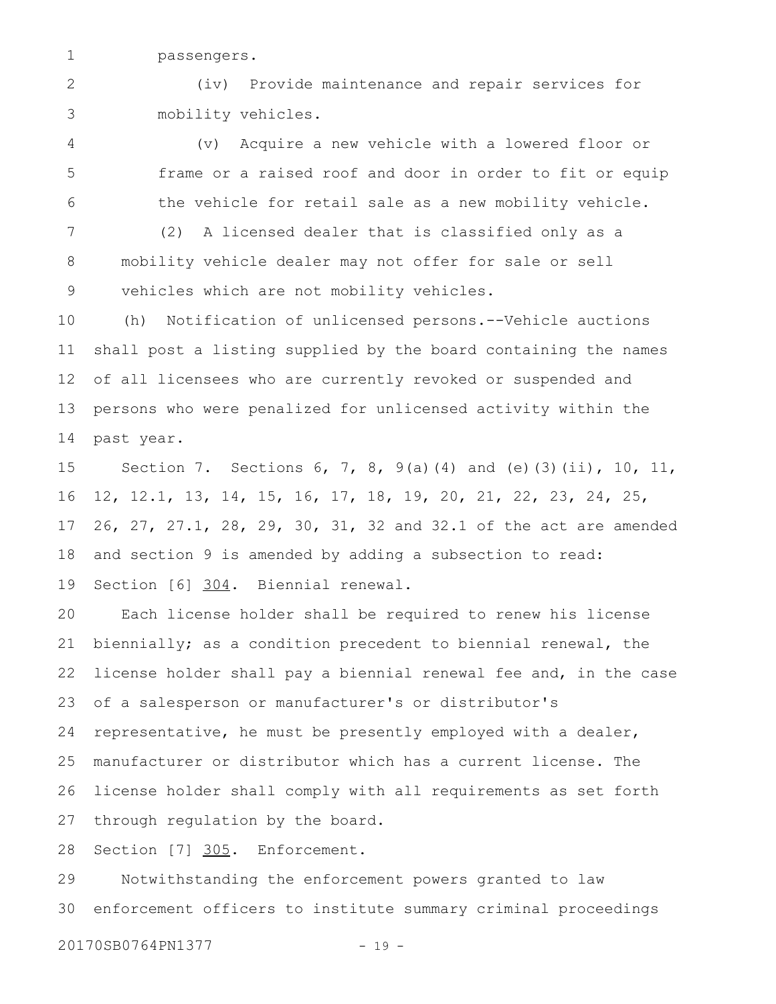passengers. 1

(iv) Provide maintenance and repair services for mobility vehicles. 2 3

(v) Acquire a new vehicle with a lowered floor or frame or a raised roof and door in order to fit or equip the vehicle for retail sale as a new mobility vehicle. 4 5 6

(2) A licensed dealer that is classified only as a mobility vehicle dealer may not offer for sale or sell vehicles which are not mobility vehicles. 7 8 9

(h) Notification of unlicensed persons.--Vehicle auctions shall post a listing supplied by the board containing the names of all licensees who are currently revoked or suspended and persons who were penalized for unlicensed activity within the past year. 10 11 12 13 14

Section 7. Sections 6, 7, 8, 9(a)(4) and (e)(3)(ii), 10, 11, 12, 12.1, 13, 14, 15, 16, 17, 18, 19, 20, 21, 22, 23, 24, 25, 26, 27, 27.1, 28, 29, 30, 31, 32 and 32.1 of the act are amended and section 9 is amended by adding a subsection to read: Section [6] 304. Biennial renewal. 15 16 17 18 19

Each license holder shall be required to renew his license biennially; as a condition precedent to biennial renewal, the license holder shall pay a biennial renewal fee and, in the case of a salesperson or manufacturer's or distributor's representative, he must be presently employed with a dealer, manufacturer or distributor which has a current license. The license holder shall comply with all requirements as set forth through regulation by the board. 20 21 22 23 24 25 26 27

Section [7] 305. Enforcement. 28

Notwithstanding the enforcement powers granted to law enforcement officers to institute summary criminal proceedings 29 30

20170SB0764PN1377 - 19 -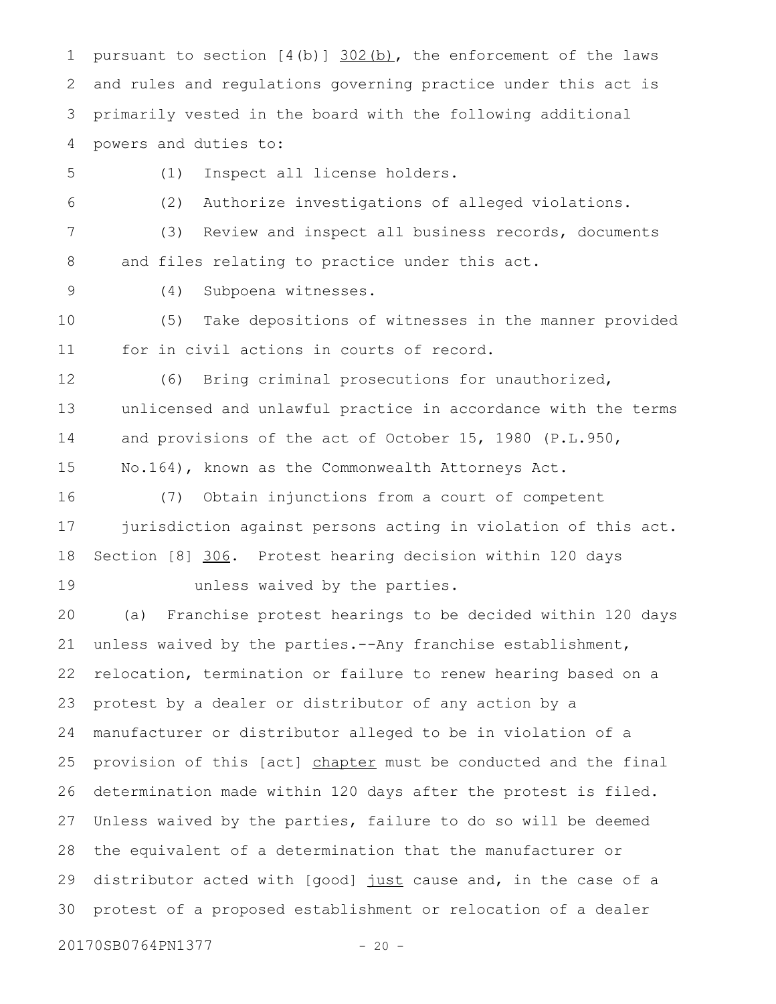pursuant to section  $[4(b)]$   $302(b)$ , the enforcement of the laws and rules and regulations governing practice under this act is primarily vested in the board with the following additional powers and duties to: 1 2 3 4

5

(1) Inspect all license holders.

(2) Authorize investigations of alleged violations. 6

(3) Review and inspect all business records, documents and files relating to practice under this act. 7 8

9

(4) Subpoena witnesses.

(5) Take depositions of witnesses in the manner provided for in civil actions in courts of record. 10 11

(6) Bring criminal prosecutions for unauthorized,

12

unlicensed and unlawful practice in accordance with the terms and provisions of the act of October 15, 1980 (P.L.950, No.164), known as the Commonwealth Attorneys Act. 13 14 15

16

(7) Obtain injunctions from a court of competent jurisdiction against persons acting in violation of this act. Section [8] 306. Protest hearing decision within 120 days unless waived by the parties. 17 18 19

(a) Franchise protest hearings to be decided within 120 days unless waived by the parties.--Any franchise establishment, relocation, termination or failure to renew hearing based on a protest by a dealer or distributor of any action by a manufacturer or distributor alleged to be in violation of a provision of this [act] chapter must be conducted and the final determination made within 120 days after the protest is filed. Unless waived by the parties, failure to do so will be deemed the equivalent of a determination that the manufacturer or distributor acted with [good] just cause and, in the case of a protest of a proposed establishment or relocation of a dealer 20 21 22 23 24 25 26 27 28 29 30

20170SB0764PN1377 - 20 -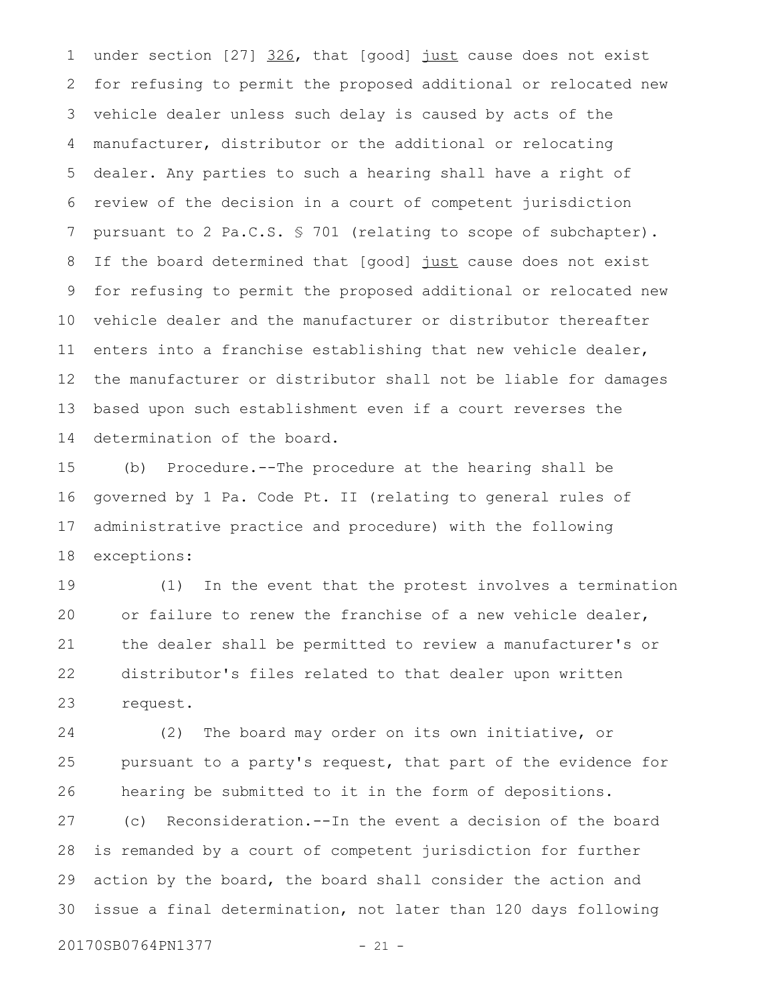under section [27] 326, that [good] just cause does not exist for refusing to permit the proposed additional or relocated new vehicle dealer unless such delay is caused by acts of the manufacturer, distributor or the additional or relocating dealer. Any parties to such a hearing shall have a right of review of the decision in a court of competent jurisdiction pursuant to 2 Pa.C.S. § 701 (relating to scope of subchapter). If the board determined that [good] just cause does not exist for refusing to permit the proposed additional or relocated new vehicle dealer and the manufacturer or distributor thereafter enters into a franchise establishing that new vehicle dealer, the manufacturer or distributor shall not be liable for damages based upon such establishment even if a court reverses the determination of the board. 1 2 3 4 5 6 7 8 9 10 11 12 13 14

(b) Procedure.--The procedure at the hearing shall be governed by 1 Pa. Code Pt. II (relating to general rules of administrative practice and procedure) with the following exceptions: 15 16 17 18

(1) In the event that the protest involves a termination or failure to renew the franchise of a new vehicle dealer, the dealer shall be permitted to review a manufacturer's or distributor's files related to that dealer upon written request. 19 20 21 22 23

(2) The board may order on its own initiative, or pursuant to a party's request, that part of the evidence for hearing be submitted to it in the form of depositions. 24 25 26

(c) Reconsideration.--In the event a decision of the board is remanded by a court of competent jurisdiction for further action by the board, the board shall consider the action and issue a final determination, not later than 120 days following 27 28 29 30

20170SB0764PN1377 - 21 -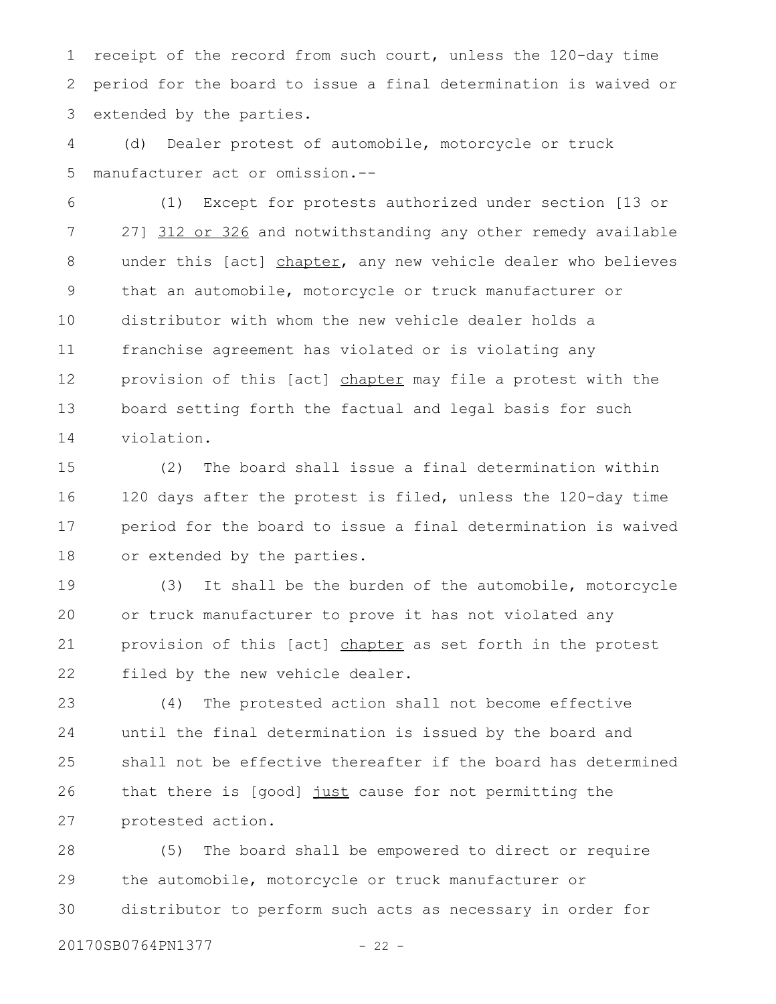receipt of the record from such court, unless the 120-day time period for the board to issue a final determination is waived or extended by the parties. 1 2 3

(d) Dealer protest of automobile, motorcycle or truck manufacturer act or omission.-- 4 5

(1) Except for protests authorized under section [13 or 27] 312 or 326 and notwithstanding any other remedy available under this [act] chapter, any new vehicle dealer who believes that an automobile, motorcycle or truck manufacturer or distributor with whom the new vehicle dealer holds a franchise agreement has violated or is violating any provision of this [act] chapter may file a protest with the board setting forth the factual and legal basis for such violation. 6 7 8 9 10 11 12 13 14

(2) The board shall issue a final determination within 120 days after the protest is filed, unless the 120-day time period for the board to issue a final determination is waived or extended by the parties. 15 16 17 18

(3) It shall be the burden of the automobile, motorcycle or truck manufacturer to prove it has not violated any provision of this [act] chapter as set forth in the protest filed by the new vehicle dealer. 19 20 21 22

(4) The protested action shall not become effective until the final determination is issued by the board and shall not be effective thereafter if the board has determined that there is [good] just cause for not permitting the protested action. 23 24 25 26 27

(5) The board shall be empowered to direct or require the automobile, motorcycle or truck manufacturer or distributor to perform such acts as necessary in order for 28 29 30

20170SB0764PN1377 - 22 -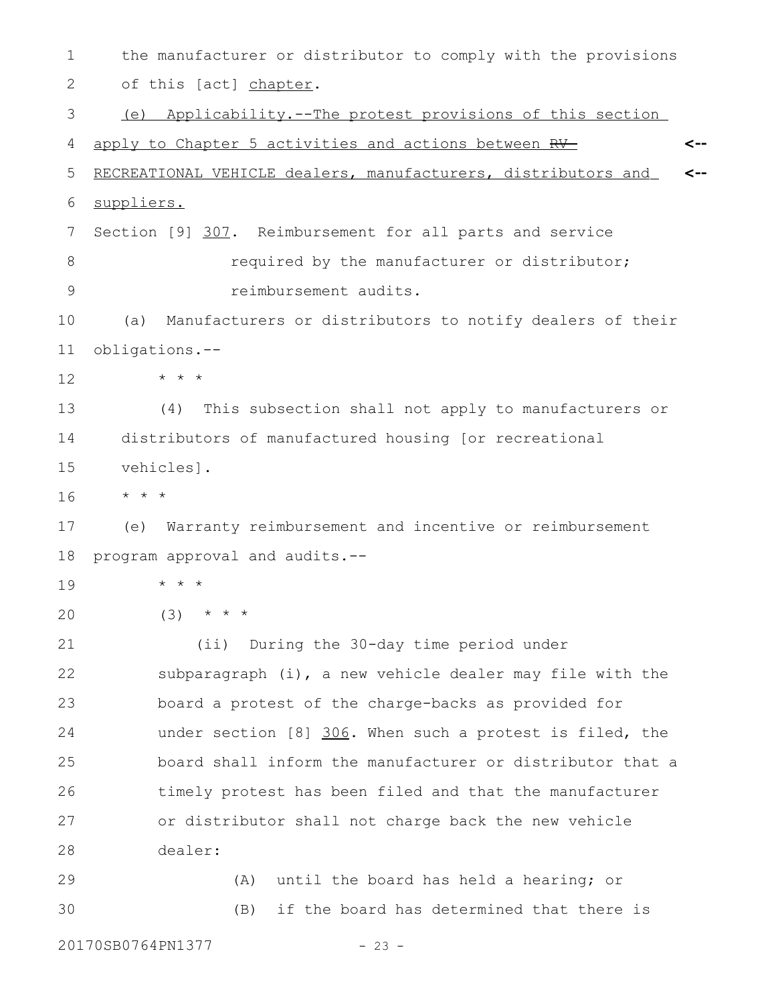the manufacturer or distributor to comply with the provisions of this [act] chapter. (e) Applicability.--The protest provisions of this section apply to Chapter 5 activities and actions between RV- RECREATIONAL VEHICLE dealers, manufacturers, distributors and suppliers. Section [9] 307. Reimbursement for all parts and service required by the manufacturer or distributor; reimbursement audits. (a) Manufacturers or distributors to notify dealers of their obligations.-- \* \* \* (4) This subsection shall not apply to manufacturers or distributors of manufactured housing [or recreational vehicles]. \* \* \* (e) Warranty reimbursement and incentive or reimbursement program approval and audits.-- \* \* \*  $(3)$  \* \* \* (ii) During the 30-day time period under subparagraph (i), a new vehicle dealer may file with the board a protest of the charge-backs as provided for under section [8] 306. When such a protest is filed, the board shall inform the manufacturer or distributor that a timely protest has been filed and that the manufacturer or distributor shall not charge back the new vehicle dealer: (A) until the board has held a hearing; or (B) if the board has determined that there is **<-- <--** 1 2 3 4 5 6 7 8 9 10 11 12 13 14 15 16 17 18 19 20 21 22 23 24 25 26 27 28 29 30

20170SB0764PN1377 - 23 -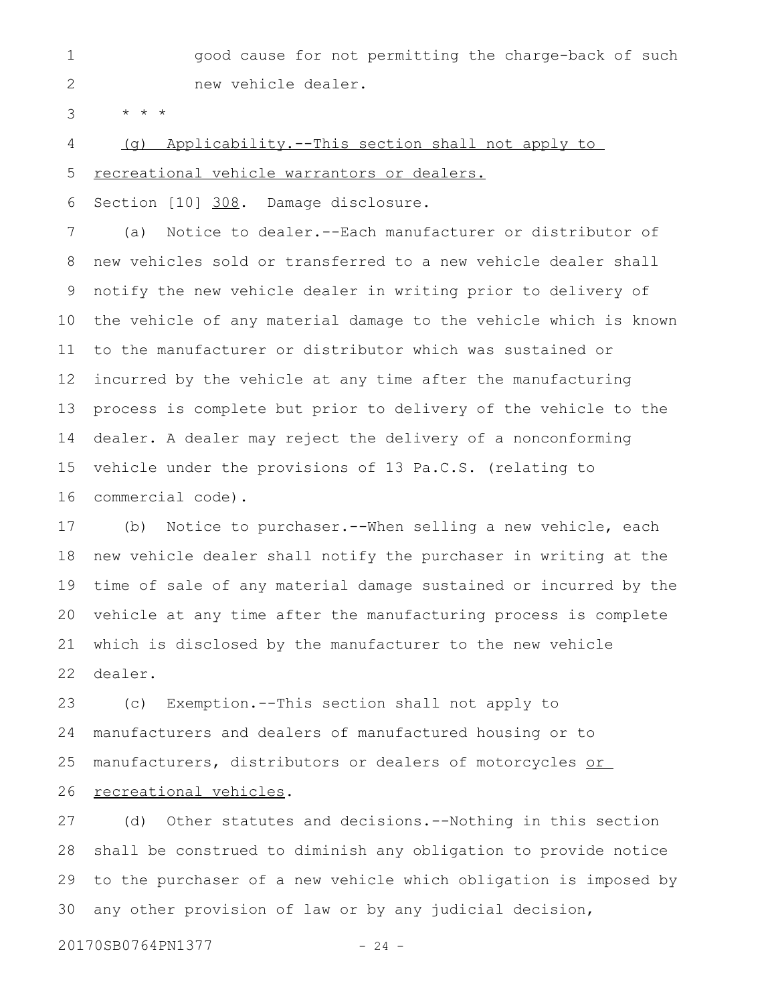good cause for not permitting the charge-back of such new vehicle dealer. 1 2

\* \* \* 3

(g) Applicability.--This section shall not apply to 4

 recreational vehicle warrantors or dealers. 5

Section [10] 308. Damage disclosure. 6

(a) Notice to dealer.--Each manufacturer or distributor of new vehicles sold or transferred to a new vehicle dealer shall notify the new vehicle dealer in writing prior to delivery of the vehicle of any material damage to the vehicle which is known to the manufacturer or distributor which was sustained or incurred by the vehicle at any time after the manufacturing process is complete but prior to delivery of the vehicle to the dealer. A dealer may reject the delivery of a nonconforming vehicle under the provisions of 13 Pa.C.S. (relating to commercial code). 7 8 9 10 11 12 13 14 15 16

(b) Notice to purchaser.--When selling a new vehicle, each new vehicle dealer shall notify the purchaser in writing at the time of sale of any material damage sustained or incurred by the vehicle at any time after the manufacturing process is complete which is disclosed by the manufacturer to the new vehicle dealer. 17 18 19 20 21 22

(c) Exemption.--This section shall not apply to manufacturers and dealers of manufactured housing or to manufacturers, distributors or dealers of motorcycles or recreational vehicles. 23 24 25 26

(d) Other statutes and decisions.--Nothing in this section shall be construed to diminish any obligation to provide notice to the purchaser of a new vehicle which obligation is imposed by any other provision of law or by any judicial decision, 27 28 29 30

20170SB0764PN1377 - 24 -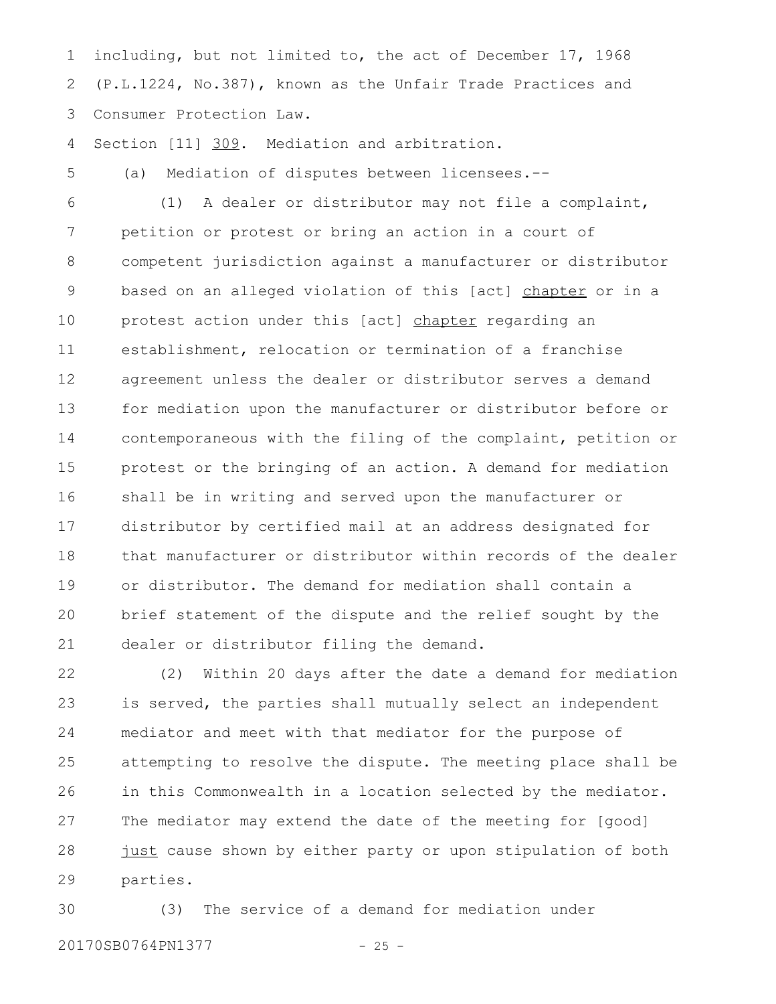including, but not limited to, the act of December 17, 1968 (P.L.1224, No.387), known as the Unfair Trade Practices and Consumer Protection Law. 1 2 3

(a) Mediation of disputes between licensees.--

Section [11] 309. Mediation and arbitration. 4

5

(1) A dealer or distributor may not file a complaint, petition or protest or bring an action in a court of competent jurisdiction against a manufacturer or distributor based on an alleged violation of this [act] chapter or in a protest action under this [act] chapter regarding an establishment, relocation or termination of a franchise agreement unless the dealer or distributor serves a demand for mediation upon the manufacturer or distributor before or contemporaneous with the filing of the complaint, petition or protest or the bringing of an action. A demand for mediation shall be in writing and served upon the manufacturer or distributor by certified mail at an address designated for that manufacturer or distributor within records of the dealer or distributor. The demand for mediation shall contain a brief statement of the dispute and the relief sought by the dealer or distributor filing the demand. 6 7 8 9 10 11 12 13 14 15 16 17 18 19 20 21

(2) Within 20 days after the date a demand for mediation is served, the parties shall mutually select an independent mediator and meet with that mediator for the purpose of attempting to resolve the dispute. The meeting place shall be in this Commonwealth in a location selected by the mediator. The mediator may extend the date of the meeting for [good] just cause shown by either party or upon stipulation of both parties. 22 23 24 25 26 27 28 29

(3) The service of a demand for mediation under 20170SB0764PN1377 - 25 -30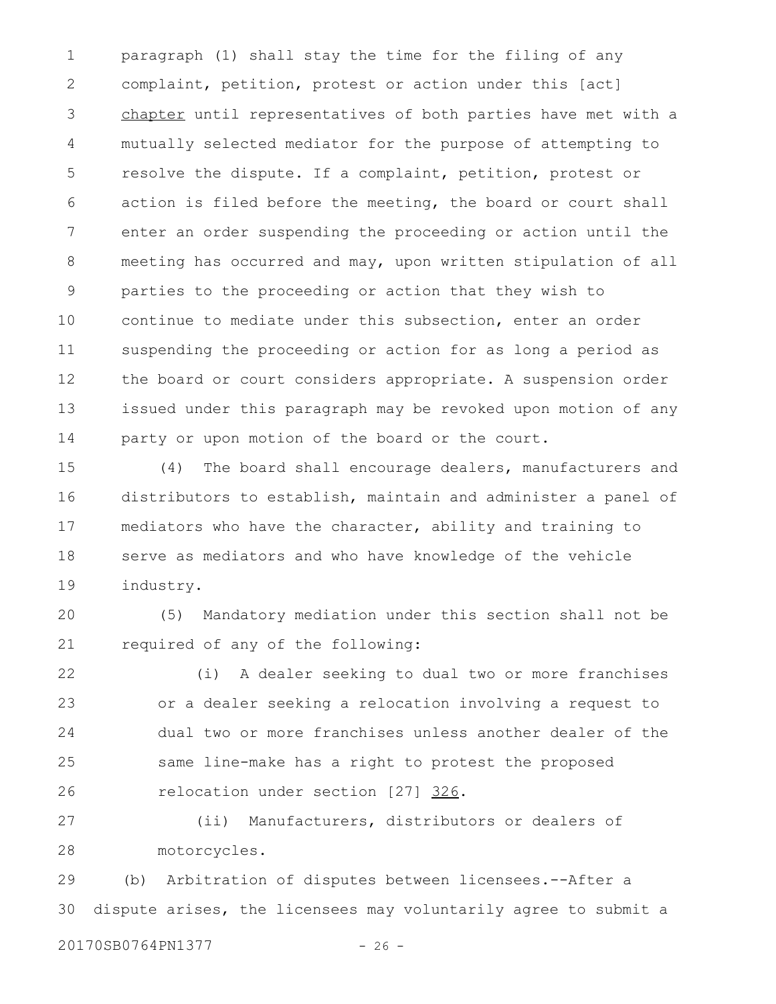paragraph (1) shall stay the time for the filing of any complaint, petition, protest or action under this [act] chapter until representatives of both parties have met with a mutually selected mediator for the purpose of attempting to resolve the dispute. If a complaint, petition, protest or action is filed before the meeting, the board or court shall enter an order suspending the proceeding or action until the meeting has occurred and may, upon written stipulation of all parties to the proceeding or action that they wish to continue to mediate under this subsection, enter an order suspending the proceeding or action for as long a period as the board or court considers appropriate. A suspension order issued under this paragraph may be revoked upon motion of any party or upon motion of the board or the court. 1 2 3 4 5 6 7 8 9 10 11 12 13 14

(4) The board shall encourage dealers, manufacturers and distributors to establish, maintain and administer a panel of mediators who have the character, ability and training to serve as mediators and who have knowledge of the vehicle industry. 15 16 17 18 19

(5) Mandatory mediation under this section shall not be required of any of the following: 20 21

(i) A dealer seeking to dual two or more franchises or a dealer seeking a relocation involving a request to dual two or more franchises unless another dealer of the same line-make has a right to protest the proposed relocation under section [27] 326. 22 23 24 25 26

(ii) Manufacturers, distributors or dealers of motorcycles. 27 28

(b) Arbitration of disputes between licensees.--After a dispute arises, the licensees may voluntarily agree to submit a 29 30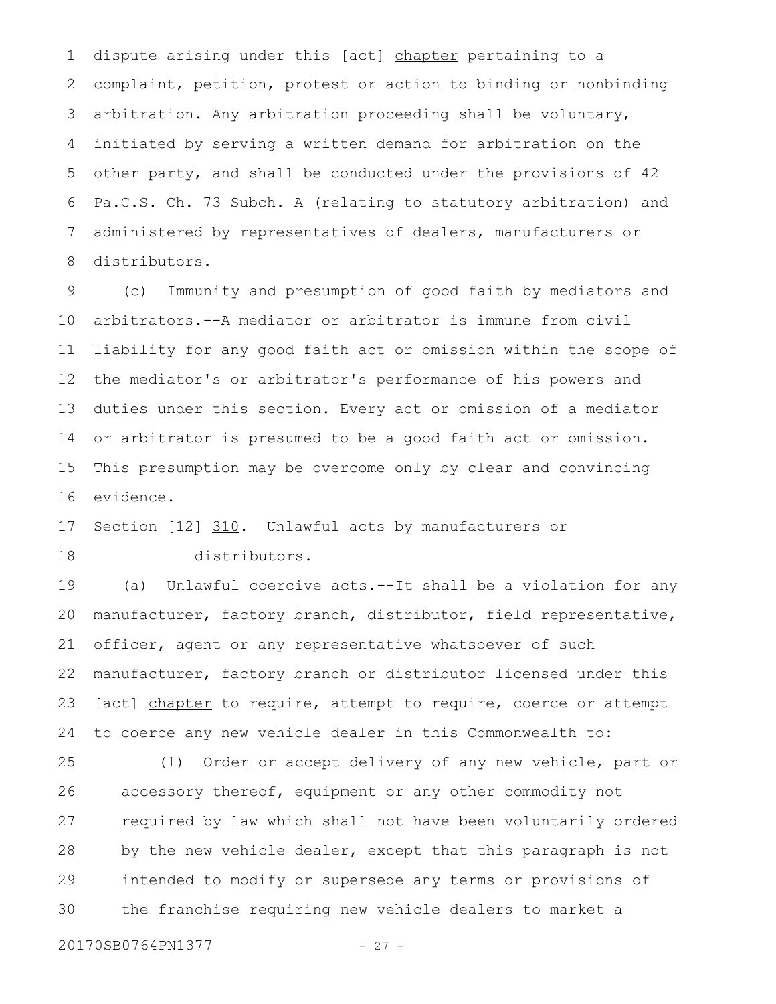dispute arising under this [act] chapter pertaining to a complaint, petition, protest or action to binding or nonbinding arbitration. Any arbitration proceeding shall be voluntary, initiated by serving a written demand for arbitration on the other party, and shall be conducted under the provisions of 42 Pa.C.S. Ch. 73 Subch. A (relating to statutory arbitration) and administered by representatives of dealers, manufacturers or distributors. 1 2 3 4 5 6 7 8

(c) Immunity and presumption of good faith by mediators and arbitrators.--A mediator or arbitrator is immune from civil liability for any good faith act or omission within the scope of the mediator's or arbitrator's performance of his powers and duties under this section. Every act or omission of a mediator or arbitrator is presumed to be a good faith act or omission. This presumption may be overcome only by clear and convincing evidence. 9 10 11 12 13 14 15 16

Section [12] 310. Unlawful acts by manufacturers or distributors. 17 18

(a) Unlawful coercive acts.--It shall be a violation for any manufacturer, factory branch, distributor, field representative, officer, agent or any representative whatsoever of such manufacturer, factory branch or distributor licensed under this [act] chapter to require, attempt to require, coerce or attempt to coerce any new vehicle dealer in this Commonwealth to: 19 20 21 22 23 24

(1) Order or accept delivery of any new vehicle, part or accessory thereof, equipment or any other commodity not required by law which shall not have been voluntarily ordered by the new vehicle dealer, except that this paragraph is not intended to modify or supersede any terms or provisions of the franchise requiring new vehicle dealers to market a 25 26 27 28 29 30

20170SB0764PN1377 - 27 -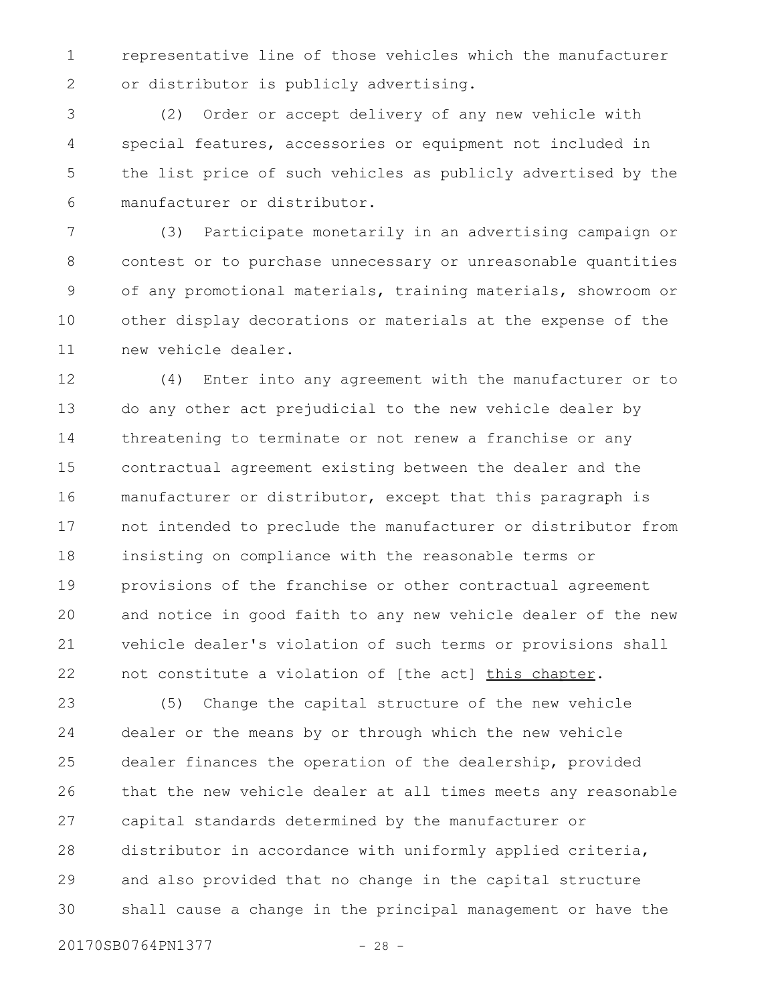representative line of those vehicles which the manufacturer or distributor is publicly advertising. 1 2

(2) Order or accept delivery of any new vehicle with special features, accessories or equipment not included in the list price of such vehicles as publicly advertised by the manufacturer or distributor. 3 4 5 6

(3) Participate monetarily in an advertising campaign or contest or to purchase unnecessary or unreasonable quantities of any promotional materials, training materials, showroom or other display decorations or materials at the expense of the new vehicle dealer. 7 8 9 10 11

(4) Enter into any agreement with the manufacturer or to do any other act prejudicial to the new vehicle dealer by threatening to terminate or not renew a franchise or any contractual agreement existing between the dealer and the manufacturer or distributor, except that this paragraph is not intended to preclude the manufacturer or distributor from insisting on compliance with the reasonable terms or provisions of the franchise or other contractual agreement and notice in good faith to any new vehicle dealer of the new vehicle dealer's violation of such terms or provisions shall not constitute a violation of [the act] this chapter. 12 13 14 15 16 17 18 19 20 21 22

(5) Change the capital structure of the new vehicle dealer or the means by or through which the new vehicle dealer finances the operation of the dealership, provided that the new vehicle dealer at all times meets any reasonable capital standards determined by the manufacturer or distributor in accordance with uniformly applied criteria, and also provided that no change in the capital structure shall cause a change in the principal management or have the 23 24 25 26 27 28 29 30

20170SB0764PN1377 - 28 -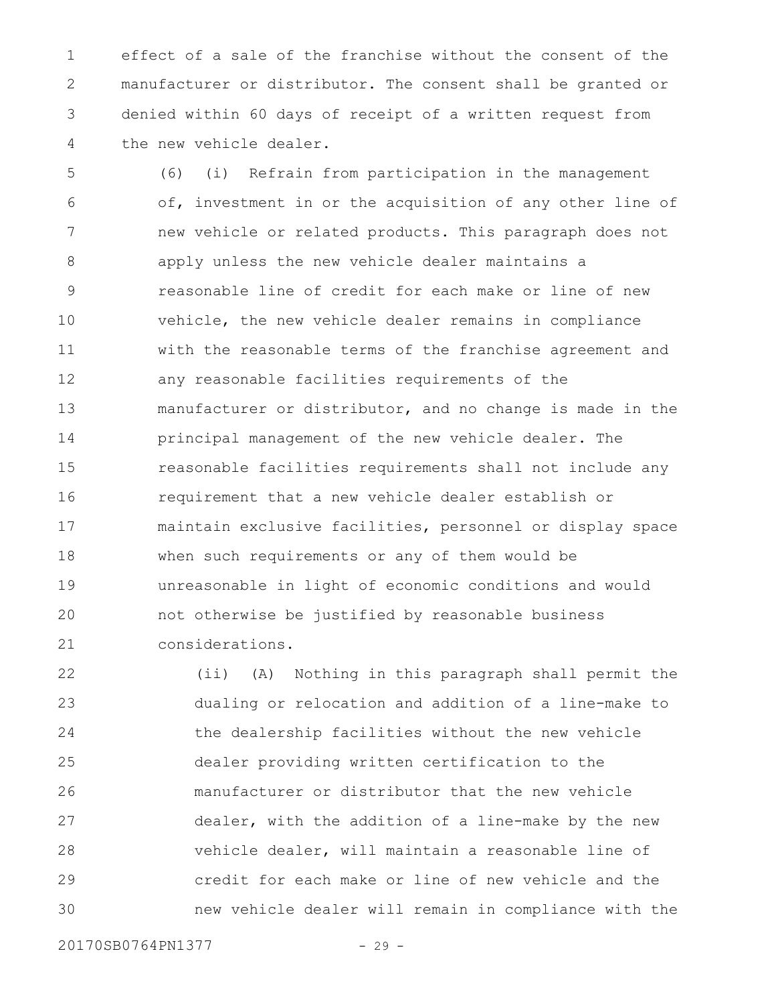effect of a sale of the franchise without the consent of the manufacturer or distributor. The consent shall be granted or denied within 60 days of receipt of a written request from the new vehicle dealer. 1 2 3 4

(6) (i) Refrain from participation in the management of, investment in or the acquisition of any other line of new vehicle or related products. This paragraph does not apply unless the new vehicle dealer maintains a reasonable line of credit for each make or line of new vehicle, the new vehicle dealer remains in compliance with the reasonable terms of the franchise agreement and any reasonable facilities requirements of the manufacturer or distributor, and no change is made in the principal management of the new vehicle dealer. The reasonable facilities requirements shall not include any requirement that a new vehicle dealer establish or maintain exclusive facilities, personnel or display space when such requirements or any of them would be unreasonable in light of economic conditions and would not otherwise be justified by reasonable business considerations. 5 6 7 8 9 10 11 12 13 14 15 16 17 18 19 20 21

(ii) (A) Nothing in this paragraph shall permit the dualing or relocation and addition of a line-make to the dealership facilities without the new vehicle dealer providing written certification to the manufacturer or distributor that the new vehicle dealer, with the addition of a line-make by the new vehicle dealer, will maintain a reasonable line of credit for each make or line of new vehicle and the new vehicle dealer will remain in compliance with the 22 23 24 25 26 27 28 29 30

20170SB0764PN1377 - 29 -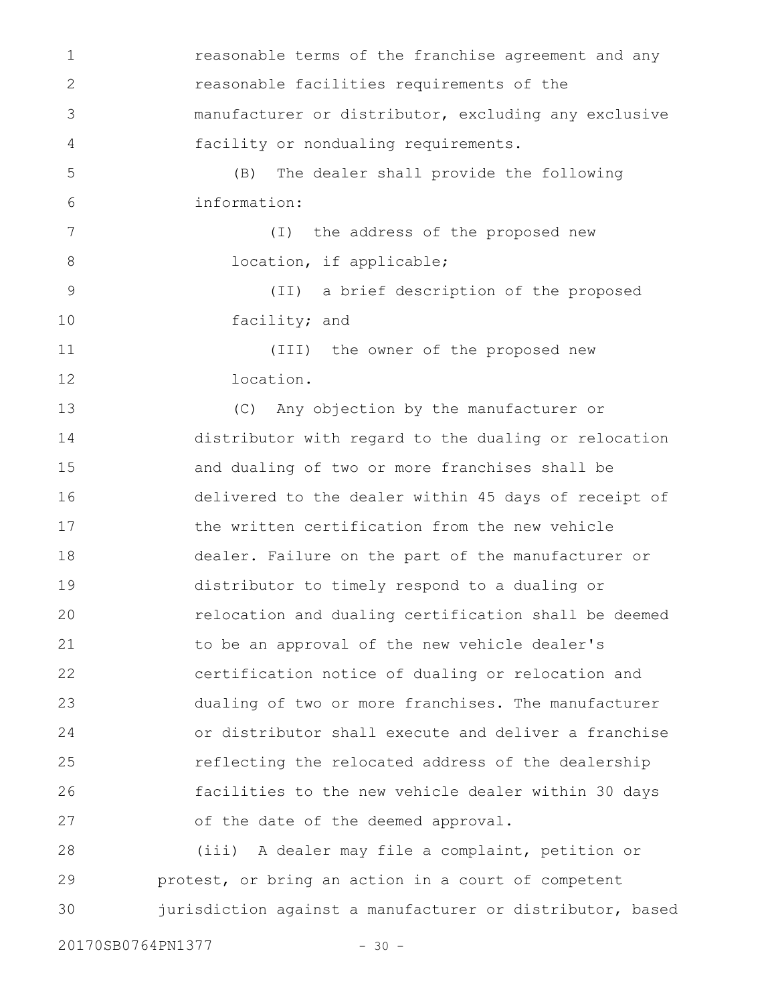reasonable terms of the franchise agreement and any reasonable facilities requirements of the manufacturer or distributor, excluding any exclusive facility or nondualing requirements. (B) The dealer shall provide the following information: (I) the address of the proposed new location, if applicable; (II) a brief description of the proposed facility; and (III) the owner of the proposed new location. (C) Any objection by the manufacturer or distributor with regard to the dualing or relocation and dualing of two or more franchises shall be delivered to the dealer within 45 days of receipt of the written certification from the new vehicle dealer. Failure on the part of the manufacturer or distributor to timely respond to a dualing or relocation and dualing certification shall be deemed to be an approval of the new vehicle dealer's certification notice of dualing or relocation and dualing of two or more franchises. The manufacturer or distributor shall execute and deliver a franchise reflecting the relocated address of the dealership facilities to the new vehicle dealer within 30 days of the date of the deemed approval. (iii) A dealer may file a complaint, petition or protest, or bring an action in a court of competent jurisdiction against a manufacturer or distributor, based 1 2 3 4 5 6 7 8 9 10 11 12 13 14 15 16 17 18 19 20 21 22 23 24 25 26 27 28 29 30

20170SB0764PN1377 - 30 -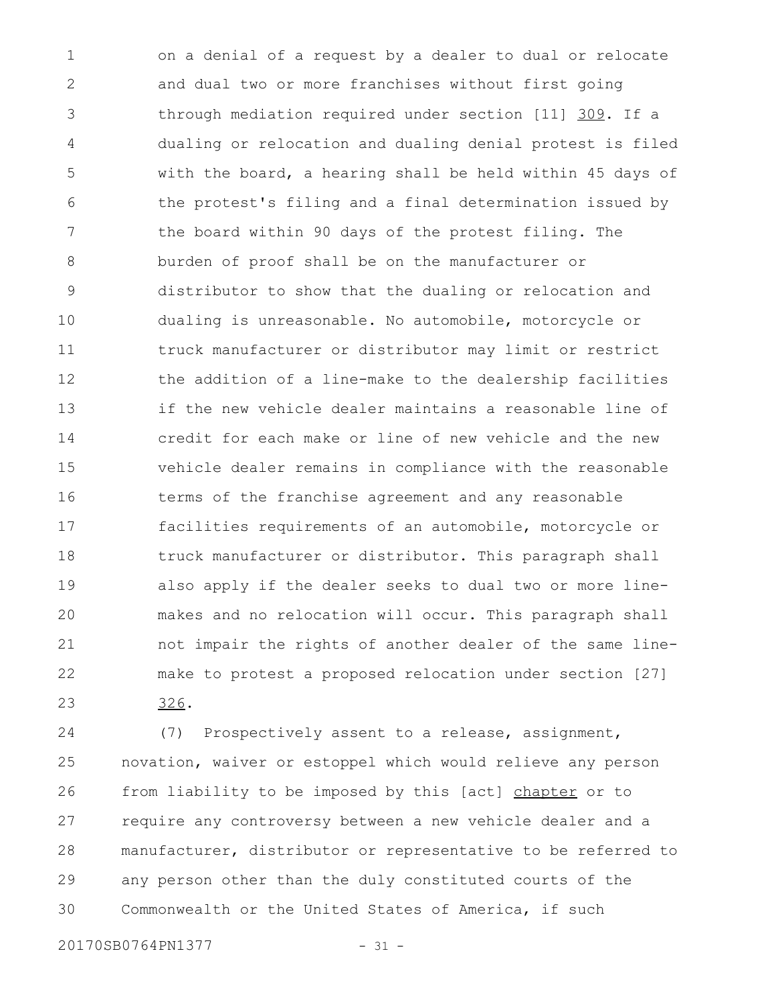on a denial of a request by a dealer to dual or relocate and dual two or more franchises without first going through mediation required under section [11] 309. If a dualing or relocation and dualing denial protest is filed with the board, a hearing shall be held within 45 days of the protest's filing and a final determination issued by the board within 90 days of the protest filing. The burden of proof shall be on the manufacturer or distributor to show that the dualing or relocation and dualing is unreasonable. No automobile, motorcycle or truck manufacturer or distributor may limit or restrict the addition of a line-make to the dealership facilities if the new vehicle dealer maintains a reasonable line of credit for each make or line of new vehicle and the new vehicle dealer remains in compliance with the reasonable terms of the franchise agreement and any reasonable facilities requirements of an automobile, motorcycle or truck manufacturer or distributor. This paragraph shall also apply if the dealer seeks to dual two or more linemakes and no relocation will occur. This paragraph shall not impair the rights of another dealer of the same linemake to protest a proposed relocation under section [27] 326. 1 2 3 4 5 6 7 8 9 10 11 12 13 14 15 16 17 18 19 20 21 22 23

(7) Prospectively assent to a release, assignment, novation, waiver or estoppel which would relieve any person from liability to be imposed by this [act] chapter or to require any controversy between a new vehicle dealer and a manufacturer, distributor or representative to be referred to any person other than the duly constituted courts of the Commonwealth or the United States of America, if such 24 25 26 27 28 29 30

20170SB0764PN1377 - 31 -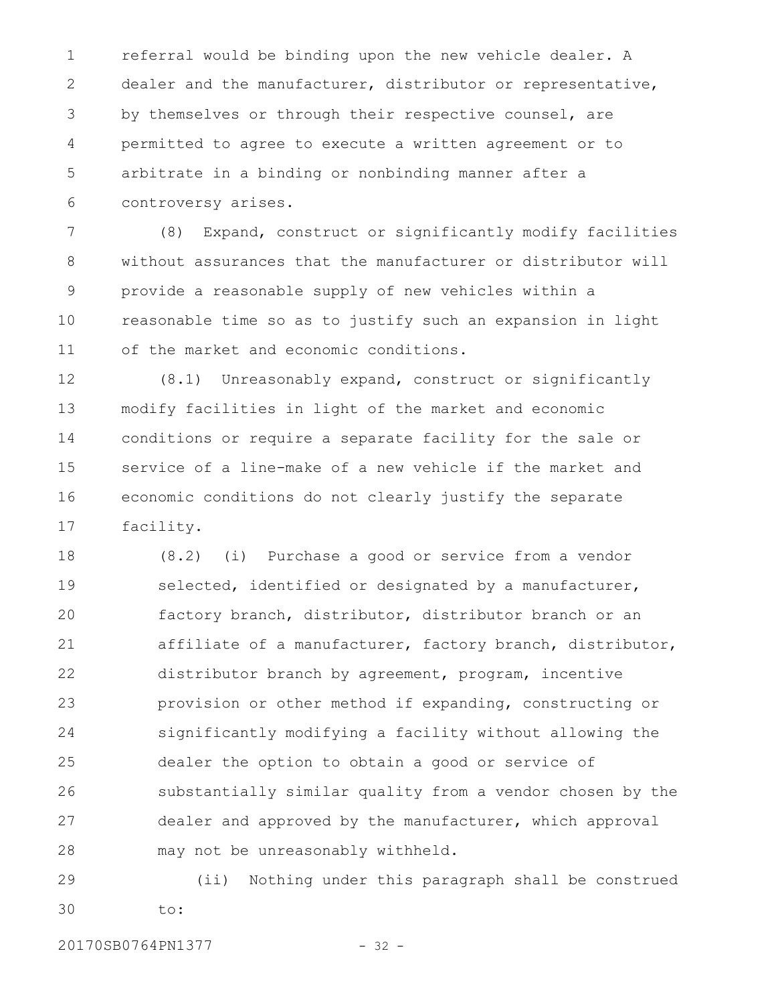referral would be binding upon the new vehicle dealer. A dealer and the manufacturer, distributor or representative, by themselves or through their respective counsel, are permitted to agree to execute a written agreement or to arbitrate in a binding or nonbinding manner after a controversy arises. 1 2 3 4 5 6

(8) Expand, construct or significantly modify facilities without assurances that the manufacturer or distributor will provide a reasonable supply of new vehicles within a reasonable time so as to justify such an expansion in light of the market and economic conditions. 7 8 9 10 11

(8.1) Unreasonably expand, construct or significantly modify facilities in light of the market and economic conditions or require a separate facility for the sale or service of a line-make of a new vehicle if the market and economic conditions do not clearly justify the separate facility. 12 13 14 15 16 17

(8.2) (i) Purchase a good or service from a vendor selected, identified or designated by a manufacturer, factory branch, distributor, distributor branch or an affiliate of a manufacturer, factory branch, distributor, distributor branch by agreement, program, incentive provision or other method if expanding, constructing or significantly modifying a facility without allowing the dealer the option to obtain a good or service of substantially similar quality from a vendor chosen by the dealer and approved by the manufacturer, which approval may not be unreasonably withheld. 18 19 20 21 22 23 24 25 26 27 28

(ii) Nothing under this paragraph shall be construed to: 29 30

20170SB0764PN1377 - 32 -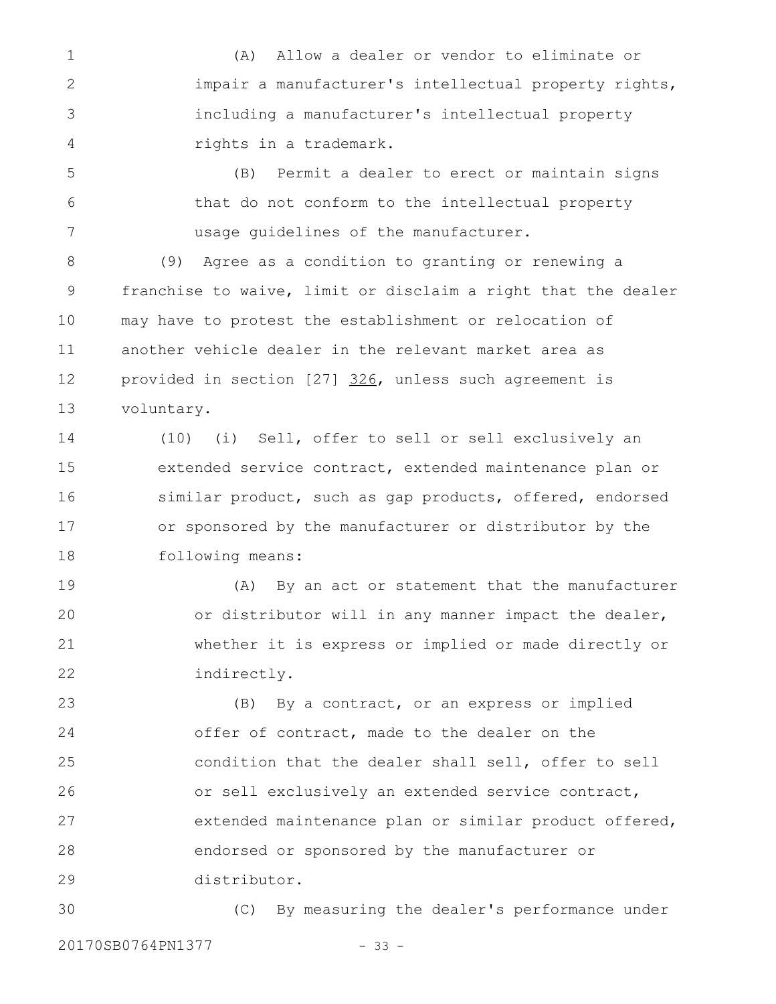(A) Allow a dealer or vendor to eliminate or impair a manufacturer's intellectual property rights, including a manufacturer's intellectual property rights in a trademark. 1 2 3 4

(B) Permit a dealer to erect or maintain signs that do not conform to the intellectual property usage guidelines of the manufacturer. 5 6 7

(9) Agree as a condition to granting or renewing a franchise to waive, limit or disclaim a right that the dealer may have to protest the establishment or relocation of another vehicle dealer in the relevant market area as provided in section [27] 326, unless such agreement is voluntary. 8 9 10 11 12 13

(10) (i) Sell, offer to sell or sell exclusively an extended service contract, extended maintenance plan or similar product, such as gap products, offered, endorsed or sponsored by the manufacturer or distributor by the following means: 14 15 16 17 18

(A) By an act or statement that the manufacturer or distributor will in any manner impact the dealer, whether it is express or implied or made directly or indirectly. 19 20 21 22

(B) By a contract, or an express or implied offer of contract, made to the dealer on the condition that the dealer shall sell, offer to sell or sell exclusively an extended service contract, extended maintenance plan or similar product offered, endorsed or sponsored by the manufacturer or distributor. 23 24 25 26 27 28 29

(C) By measuring the dealer's performance under 20170SB0764PN1377 - 33 -30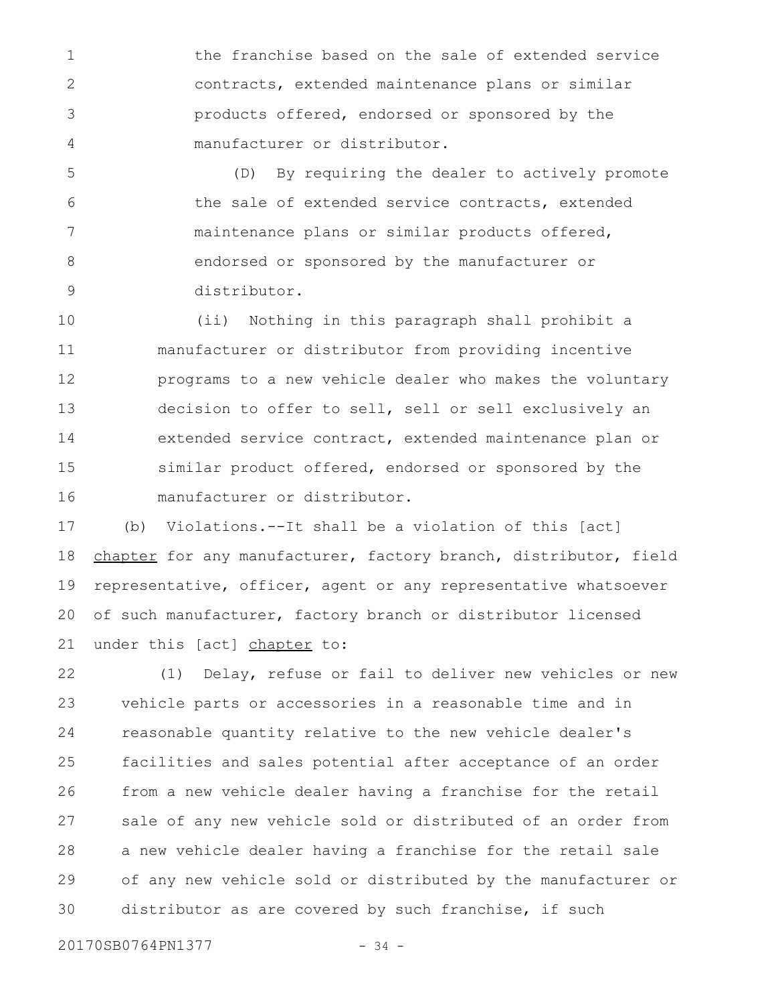the franchise based on the sale of extended service contracts, extended maintenance plans or similar products offered, endorsed or sponsored by the manufacturer or distributor. 1 2 3 4

(D) By requiring the dealer to actively promote the sale of extended service contracts, extended maintenance plans or similar products offered, endorsed or sponsored by the manufacturer or distributor. 5 6 7 8 9

(ii) Nothing in this paragraph shall prohibit a manufacturer or distributor from providing incentive programs to a new vehicle dealer who makes the voluntary decision to offer to sell, sell or sell exclusively an extended service contract, extended maintenance plan or similar product offered, endorsed or sponsored by the manufacturer or distributor. 10 11 12 13 14 15 16

(b) Violations.--It shall be a violation of this [act] chapter for any manufacturer, factory branch, distributor, field representative, officer, agent or any representative whatsoever of such manufacturer, factory branch or distributor licensed under this [act] chapter to: 17 18 19 20 21

(1) Delay, refuse or fail to deliver new vehicles or new vehicle parts or accessories in a reasonable time and in reasonable quantity relative to the new vehicle dealer's facilities and sales potential after acceptance of an order from a new vehicle dealer having a franchise for the retail sale of any new vehicle sold or distributed of an order from a new vehicle dealer having a franchise for the retail sale of any new vehicle sold or distributed by the manufacturer or distributor as are covered by such franchise, if such 22 23 24 25 26 27 28 29 30

20170SB0764PN1377 - 34 -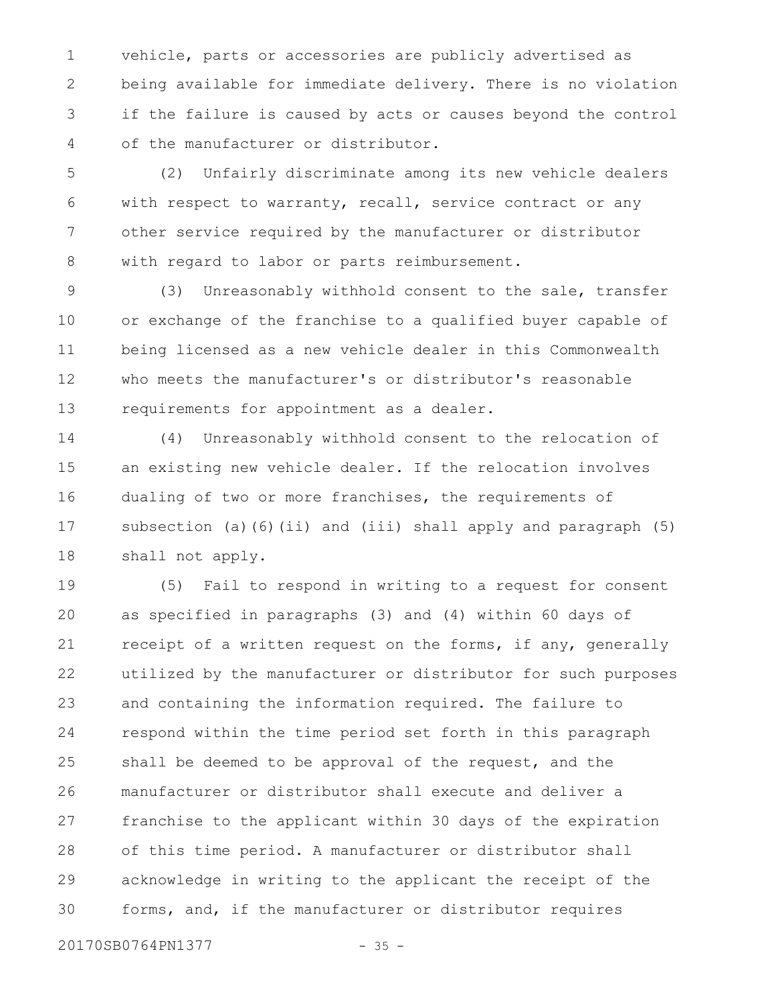vehicle, parts or accessories are publicly advertised as being available for immediate delivery. There is no violation if the failure is caused by acts or causes beyond the control of the manufacturer or distributor. 1 2 3 4

(2) Unfairly discriminate among its new vehicle dealers with respect to warranty, recall, service contract or any other service required by the manufacturer or distributor with regard to labor or parts reimbursement. 5 6 7 8

(3) Unreasonably withhold consent to the sale, transfer or exchange of the franchise to a qualified buyer capable of being licensed as a new vehicle dealer in this Commonwealth who meets the manufacturer's or distributor's reasonable requirements for appointment as a dealer. 9 10 11 12 13

(4) Unreasonably withhold consent to the relocation of an existing new vehicle dealer. If the relocation involves dualing of two or more franchises, the requirements of subsection (a)(6)(ii) and (iii) shall apply and paragraph (5) shall not apply. 14 15 16 17 18

(5) Fail to respond in writing to a request for consent as specified in paragraphs (3) and (4) within 60 days of receipt of a written request on the forms, if any, generally utilized by the manufacturer or distributor for such purposes and containing the information required. The failure to respond within the time period set forth in this paragraph shall be deemed to be approval of the request, and the manufacturer or distributor shall execute and deliver a franchise to the applicant within 30 days of the expiration of this time period. A manufacturer or distributor shall acknowledge in writing to the applicant the receipt of the forms, and, if the manufacturer or distributor requires 19 20 21 22 23 24 25 26 27 28 29 30

20170SB0764PN1377 - 35 -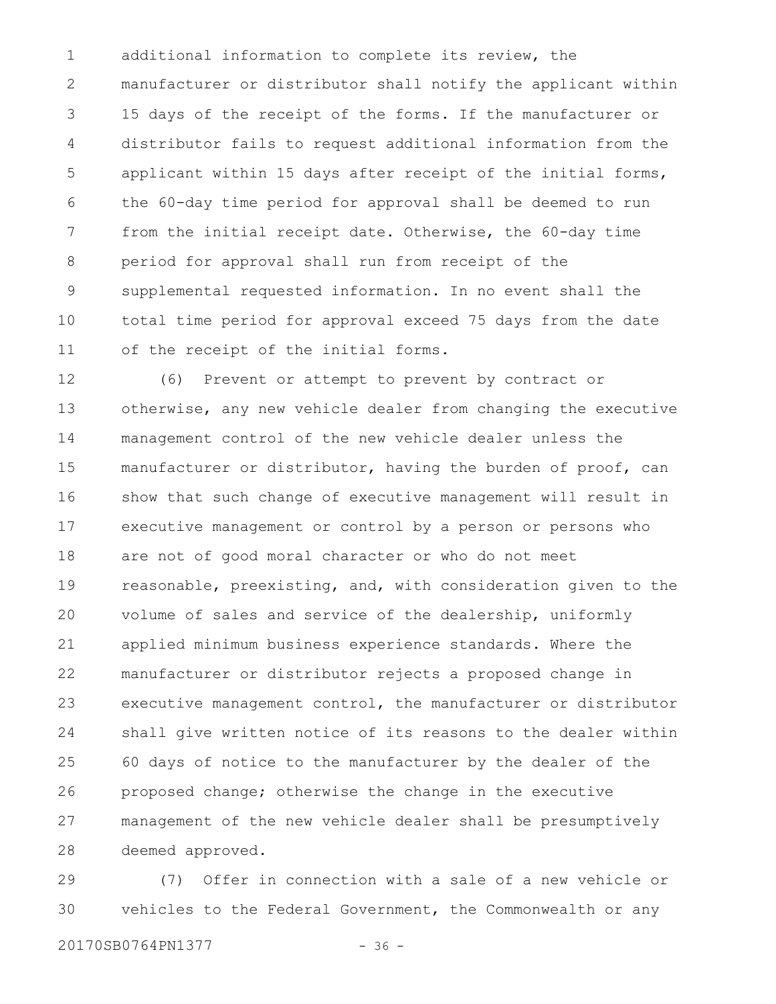additional information to complete its review, the manufacturer or distributor shall notify the applicant within 15 days of the receipt of the forms. If the manufacturer or distributor fails to request additional information from the applicant within 15 days after receipt of the initial forms, the 60-day time period for approval shall be deemed to run from the initial receipt date. Otherwise, the 60-day time period for approval shall run from receipt of the supplemental requested information. In no event shall the total time period for approval exceed 75 days from the date of the receipt of the initial forms. 1 2 3 4 5 6 7 8 9 10 11

(6) Prevent or attempt to prevent by contract or otherwise, any new vehicle dealer from changing the executive management control of the new vehicle dealer unless the manufacturer or distributor, having the burden of proof, can show that such change of executive management will result in executive management or control by a person or persons who are not of good moral character or who do not meet reasonable, preexisting, and, with consideration given to the volume of sales and service of the dealership, uniformly applied minimum business experience standards. Where the manufacturer or distributor rejects a proposed change in executive management control, the manufacturer or distributor shall give written notice of its reasons to the dealer within 60 days of notice to the manufacturer by the dealer of the proposed change; otherwise the change in the executive management of the new vehicle dealer shall be presumptively deemed approved. 12 13 14 15 16 17 18 19 20 21 22 23 24 25 26 27 28

(7) Offer in connection with a sale of a new vehicle or vehicles to the Federal Government, the Commonwealth or any 29 30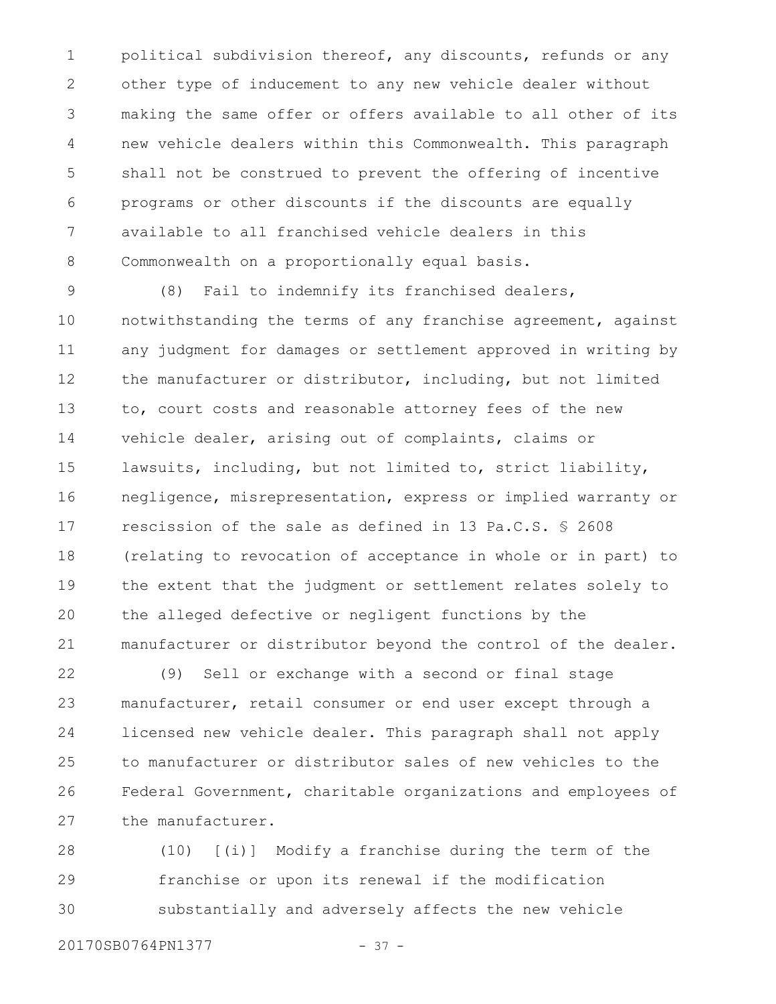political subdivision thereof, any discounts, refunds or any other type of inducement to any new vehicle dealer without making the same offer or offers available to all other of its new vehicle dealers within this Commonwealth. This paragraph shall not be construed to prevent the offering of incentive programs or other discounts if the discounts are equally available to all franchised vehicle dealers in this Commonwealth on a proportionally equal basis. 1 2 3 4 5 6 7 8

(8) Fail to indemnify its franchised dealers, notwithstanding the terms of any franchise agreement, against any judgment for damages or settlement approved in writing by the manufacturer or distributor, including, but not limited to, court costs and reasonable attorney fees of the new vehicle dealer, arising out of complaints, claims or lawsuits, including, but not limited to, strict liability, negligence, misrepresentation, express or implied warranty or rescission of the sale as defined in 13 Pa.C.S. § 2608 (relating to revocation of acceptance in whole or in part) to the extent that the judgment or settlement relates solely to the alleged defective or negligent functions by the manufacturer or distributor beyond the control of the dealer. 9 10 11 12 13 14 15 16 17 18 19 20 21

(9) Sell or exchange with a second or final stage manufacturer, retail consumer or end user except through a licensed new vehicle dealer. This paragraph shall not apply to manufacturer or distributor sales of new vehicles to the Federal Government, charitable organizations and employees of the manufacturer. 22 23 24 25 26 27

(10) [(i)] Modify a franchise during the term of the franchise or upon its renewal if the modification substantially and adversely affects the new vehicle 28 29 30

20170SB0764PN1377 - 37 -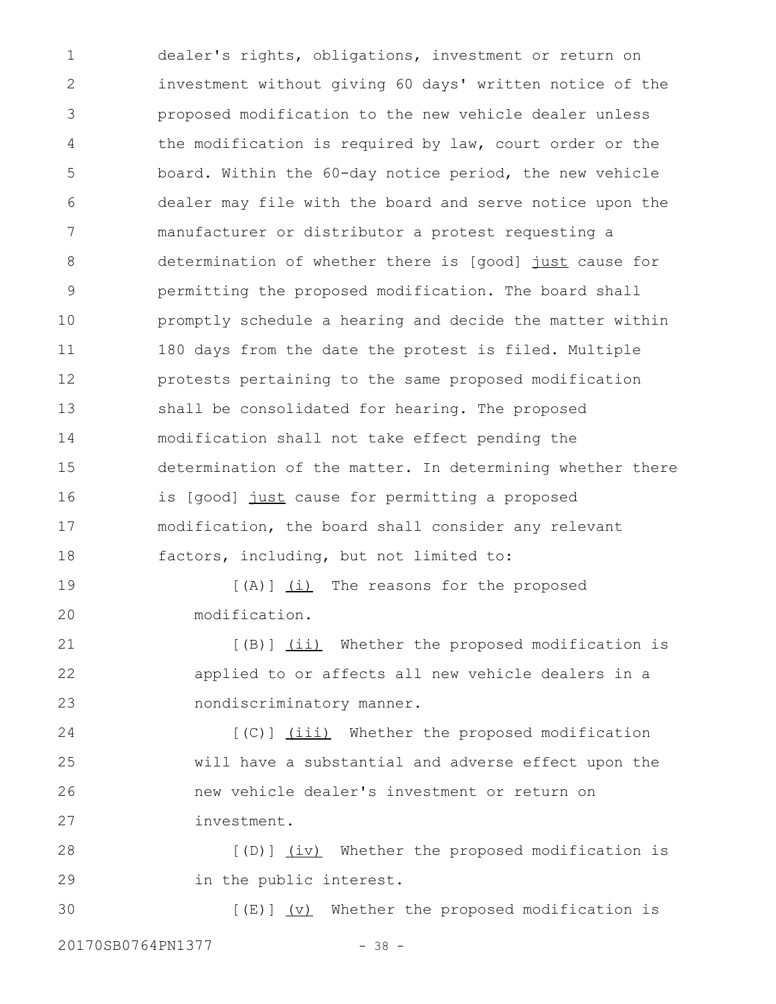dealer's rights, obligations, investment or return on investment without giving 60 days' written notice of the proposed modification to the new vehicle dealer unless the modification is required by law, court order or the board. Within the 60-day notice period, the new vehicle dealer may file with the board and serve notice upon the manufacturer or distributor a protest requesting a determination of whether there is [good] just cause for permitting the proposed modification. The board shall promptly schedule a hearing and decide the matter within 180 days from the date the protest is filed. Multiple protests pertaining to the same proposed modification shall be consolidated for hearing. The proposed modification shall not take effect pending the determination of the matter. In determining whether there is [good] just cause for permitting a proposed modification, the board shall consider any relevant factors, including, but not limited to:  $[(A)]$   $(i)$  The reasons for the proposed modification. [(B)] (ii) Whether the proposed modification is applied to or affects all new vehicle dealers in a nondiscriminatory manner. [(C)] (iii) Whether the proposed modification will have a substantial and adverse effect upon the new vehicle dealer's investment or return on investment. [(D)] (iv) Whether the proposed modification is in the public interest. 1 2 3 4 5 6 7 8 9 10 11 12 13 14 15 16 17 18 19 20 21 22 23 24 25 26 27 28 29

 $[(E)]$   $(V)$  Whether the proposed modification is 20170SB0764PN1377 - 38 -30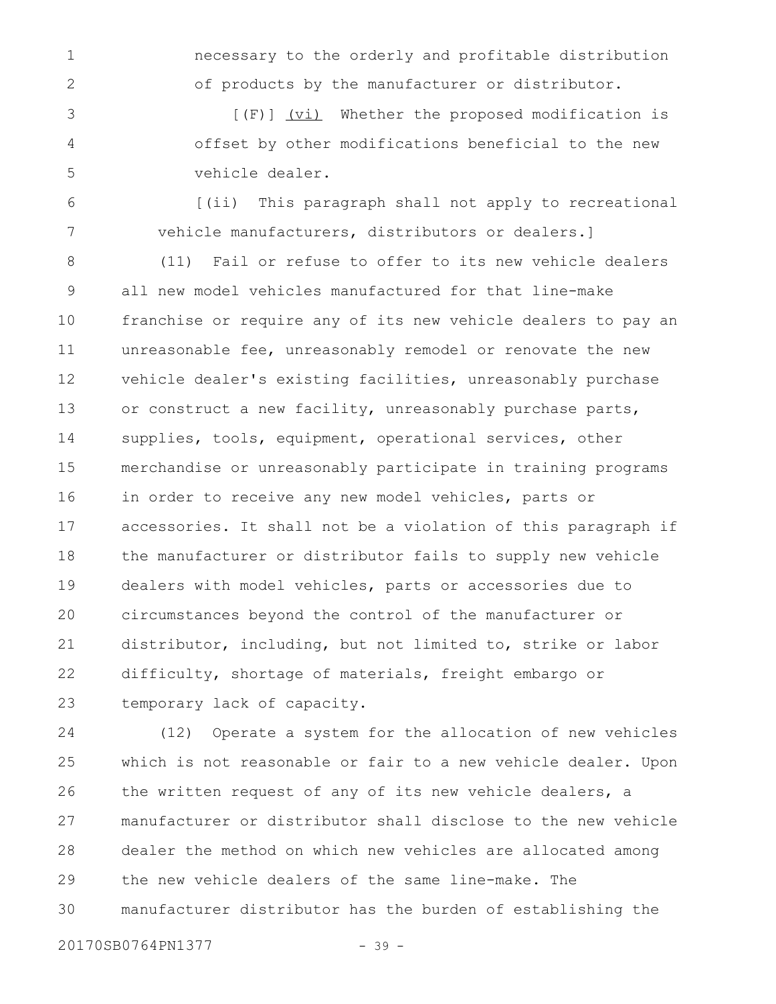necessary to the orderly and profitable distribution of products by the manufacturer or distributor.

[(F)] (vi) Whether the proposed modification is offset by other modifications beneficial to the new vehicle dealer. 3 4 5

[(ii) This paragraph shall not apply to recreational vehicle manufacturers, distributors or dealers.] 6 7

(11) Fail or refuse to offer to its new vehicle dealers all new model vehicles manufactured for that line-make franchise or require any of its new vehicle dealers to pay an unreasonable fee, unreasonably remodel or renovate the new vehicle dealer's existing facilities, unreasonably purchase or construct a new facility, unreasonably purchase parts, supplies, tools, equipment, operational services, other merchandise or unreasonably participate in training programs in order to receive any new model vehicles, parts or accessories. It shall not be a violation of this paragraph if the manufacturer or distributor fails to supply new vehicle dealers with model vehicles, parts or accessories due to circumstances beyond the control of the manufacturer or distributor, including, but not limited to, strike or labor difficulty, shortage of materials, freight embargo or temporary lack of capacity. 8 9 10 11 12 13 14 15 16 17 18 19 20 21 22 23

(12) Operate a system for the allocation of new vehicles which is not reasonable or fair to a new vehicle dealer. Upon the written request of any of its new vehicle dealers, a manufacturer or distributor shall disclose to the new vehicle dealer the method on which new vehicles are allocated among the new vehicle dealers of the same line-make. The manufacturer distributor has the burden of establishing the 24 25 26 27 28 29 30

20170SB0764PN1377 - 39 -

1

2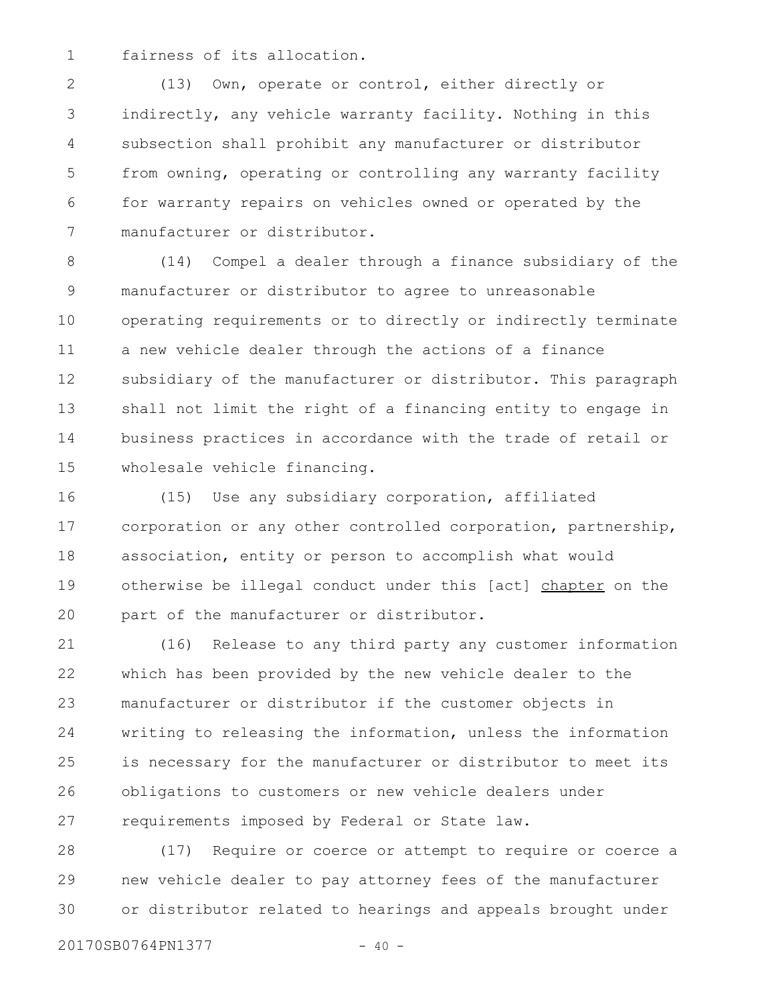fairness of its allocation. 1

(13) Own, operate or control, either directly or indirectly, any vehicle warranty facility. Nothing in this subsection shall prohibit any manufacturer or distributor from owning, operating or controlling any warranty facility for warranty repairs on vehicles owned or operated by the manufacturer or distributor. 2 3 4 5 6 7

(14) Compel a dealer through a finance subsidiary of the manufacturer or distributor to agree to unreasonable operating requirements or to directly or indirectly terminate a new vehicle dealer through the actions of a finance subsidiary of the manufacturer or distributor. This paragraph shall not limit the right of a financing entity to engage in business practices in accordance with the trade of retail or wholesale vehicle financing. 8 9 10 11 12 13 14 15

(15) Use any subsidiary corporation, affiliated corporation or any other controlled corporation, partnership, association, entity or person to accomplish what would otherwise be illegal conduct under this [act] chapter on the part of the manufacturer or distributor. 16 17 18 19 20

(16) Release to any third party any customer information which has been provided by the new vehicle dealer to the manufacturer or distributor if the customer objects in writing to releasing the information, unless the information is necessary for the manufacturer or distributor to meet its obligations to customers or new vehicle dealers under requirements imposed by Federal or State law. 21 22 23 24 25 26 27

(17) Require or coerce or attempt to require or coerce a new vehicle dealer to pay attorney fees of the manufacturer or distributor related to hearings and appeals brought under 28 29 30

20170SB0764PN1377 - 40 -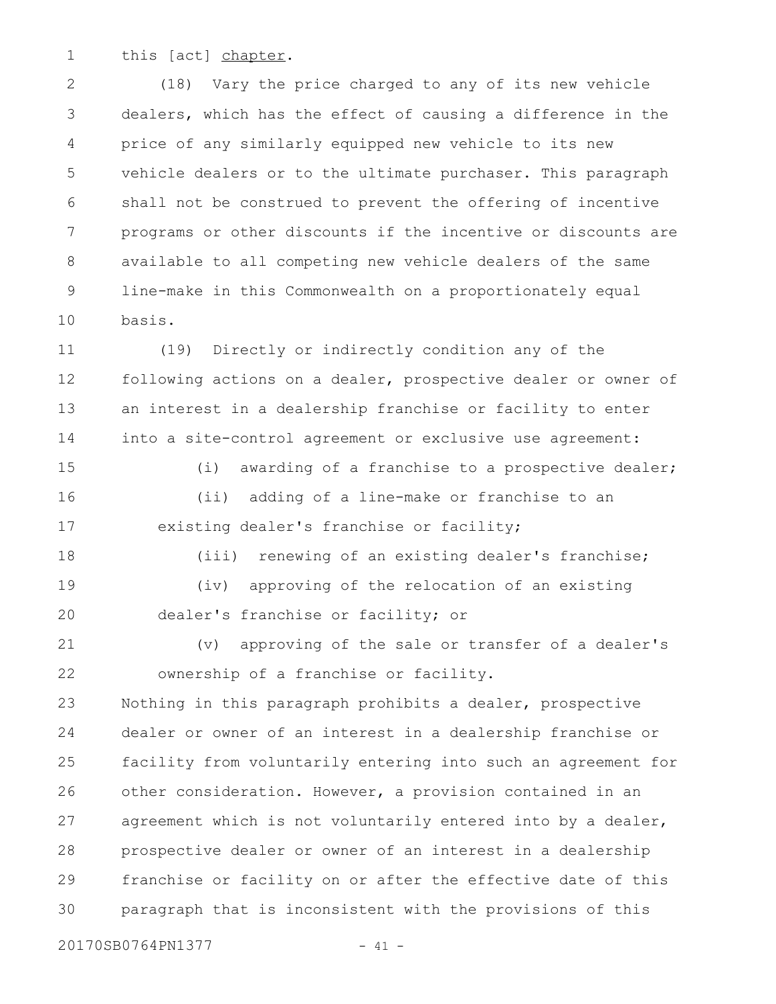this [act] chapter. 1

(18) Vary the price charged to any of its new vehicle dealers, which has the effect of causing a difference in the price of any similarly equipped new vehicle to its new vehicle dealers or to the ultimate purchaser. This paragraph shall not be construed to prevent the offering of incentive programs or other discounts if the incentive or discounts are available to all competing new vehicle dealers of the same line-make in this Commonwealth on a proportionately equal basis. 2 3 4 5 6 7 8 9 10

(19) Directly or indirectly condition any of the following actions on a dealer, prospective dealer or owner of an interest in a dealership franchise or facility to enter into a site-control agreement or exclusive use agreement: 11 12 13 14

(i) awarding of a franchise to a prospective dealer; (ii) adding of a line-make or franchise to an existing dealer's franchise or facility; 15 16 17

(iii) renewing of an existing dealer's franchise; (iv) approving of the relocation of an existing dealer's franchise or facility; or 18 19 20

(v) approving of the sale or transfer of a dealer's ownership of a franchise or facility. 21 22

Nothing in this paragraph prohibits a dealer, prospective dealer or owner of an interest in a dealership franchise or facility from voluntarily entering into such an agreement for other consideration. However, a provision contained in an agreement which is not voluntarily entered into by a dealer, prospective dealer or owner of an interest in a dealership franchise or facility on or after the effective date of this paragraph that is inconsistent with the provisions of this 23 24 25 26 27 28 29 30

20170SB0764PN1377 - 41 -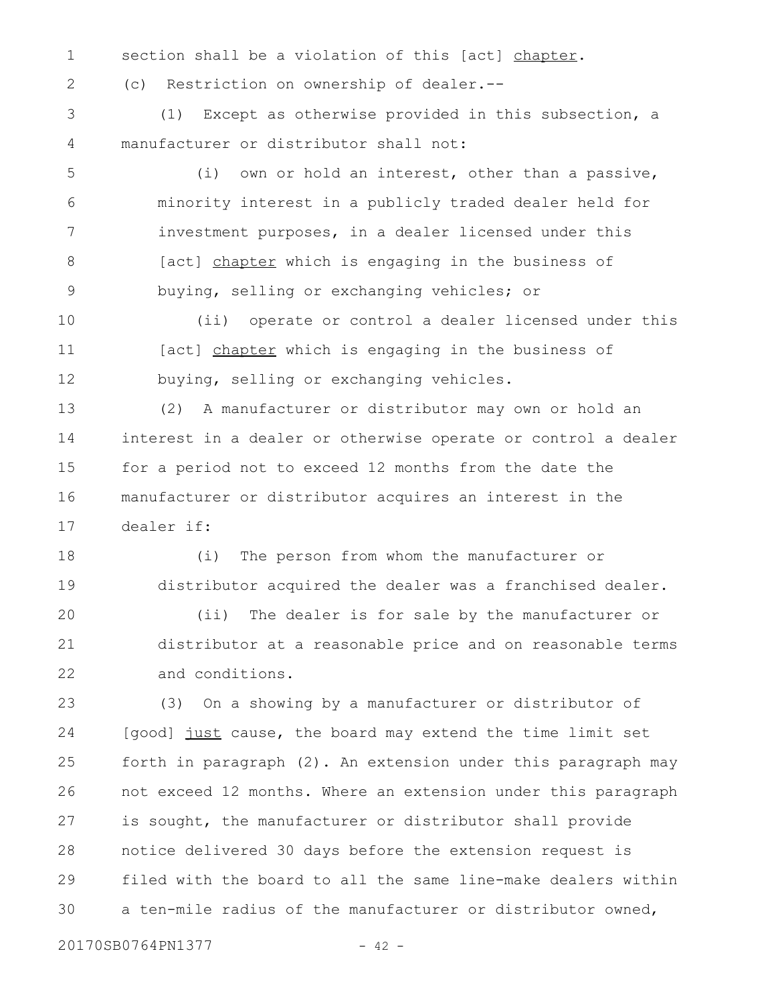- section shall be a violation of this [act] chapter. 1
- 2

(c) Restriction on ownership of dealer.--

(1) Except as otherwise provided in this subsection, a manufacturer or distributor shall not: 3 4

- (i) own or hold an interest, other than a passive, minority interest in a publicly traded dealer held for investment purposes, in a dealer licensed under this [act] chapter which is engaging in the business of buying, selling or exchanging vehicles; or 5 6 7 8 9
- (ii) operate or control a dealer licensed under this [act] chapter which is engaging in the business of buying, selling or exchanging vehicles. 10 11 12

(2) A manufacturer or distributor may own or hold an interest in a dealer or otherwise operate or control a dealer for a period not to exceed 12 months from the date the manufacturer or distributor acquires an interest in the dealer if: 13 14 15 16 17

(i) The person from whom the manufacturer or distributor acquired the dealer was a franchised dealer. (ii) The dealer is for sale by the manufacturer or distributor at a reasonable price and on reasonable terms and conditions. 18 19 20 21 22

(3) On a showing by a manufacturer or distributor of [good] just cause, the board may extend the time limit set forth in paragraph (2). An extension under this paragraph may not exceed 12 months. Where an extension under this paragraph is sought, the manufacturer or distributor shall provide notice delivered 30 days before the extension request is filed with the board to all the same line-make dealers within a ten-mile radius of the manufacturer or distributor owned, 23 24 25 26 27 28 29 30

20170SB0764PN1377 - 42 -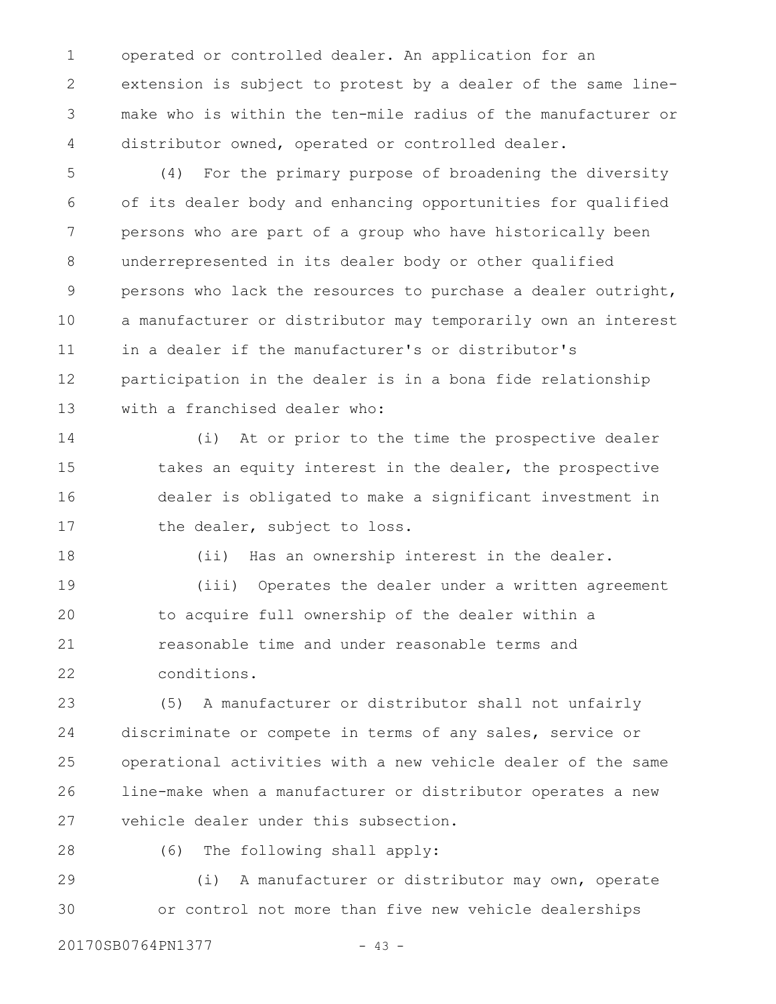operated or controlled dealer. An application for an extension is subject to protest by a dealer of the same linemake who is within the ten-mile radius of the manufacturer or distributor owned, operated or controlled dealer. 1 2 3 4

(4) For the primary purpose of broadening the diversity of its dealer body and enhancing opportunities for qualified persons who are part of a group who have historically been underrepresented in its dealer body or other qualified persons who lack the resources to purchase a dealer outright, a manufacturer or distributor may temporarily own an interest in a dealer if the manufacturer's or distributor's participation in the dealer is in a bona fide relationship with a franchised dealer who: 5 6 7 8 9 10 11 12 13

(i) At or prior to the time the prospective dealer takes an equity interest in the dealer, the prospective dealer is obligated to make a significant investment in the dealer, subject to loss. 14 15 16 17

(ii) Has an ownership interest in the dealer.

(iii) Operates the dealer under a written agreement to acquire full ownership of the dealer within a reasonable time and under reasonable terms and conditions. 19 20 21 22

(5) A manufacturer or distributor shall not unfairly discriminate or compete in terms of any sales, service or operational activities with a new vehicle dealer of the same line-make when a manufacturer or distributor operates a new vehicle dealer under this subsection. 23 24 25 26 27

28

18

(6) The following shall apply:

(i) A manufacturer or distributor may own, operate or control not more than five new vehicle dealerships 29 30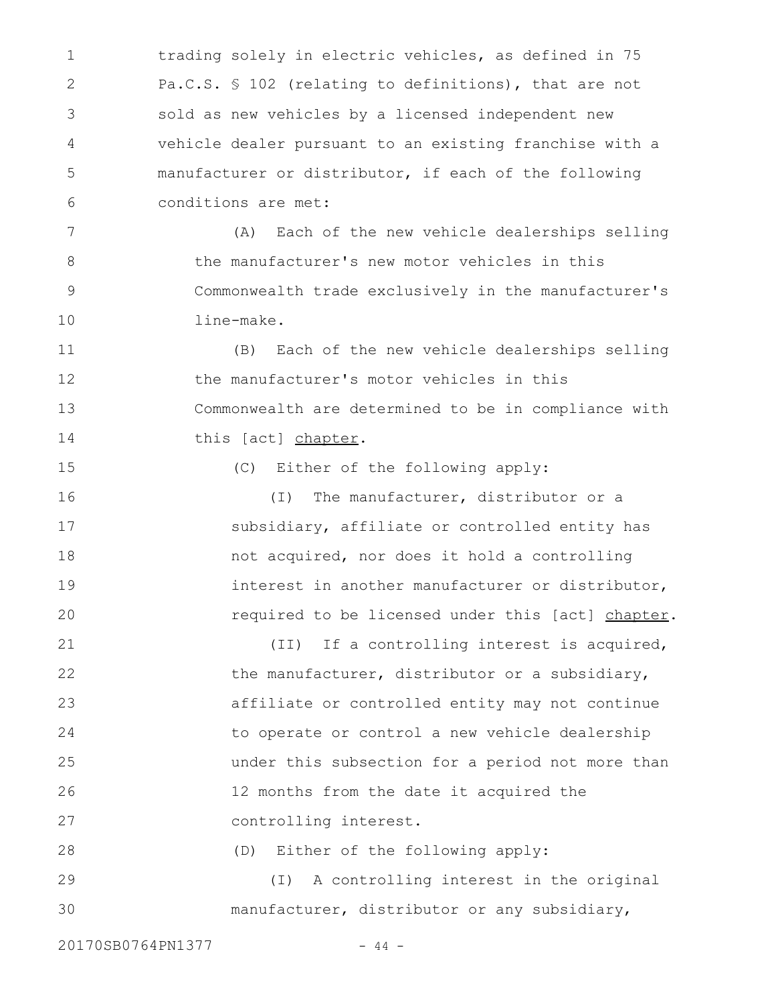trading solely in electric vehicles, as defined in 75 Pa.C.S. § 102 (relating to definitions), that are not sold as new vehicles by a licensed independent new vehicle dealer pursuant to an existing franchise with a manufacturer or distributor, if each of the following conditions are met: 1 2 3 4 5 6

(A) Each of the new vehicle dealerships selling the manufacturer's new motor vehicles in this Commonwealth trade exclusively in the manufacturer's line-make. 7 8 9 10

(B) Each of the new vehicle dealerships selling the manufacturer's motor vehicles in this Commonwealth are determined to be in compliance with this [act] chapter. 11 12 13 14

(C) Either of the following apply:

(I) The manufacturer, distributor or a subsidiary, affiliate or controlled entity has not acquired, nor does it hold a controlling interest in another manufacturer or distributor, required to be licensed under this [act] chapter. 16 17 18 19 20

(II) If a controlling interest is acquired, the manufacturer, distributor or a subsidiary, affiliate or controlled entity may not continue to operate or control a new vehicle dealership under this subsection for a period not more than 12 months from the date it acquired the controlling interest. 21 22 23 24 25 26 27

(D) Either of the following apply: 28

(I) A controlling interest in the original manufacturer, distributor or any subsidiary, 29 30

20170SB0764PN1377 - 44 -

15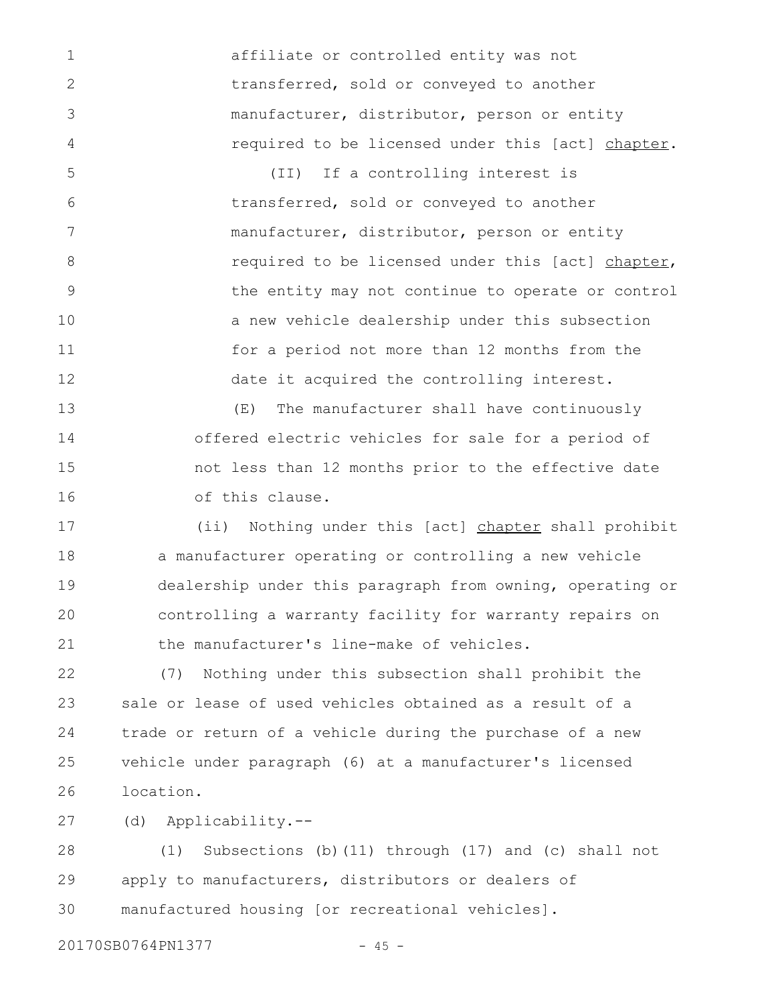affiliate or controlled entity was not transferred, sold or conveyed to another manufacturer, distributor, person or entity required to be licensed under this [act] chapter.

(II) If a controlling interest is transferred, sold or conveyed to another manufacturer, distributor, person or entity required to be licensed under this [act] chapter, the entity may not continue to operate or control a new vehicle dealership under this subsection for a period not more than 12 months from the date it acquired the controlling interest. 5 6 7 8 9 10 11 12

(E) The manufacturer shall have continuously offered electric vehicles for sale for a period of not less than 12 months prior to the effective date of this clause. 13 14 15 16

(ii) Nothing under this [act] chapter shall prohibit a manufacturer operating or controlling a new vehicle dealership under this paragraph from owning, operating or controlling a warranty facility for warranty repairs on the manufacturer's line-make of vehicles. 17 18 19 20 21

(7) Nothing under this subsection shall prohibit the sale or lease of used vehicles obtained as a result of a trade or return of a vehicle during the purchase of a new vehicle under paragraph (6) at a manufacturer's licensed location. 22 23 24 25 26

(d) Applicability.-- 27

(1) Subsections (b)(11) through (17) and (c) shall not apply to manufacturers, distributors or dealers of manufactured housing [or recreational vehicles]. 28 29 30

20170SB0764PN1377 - 45 -

1

2

3

4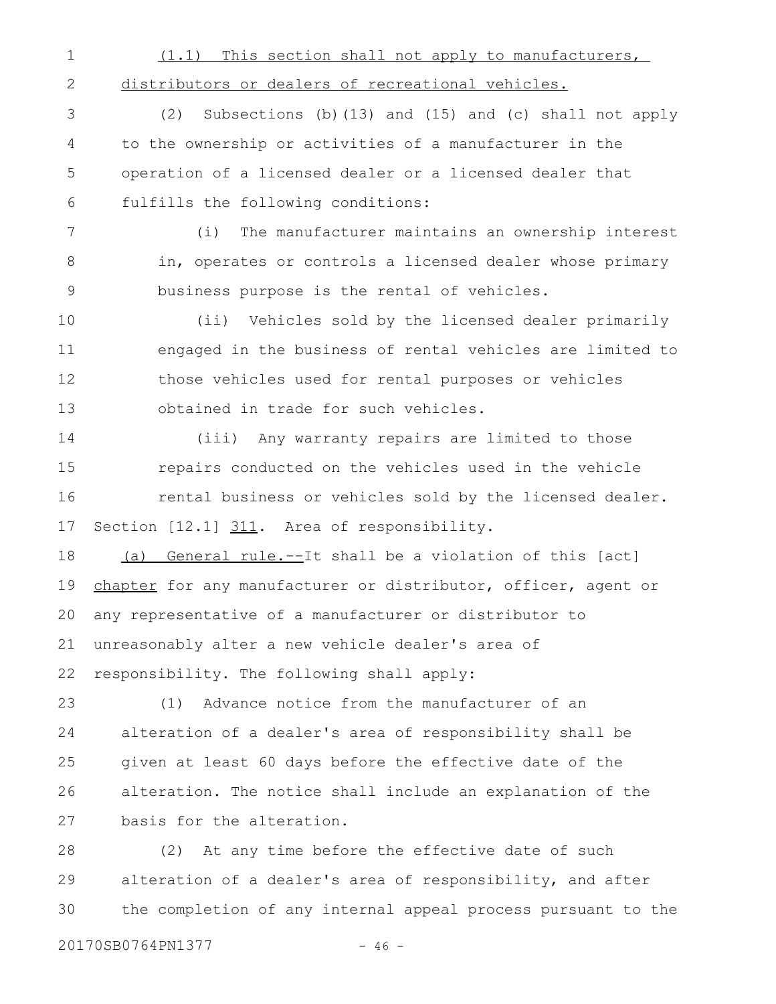| $\mathbf 1$ | (1.1) This section shall not apply to manufacturers,           |
|-------------|----------------------------------------------------------------|
| 2           | distributors or dealers of recreational vehicles.              |
| 3           | Subsections (b) (13) and (15) and (c) shall not apply<br>(2)   |
| 4           | to the ownership or activities of a manufacturer in the        |
| 5           | operation of a licensed dealer or a licensed dealer that       |
| 6           | fulfills the following conditions:                             |
| 7           | The manufacturer maintains an ownership interest<br>(i)        |
| 8           | in, operates or controls a licensed dealer whose primary       |
| $\mathsf 9$ | business purpose is the rental of vehicles.                    |
| 10          | (ii) Vehicles sold by the licensed dealer primarily            |
| 11          | engaged in the business of rental vehicles are limited to      |
| 12          | those vehicles used for rental purposes or vehicles            |
| 13          | obtained in trade for such vehicles.                           |
| 14          | (iii) Any warranty repairs are limited to those                |
| 15          | repairs conducted on the vehicles used in the vehicle          |
| 16          | rental business or vehicles sold by the licensed dealer.       |
| 17          | Section [12.1] 311. Area of responsibility.                    |
| 18          | (a) General rule.--It shall be a violation of this [act]       |
| 19          | chapter for any manufacturer or distributor, officer, agent or |
|             | 20 any representative of a manufacturer or distributor to      |
| 21          | unreasonably alter a new vehicle dealer's area of              |
| 22          | responsibility. The following shall apply:                     |
| 23          | Advance notice from the manufacturer of an<br>(1)              |
| 24          | alteration of a dealer's area of responsibility shall be       |
| 25          | given at least 60 days before the effective date of the        |
| 26          | alteration. The notice shall include an explanation of the     |
| 27          | basis for the alteration.                                      |
|             |                                                                |

(2) At any time before the effective date of such alteration of a dealer's area of responsibility, and after the completion of any internal appeal process pursuant to the 28 29 30

20170SB0764PN1377 - 46 -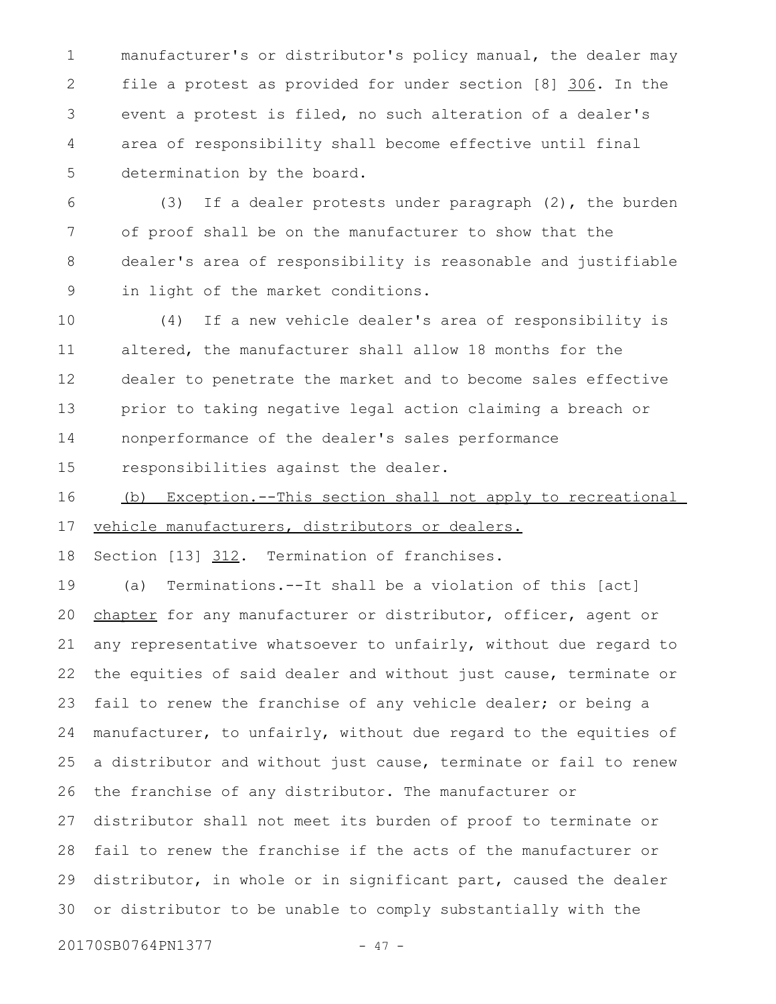manufacturer's or distributor's policy manual, the dealer may file a protest as provided for under section [8] 306. In the event a protest is filed, no such alteration of a dealer's area of responsibility shall become effective until final determination by the board. 1 2 3 4 5

(3) If a dealer protests under paragraph (2), the burden of proof shall be on the manufacturer to show that the dealer's area of responsibility is reasonable and justifiable in light of the market conditions. 6 7 8 9

(4) If a new vehicle dealer's area of responsibility is altered, the manufacturer shall allow 18 months for the dealer to penetrate the market and to become sales effective prior to taking negative legal action claiming a breach or nonperformance of the dealer's sales performance responsibilities against the dealer. 10 11 12 13 14 15

(b) Exception.--This section shall not apply to recreational vehicle manufacturers, distributors or dealers. 16 17

Section [13] 312. Termination of franchises. 18

(a) Terminations.--It shall be a violation of this [act] chapter for any manufacturer or distributor, officer, agent or any representative whatsoever to unfairly, without due regard to the equities of said dealer and without just cause, terminate or fail to renew the franchise of any vehicle dealer; or being a manufacturer, to unfairly, without due regard to the equities of a distributor and without just cause, terminate or fail to renew the franchise of any distributor. The manufacturer or distributor shall not meet its burden of proof to terminate or fail to renew the franchise if the acts of the manufacturer or distributor, in whole or in significant part, caused the dealer or distributor to be unable to comply substantially with the 19 20 21 22 23 24 25 26 27 28 29 30

20170SB0764PN1377 - 47 -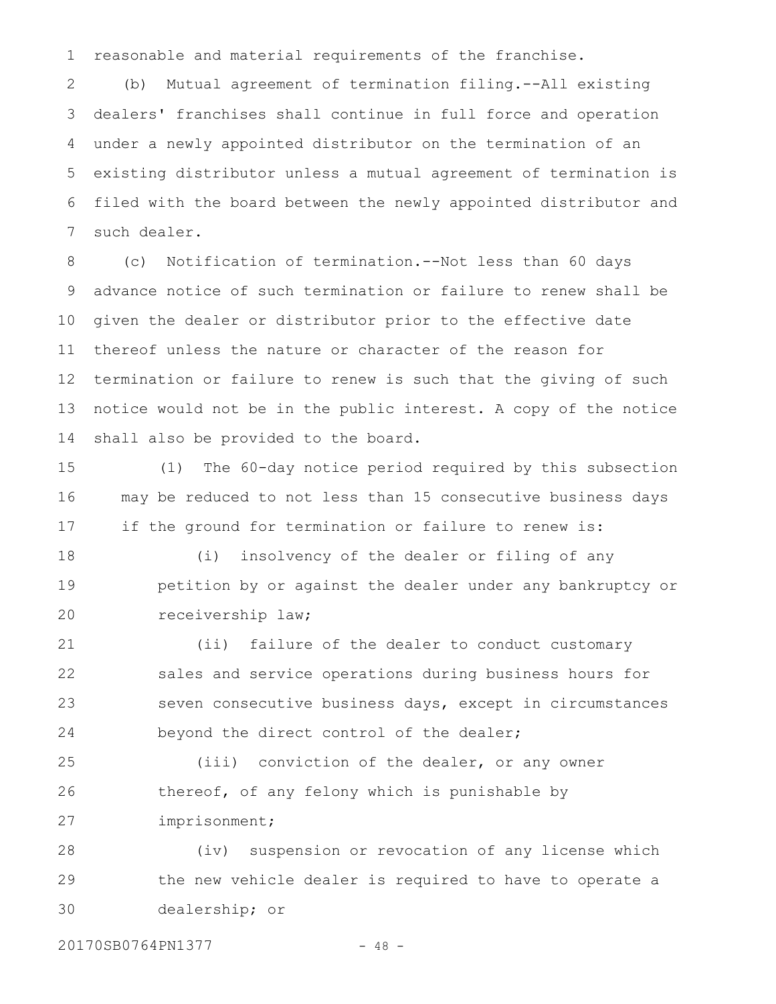reasonable and material requirements of the franchise. 1

(b) Mutual agreement of termination filing.--All existing dealers' franchises shall continue in full force and operation under a newly appointed distributor on the termination of an existing distributor unless a mutual agreement of termination is filed with the board between the newly appointed distributor and such dealer. 2 3 4 5 6 7

(c) Notification of termination.--Not less than 60 days advance notice of such termination or failure to renew shall be given the dealer or distributor prior to the effective date thereof unless the nature or character of the reason for termination or failure to renew is such that the giving of such notice would not be in the public interest. A copy of the notice shall also be provided to the board. 8 9 10 11 12 13 14

(1) The 60-day notice period required by this subsection may be reduced to not less than 15 consecutive business days if the ground for termination or failure to renew is: 15 16 17

(i) insolvency of the dealer or filing of any petition by or against the dealer under any bankruptcy or receivership law; 18 19 20

(ii) failure of the dealer to conduct customary sales and service operations during business hours for seven consecutive business days, except in circumstances beyond the direct control of the dealer; 21 22 23 24

(iii) conviction of the dealer, or any owner thereof, of any felony which is punishable by imprisonment; 25 26 27

(iv) suspension or revocation of any license which the new vehicle dealer is required to have to operate a dealership; or 28 29 30

20170SB0764PN1377 - 48 -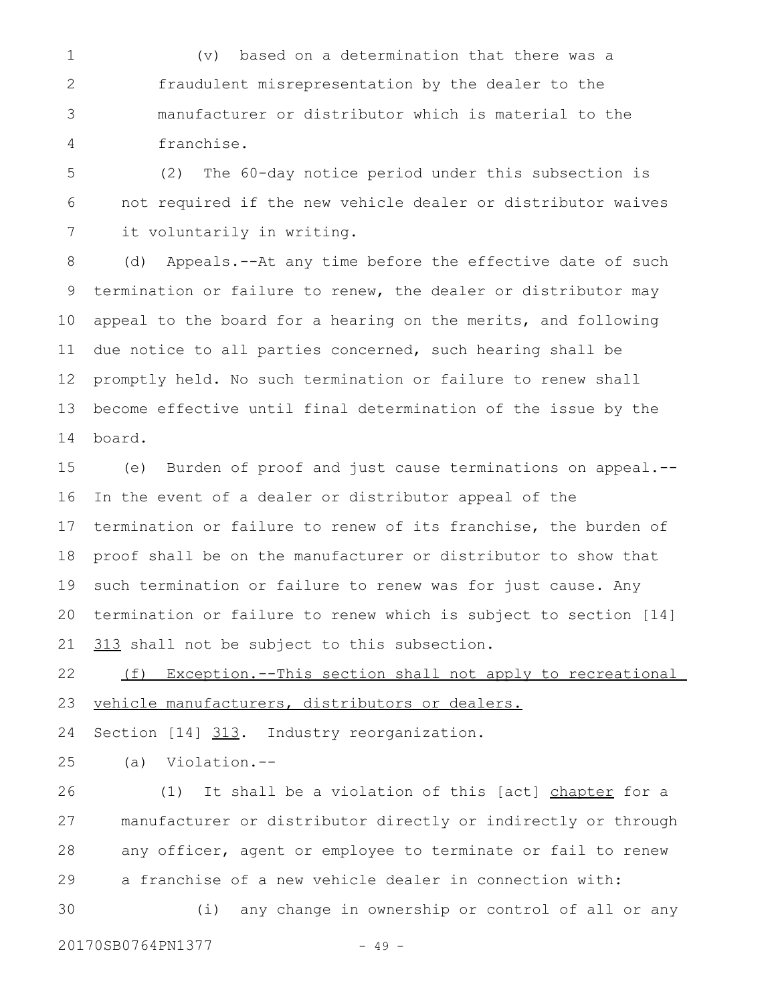(v) based on a determination that there was a fraudulent misrepresentation by the dealer to the manufacturer or distributor which is material to the franchise. 1 2 3 4

(2) The 60-day notice period under this subsection is not required if the new vehicle dealer or distributor waives it voluntarily in writing. 5 6 7

(d) Appeals.--At any time before the effective date of such termination or failure to renew, the dealer or distributor may appeal to the board for a hearing on the merits, and following due notice to all parties concerned, such hearing shall be promptly held. No such termination or failure to renew shall become effective until final determination of the issue by the board. 8 9 10 11 12 13 14

(e) Burden of proof and just cause terminations on appeal.-- In the event of a dealer or distributor appeal of the termination or failure to renew of its franchise, the burden of proof shall be on the manufacturer or distributor to show that such termination or failure to renew was for just cause. Any termination or failure to renew which is subject to section [14] 313 shall not be subject to this subsection. 15 16 17 18 19 20 21

(f) Exception.--This section shall not apply to recreational vehicle manufacturers, distributors or dealers. 22 23

Section [14] 313. Industry reorganization. 24

(a) Violation.-- 25

(1) It shall be a violation of this [act] chapter for a manufacturer or distributor directly or indirectly or through any officer, agent or employee to terminate or fail to renew a franchise of a new vehicle dealer in connection with: (i) any change in ownership or control of all or any 26 27 28 29 30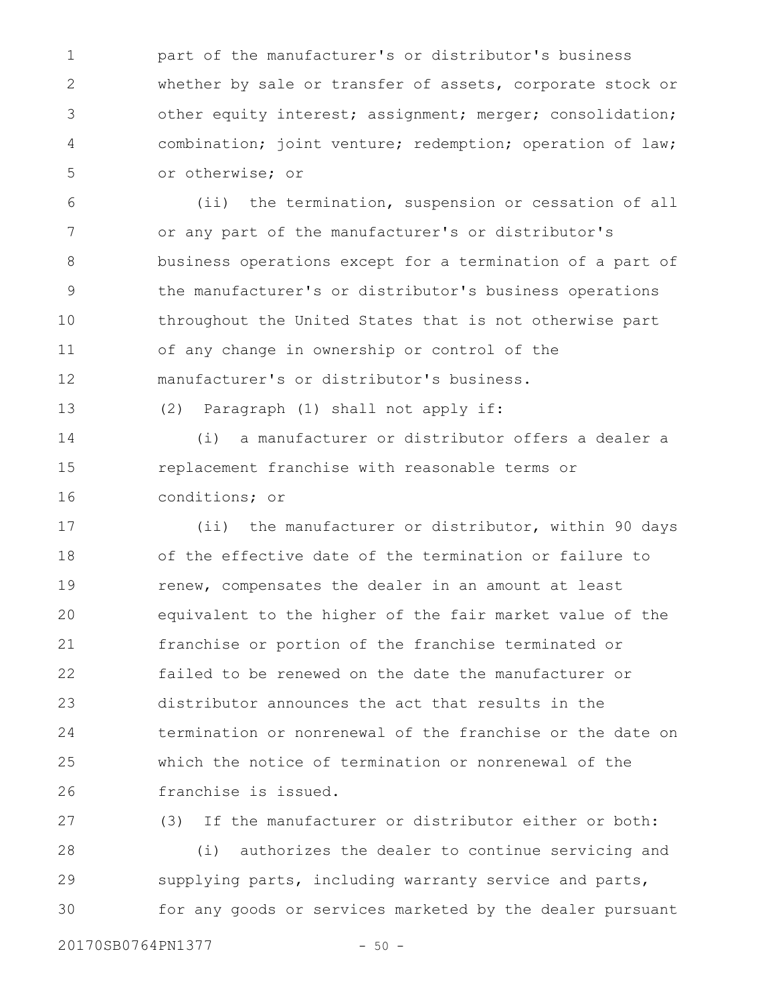part of the manufacturer's or distributor's business whether by sale or transfer of assets, corporate stock or other equity interest; assignment; merger; consolidation; combination; joint venture; redemption; operation of law; or otherwise; or 1 2 3 4 5

(ii) the termination, suspension or cessation of all or any part of the manufacturer's or distributor's business operations except for a termination of a part of the manufacturer's or distributor's business operations throughout the United States that is not otherwise part of any change in ownership or control of the manufacturer's or distributor's business. 6 7 8 9 10 11 12

13

(2) Paragraph (1) shall not apply if:

(i) a manufacturer or distributor offers a dealer a replacement franchise with reasonable terms or conditions; or 14 15 16

(ii) the manufacturer or distributor, within 90 days of the effective date of the termination or failure to renew, compensates the dealer in an amount at least equivalent to the higher of the fair market value of the franchise or portion of the franchise terminated or failed to be renewed on the date the manufacturer or distributor announces the act that results in the termination or nonrenewal of the franchise or the date on which the notice of termination or nonrenewal of the franchise is issued. 17 18 19 20 21 22 23 24 25 26

(3) If the manufacturer or distributor either or both: (i) authorizes the dealer to continue servicing and supplying parts, including warranty service and parts, for any goods or services marketed by the dealer pursuant 27 28 29 30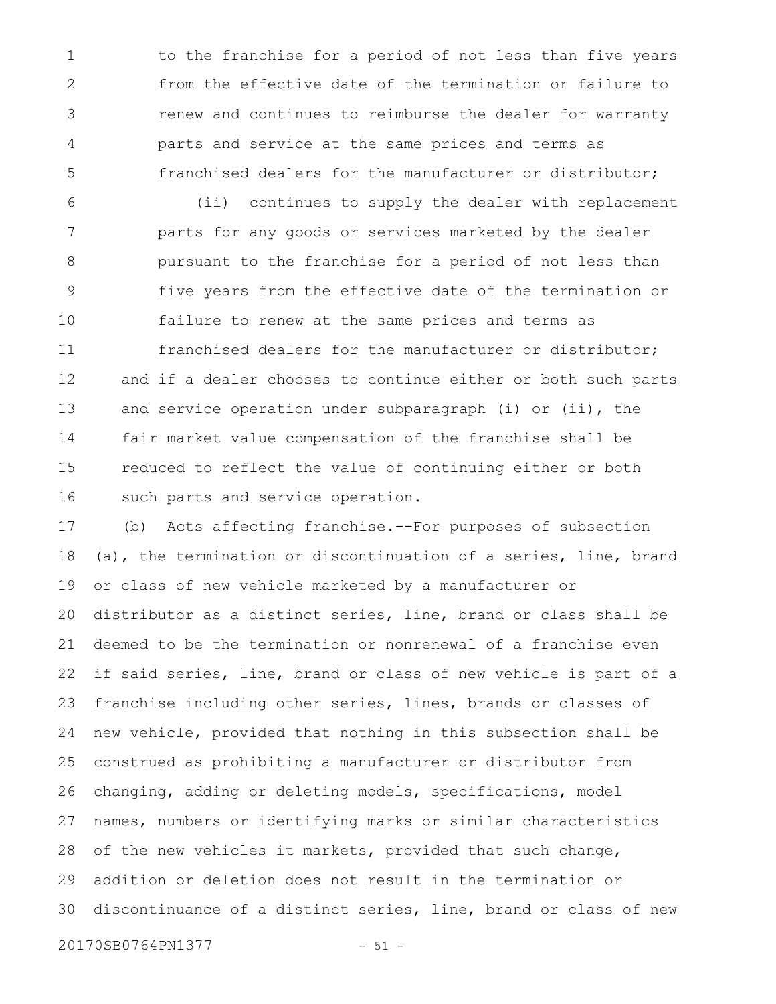to the franchise for a period of not less than five years from the effective date of the termination or failure to renew and continues to reimburse the dealer for warranty parts and service at the same prices and terms as franchised dealers for the manufacturer or distributor; 1 2 3 4 5

(ii) continues to supply the dealer with replacement parts for any goods or services marketed by the dealer pursuant to the franchise for a period of not less than five years from the effective date of the termination or failure to renew at the same prices and terms as franchised dealers for the manufacturer or distributor; and if a dealer chooses to continue either or both such parts and service operation under subparagraph (i) or (ii), the fair market value compensation of the franchise shall be reduced to reflect the value of continuing either or both such parts and service operation. 6 7 8 9 10 11 12 13 14 15 16

(b) Acts affecting franchise.--For purposes of subsection (a), the termination or discontinuation of a series, line, brand or class of new vehicle marketed by a manufacturer or distributor as a distinct series, line, brand or class shall be deemed to be the termination or nonrenewal of a franchise even if said series, line, brand or class of new vehicle is part of a franchise including other series, lines, brands or classes of new vehicle, provided that nothing in this subsection shall be construed as prohibiting a manufacturer or distributor from changing, adding or deleting models, specifications, model names, numbers or identifying marks or similar characteristics of the new vehicles it markets, provided that such change, addition or deletion does not result in the termination or discontinuance of a distinct series, line, brand or class of new 17 18 19 20 21 22 23 24 25 26 27 28 29 30

20170SB0764PN1377 - 51 -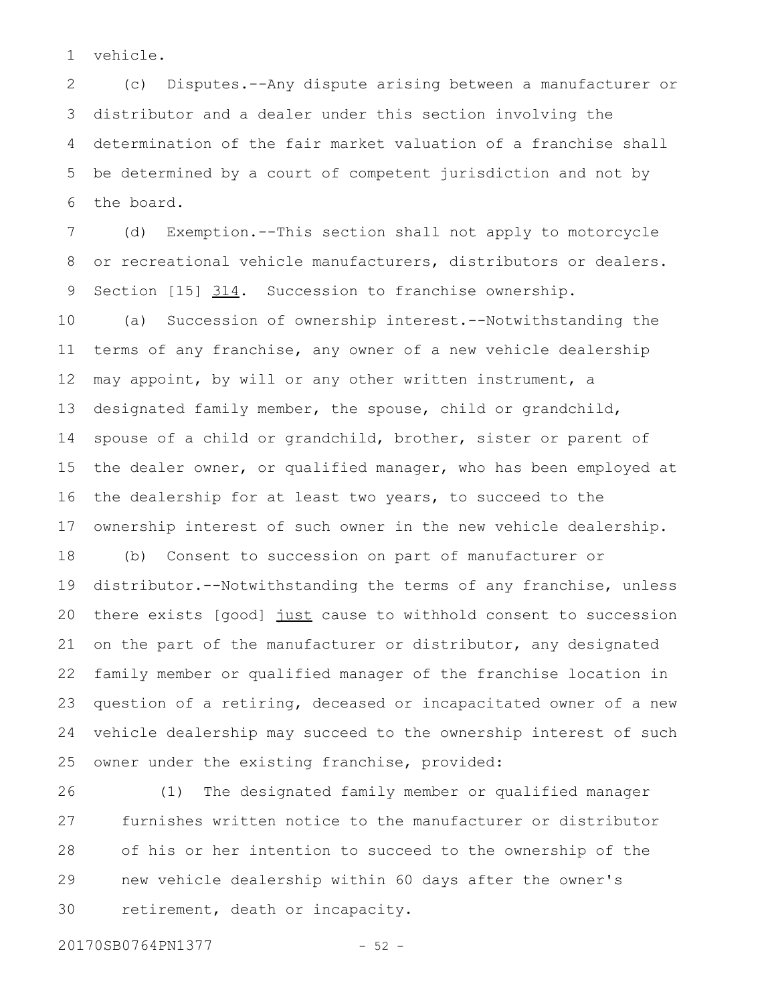vehicle. 1

(c) Disputes.--Any dispute arising between a manufacturer or distributor and a dealer under this section involving the determination of the fair market valuation of a franchise shall be determined by a court of competent jurisdiction and not by the board. 2 3 4 5 6

(d) Exemption.--This section shall not apply to motorcycle or recreational vehicle manufacturers, distributors or dealers. Section  $[15]$   $314$ . Succession to franchise ownership. 7 8 9

(a) Succession of ownership interest.--Notwithstanding the terms of any franchise, any owner of a new vehicle dealership may appoint, by will or any other written instrument, a designated family member, the spouse, child or grandchild, spouse of a child or grandchild, brother, sister or parent of the dealer owner, or qualified manager, who has been employed at the dealership for at least two years, to succeed to the ownership interest of such owner in the new vehicle dealership. 10 11 12 13 14 15 16 17

(b) Consent to succession on part of manufacturer or distributor.--Notwithstanding the terms of any franchise, unless there exists [good] just cause to withhold consent to succession on the part of the manufacturer or distributor, any designated family member or qualified manager of the franchise location in question of a retiring, deceased or incapacitated owner of a new vehicle dealership may succeed to the ownership interest of such owner under the existing franchise, provided: 18 19 20 21 22 23 24 25

(1) The designated family member or qualified manager furnishes written notice to the manufacturer or distributor of his or her intention to succeed to the ownership of the new vehicle dealership within 60 days after the owner's retirement, death or incapacity. 26 27 28 29 30

20170SB0764PN1377 - 52 -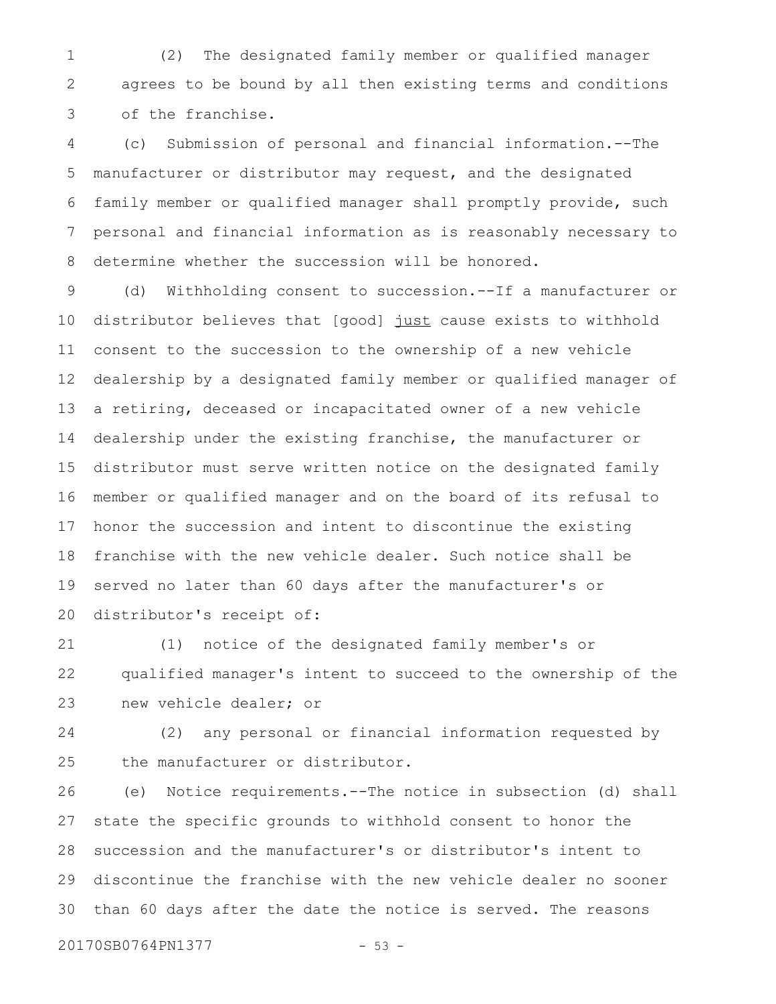(2) The designated family member or qualified manager agrees to be bound by all then existing terms and conditions of the franchise. 1 2 3

(c) Submission of personal and financial information.--The manufacturer or distributor may request, and the designated family member or qualified manager shall promptly provide, such personal and financial information as is reasonably necessary to determine whether the succession will be honored. 4 5 6 7 8

(d) Withholding consent to succession.--If a manufacturer or distributor believes that [good] just cause exists to withhold consent to the succession to the ownership of a new vehicle dealership by a designated family member or qualified manager of a retiring, deceased or incapacitated owner of a new vehicle dealership under the existing franchise, the manufacturer or distributor must serve written notice on the designated family member or qualified manager and on the board of its refusal to honor the succession and intent to discontinue the existing franchise with the new vehicle dealer. Such notice shall be served no later than 60 days after the manufacturer's or distributor's receipt of: 9 10 11 12 13 14 15 16 17 18 19 20

(1) notice of the designated family member's or qualified manager's intent to succeed to the ownership of the new vehicle dealer; or 21 22 23

(2) any personal or financial information requested by the manufacturer or distributor. 24 25

(e) Notice requirements.--The notice in subsection (d) shall state the specific grounds to withhold consent to honor the succession and the manufacturer's or distributor's intent to discontinue the franchise with the new vehicle dealer no sooner than 60 days after the date the notice is served. The reasons 26 27 28 29 30

20170SB0764PN1377 - 53 -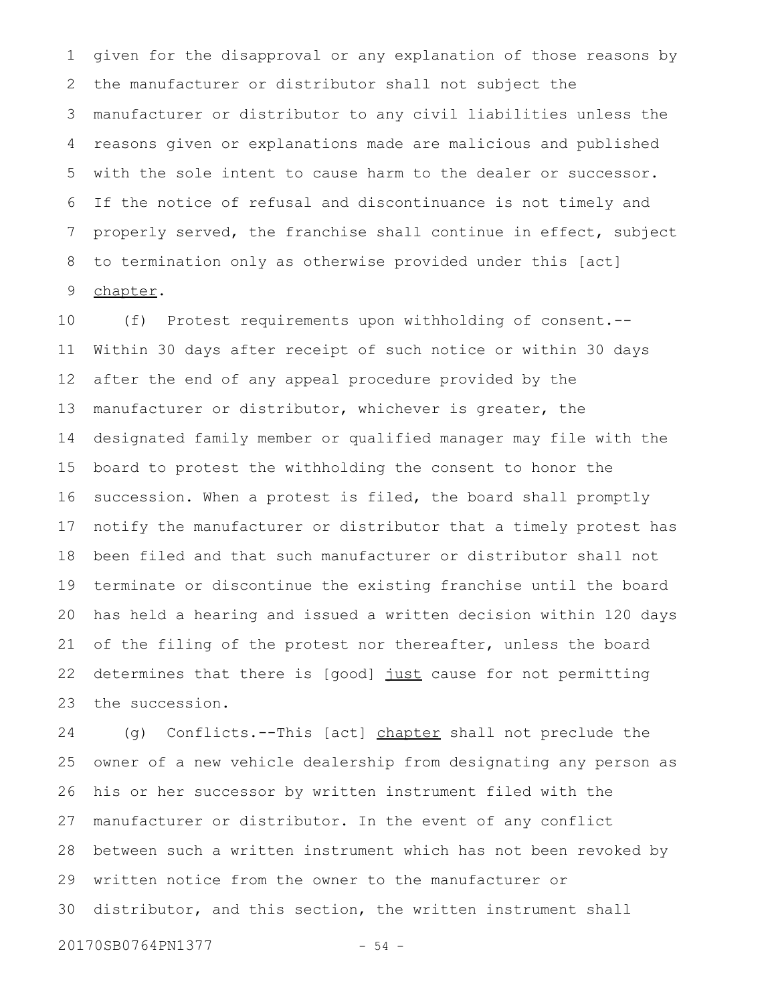given for the disapproval or any explanation of those reasons by the manufacturer or distributor shall not subject the manufacturer or distributor to any civil liabilities unless the reasons given or explanations made are malicious and published with the sole intent to cause harm to the dealer or successor. If the notice of refusal and discontinuance is not timely and properly served, the franchise shall continue in effect, subject to termination only as otherwise provided under this [act] chapter. 1 2 3 4 5 6 7 8 9

(f) Protest requirements upon withholding of consent.-- Within 30 days after receipt of such notice or within 30 days after the end of any appeal procedure provided by the manufacturer or distributor, whichever is greater, the designated family member or qualified manager may file with the board to protest the withholding the consent to honor the succession. When a protest is filed, the board shall promptly notify the manufacturer or distributor that a timely protest has been filed and that such manufacturer or distributor shall not terminate or discontinue the existing franchise until the board has held a hearing and issued a written decision within 120 days of the filing of the protest nor thereafter, unless the board determines that there is [good] just cause for not permitting the succession. 10 11 12 13 14 15 16 17 18 19 20 21 22 23

(g) Conflicts.--This [act] chapter shall not preclude the owner of a new vehicle dealership from designating any person as his or her successor by written instrument filed with the manufacturer or distributor. In the event of any conflict between such a written instrument which has not been revoked by written notice from the owner to the manufacturer or distributor, and this section, the written instrument shall 24 25 26 27 28 29 30

20170SB0764PN1377 - 54 -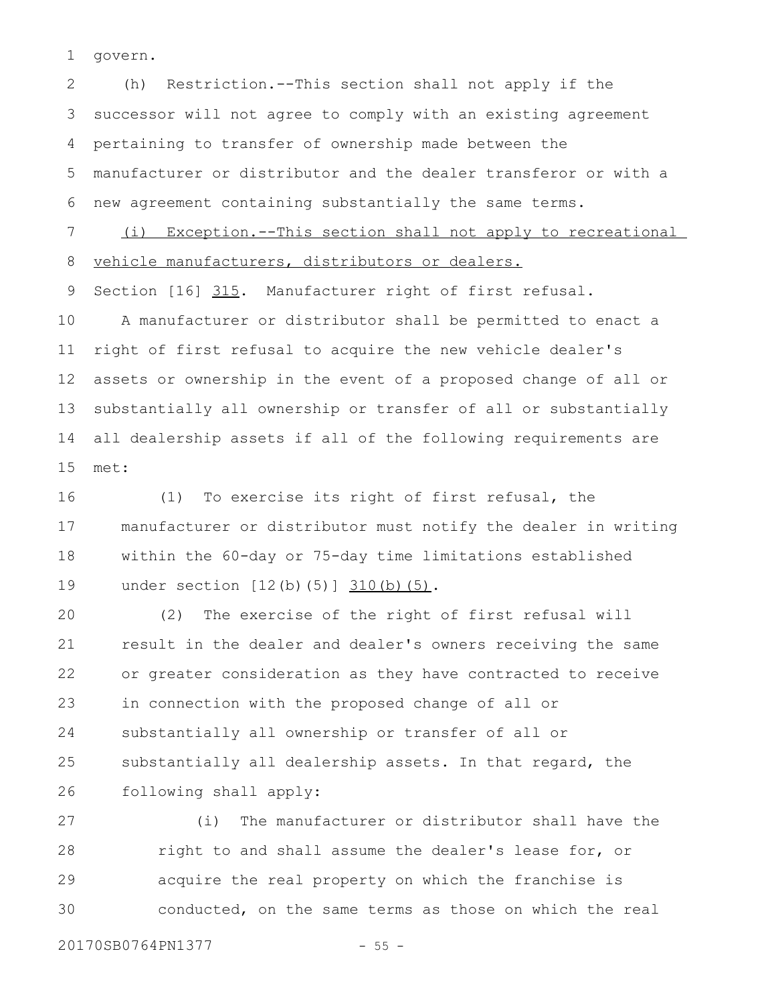govern. 1

(h) Restriction.--This section shall not apply if the successor will not agree to comply with an existing agreement pertaining to transfer of ownership made between the manufacturer or distributor and the dealer transferor or with a new agreement containing substantially the same terms. (i) Exception.--This section shall not apply to recreational 2 3 4 5 6 7

vehicle manufacturers, distributors or dealers. 8

Section [16] 315. Manufacturer right of first refusal. 9

A manufacturer or distributor shall be permitted to enact a right of first refusal to acquire the new vehicle dealer's assets or ownership in the event of a proposed change of all or substantially all ownership or transfer of all or substantially all dealership assets if all of the following requirements are met: 10 11 12 13 14 15

(1) To exercise its right of first refusal, the manufacturer or distributor must notify the dealer in writing within the 60-day or 75-day time limitations established under section [12(b)(5)] 310(b)(5). 16 17 18 19

(2) The exercise of the right of first refusal will result in the dealer and dealer's owners receiving the same or greater consideration as they have contracted to receive in connection with the proposed change of all or substantially all ownership or transfer of all or substantially all dealership assets. In that regard, the following shall apply: 20 21 22 23 24 25 26

(i) The manufacturer or distributor shall have the right to and shall assume the dealer's lease for, or acquire the real property on which the franchise is conducted, on the same terms as those on which the real 27 28 29 30

20170SB0764PN1377 - 55 -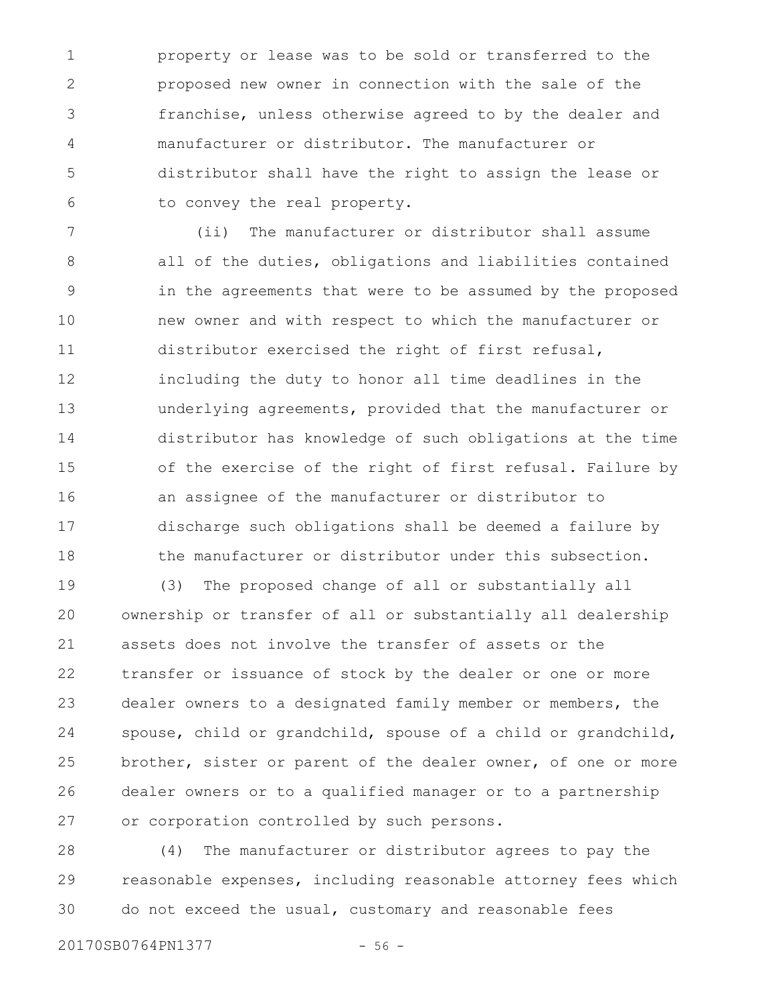property or lease was to be sold or transferred to the proposed new owner in connection with the sale of the franchise, unless otherwise agreed to by the dealer and manufacturer or distributor. The manufacturer or distributor shall have the right to assign the lease or to convey the real property. 1 2 3 4 5 6

(ii) The manufacturer or distributor shall assume all of the duties, obligations and liabilities contained in the agreements that were to be assumed by the proposed new owner and with respect to which the manufacturer or distributor exercised the right of first refusal, including the duty to honor all time deadlines in the underlying agreements, provided that the manufacturer or distributor has knowledge of such obligations at the time of the exercise of the right of first refusal. Failure by an assignee of the manufacturer or distributor to discharge such obligations shall be deemed a failure by the manufacturer or distributor under this subsection. 7 8 9 10 11 12 13 14 15 16 17 18

(3) The proposed change of all or substantially all ownership or transfer of all or substantially all dealership assets does not involve the transfer of assets or the transfer or issuance of stock by the dealer or one or more dealer owners to a designated family member or members, the spouse, child or grandchild, spouse of a child or grandchild, brother, sister or parent of the dealer owner, of one or more dealer owners or to a qualified manager or to a partnership or corporation controlled by such persons. 19 20 21 22 23 24 25 26 27

(4) The manufacturer or distributor agrees to pay the reasonable expenses, including reasonable attorney fees which do not exceed the usual, customary and reasonable fees 28 29 30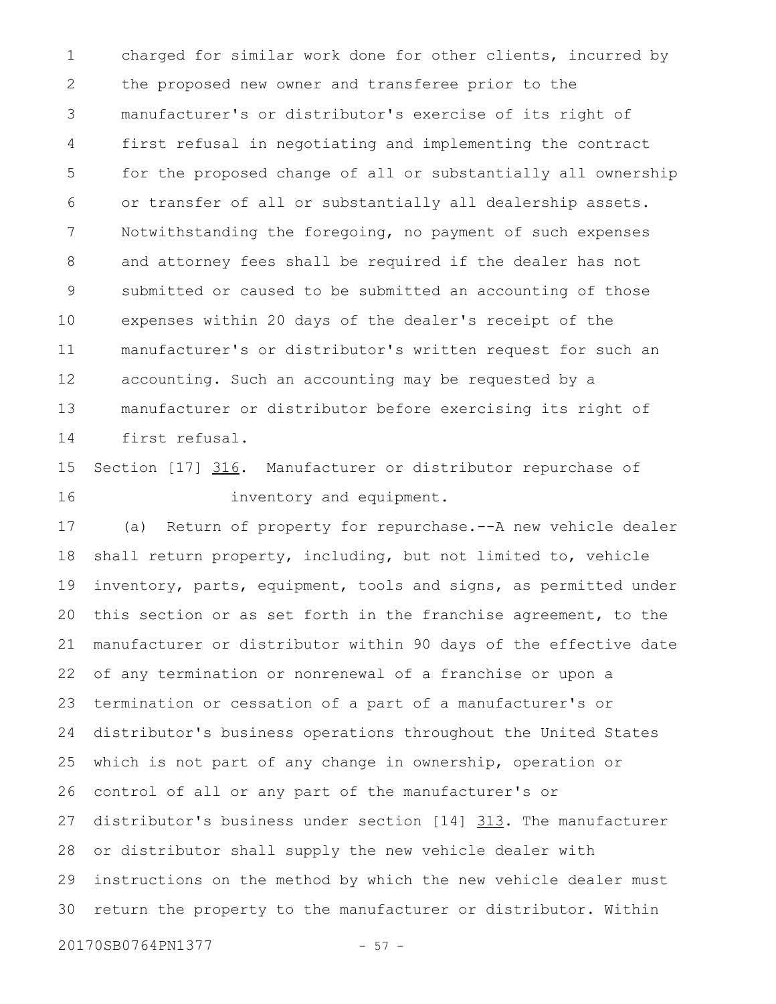charged for similar work done for other clients, incurred by the proposed new owner and transferee prior to the manufacturer's or distributor's exercise of its right of first refusal in negotiating and implementing the contract for the proposed change of all or substantially all ownership or transfer of all or substantially all dealership assets. Notwithstanding the foregoing, no payment of such expenses and attorney fees shall be required if the dealer has not submitted or caused to be submitted an accounting of those expenses within 20 days of the dealer's receipt of the manufacturer's or distributor's written request for such an accounting. Such an accounting may be requested by a manufacturer or distributor before exercising its right of first refusal. 1 2 3 4 5 6 7 8 9 10 11 12 13 14

Section [17] 316. Manufacturer or distributor repurchase of inventory and equipment. 15 16

(a) Return of property for repurchase.--A new vehicle dealer shall return property, including, but not limited to, vehicle inventory, parts, equipment, tools and signs, as permitted under this section or as set forth in the franchise agreement, to the manufacturer or distributor within 90 days of the effective date of any termination or nonrenewal of a franchise or upon a termination or cessation of a part of a manufacturer's or distributor's business operations throughout the United States which is not part of any change in ownership, operation or control of all or any part of the manufacturer's or distributor's business under section [14] 313. The manufacturer or distributor shall supply the new vehicle dealer with instructions on the method by which the new vehicle dealer must return the property to the manufacturer or distributor. Within 17 18 19 20 21 22 23 24 25 26 27 28 29 30

20170SB0764PN1377 - 57 -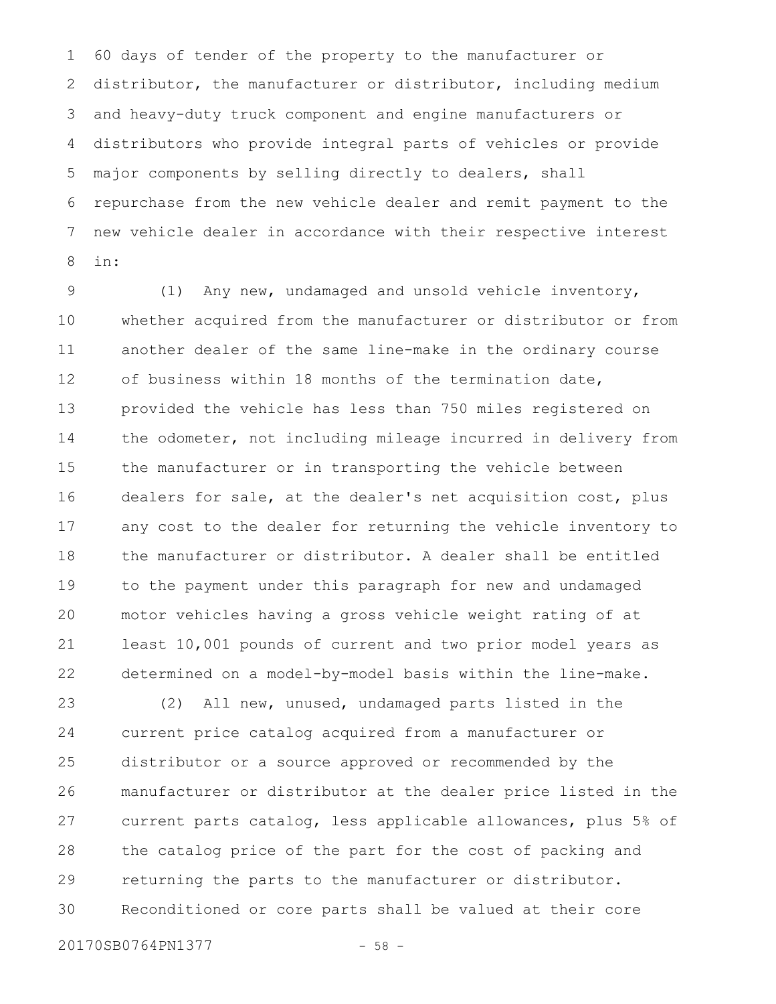60 days of tender of the property to the manufacturer or distributor, the manufacturer or distributor, including medium and heavy-duty truck component and engine manufacturers or distributors who provide integral parts of vehicles or provide major components by selling directly to dealers, shall repurchase from the new vehicle dealer and remit payment to the new vehicle dealer in accordance with their respective interest in: 1 2 3 4 5 6 7 8

(1) Any new, undamaged and unsold vehicle inventory, whether acquired from the manufacturer or distributor or from another dealer of the same line-make in the ordinary course of business within 18 months of the termination date, provided the vehicle has less than 750 miles registered on the odometer, not including mileage incurred in delivery from the manufacturer or in transporting the vehicle between dealers for sale, at the dealer's net acquisition cost, plus any cost to the dealer for returning the vehicle inventory to the manufacturer or distributor. A dealer shall be entitled to the payment under this paragraph for new and undamaged motor vehicles having a gross vehicle weight rating of at least 10,001 pounds of current and two prior model years as determined on a model-by-model basis within the line-make. 9 10 11 12 13 14 15 16 17 18 19 20 21 22

(2) All new, unused, undamaged parts listed in the current price catalog acquired from a manufacturer or distributor or a source approved or recommended by the manufacturer or distributor at the dealer price listed in the current parts catalog, less applicable allowances, plus 5% of the catalog price of the part for the cost of packing and returning the parts to the manufacturer or distributor. Reconditioned or core parts shall be valued at their core 23 24 25 26 27 28 29 30

20170SB0764PN1377 - 58 -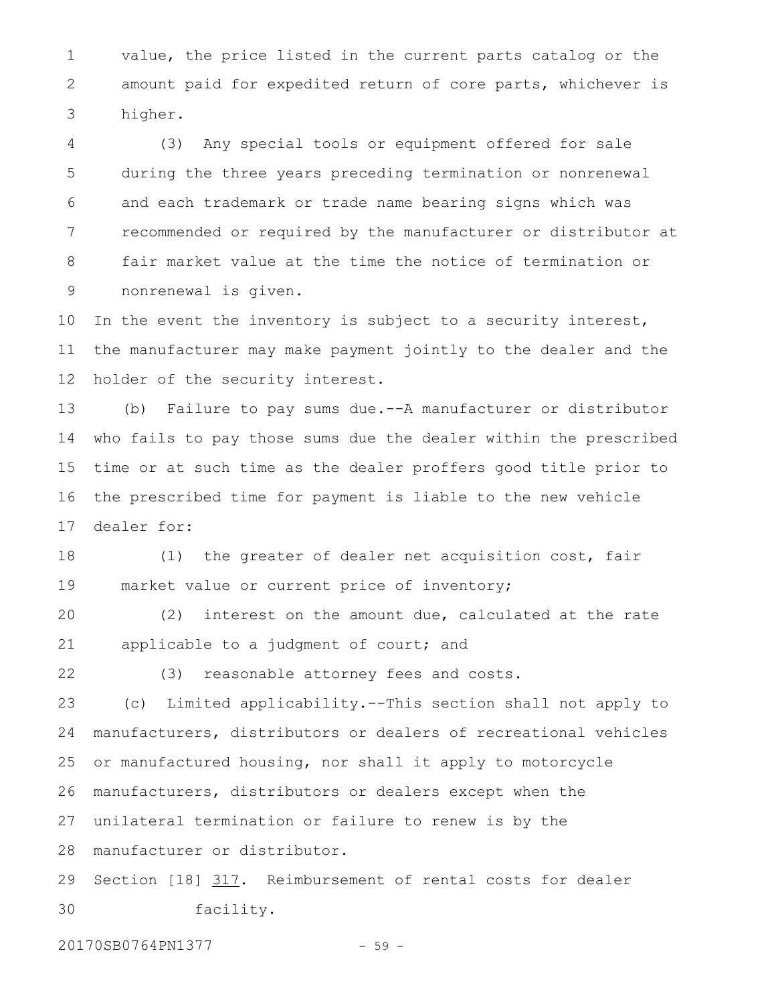value, the price listed in the current parts catalog or the amount paid for expedited return of core parts, whichever is higher. 1 2 3

(3) Any special tools or equipment offered for sale during the three years preceding termination or nonrenewal and each trademark or trade name bearing signs which was recommended or required by the manufacturer or distributor at fair market value at the time the notice of termination or nonrenewal is given. 4 5 6 7 8 9

In the event the inventory is subject to a security interest, the manufacturer may make payment jointly to the dealer and the holder of the security interest. 10 11 12

(b) Failure to pay sums due.--A manufacturer or distributor who fails to pay those sums due the dealer within the prescribed time or at such time as the dealer proffers good title prior to the prescribed time for payment is liable to the new vehicle dealer for: 13 14 15 16 17

(1) the greater of dealer net acquisition cost, fair market value or current price of inventory; 18 19

(2) interest on the amount due, calculated at the rate applicable to a judgment of court; and 20 21

22

(3) reasonable attorney fees and costs.

(c) Limited applicability.--This section shall not apply to manufacturers, distributors or dealers of recreational vehicles or manufactured housing, nor shall it apply to motorcycle manufacturers, distributors or dealers except when the unilateral termination or failure to renew is by the 23 24 25 26 27

manufacturer or distributor. 28

Section [18] 317. Reimbursement of rental costs for dealer facility. 29 30

20170SB0764PN1377 - 59 -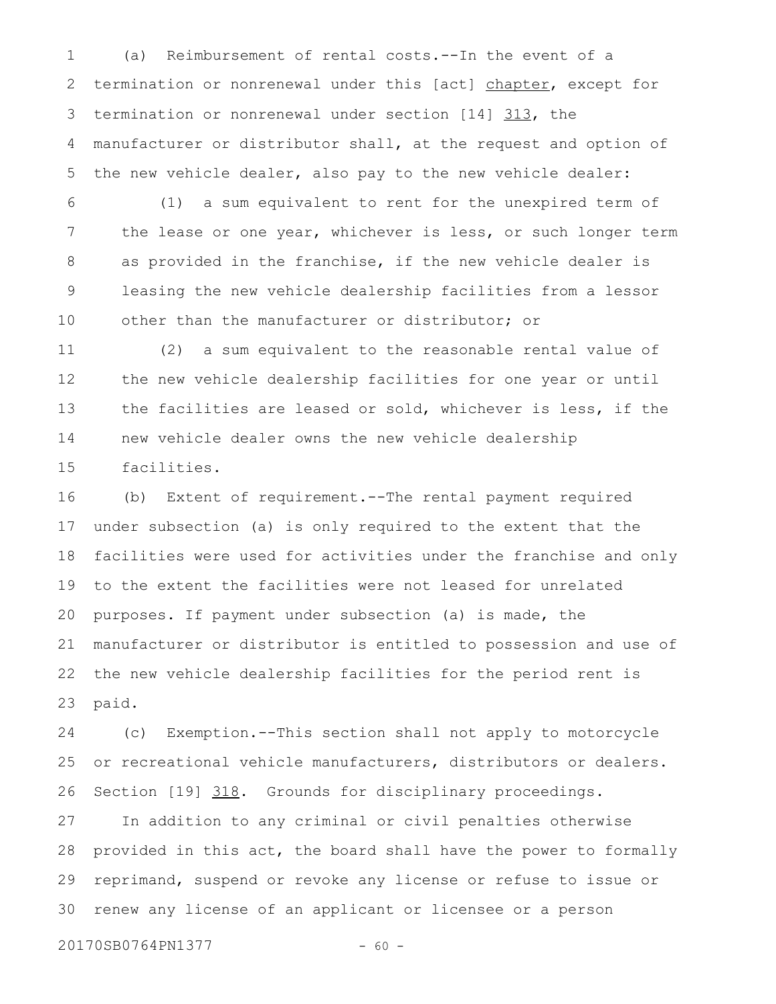(a) Reimbursement of rental costs.--In the event of a termination or nonrenewal under this [act] chapter, except for termination or nonrenewal under section [14] 313, the manufacturer or distributor shall, at the request and option of the new vehicle dealer, also pay to the new vehicle dealer: 1 2 3 4 5

(1) a sum equivalent to rent for the unexpired term of the lease or one year, whichever is less, or such longer term as provided in the franchise, if the new vehicle dealer is leasing the new vehicle dealership facilities from a lessor other than the manufacturer or distributor; or 6 7 8 9 10

(2) a sum equivalent to the reasonable rental value of the new vehicle dealership facilities for one year or until the facilities are leased or sold, whichever is less, if the new vehicle dealer owns the new vehicle dealership facilities. 11 12 13 14 15

(b) Extent of requirement.--The rental payment required under subsection (a) is only required to the extent that the facilities were used for activities under the franchise and only to the extent the facilities were not leased for unrelated purposes. If payment under subsection (a) is made, the manufacturer or distributor is entitled to possession and use of the new vehicle dealership facilities for the period rent is paid. 16 17 18 19 20 21 22 23

(c) Exemption.--This section shall not apply to motorcycle or recreational vehicle manufacturers, distributors or dealers. Section [19] 318. Grounds for disciplinary proceedings. 24 25 26

In addition to any criminal or civil penalties otherwise provided in this act, the board shall have the power to formally reprimand, suspend or revoke any license or refuse to issue or renew any license of an applicant or licensee or a person 27 28 29 30

20170SB0764PN1377 - 60 -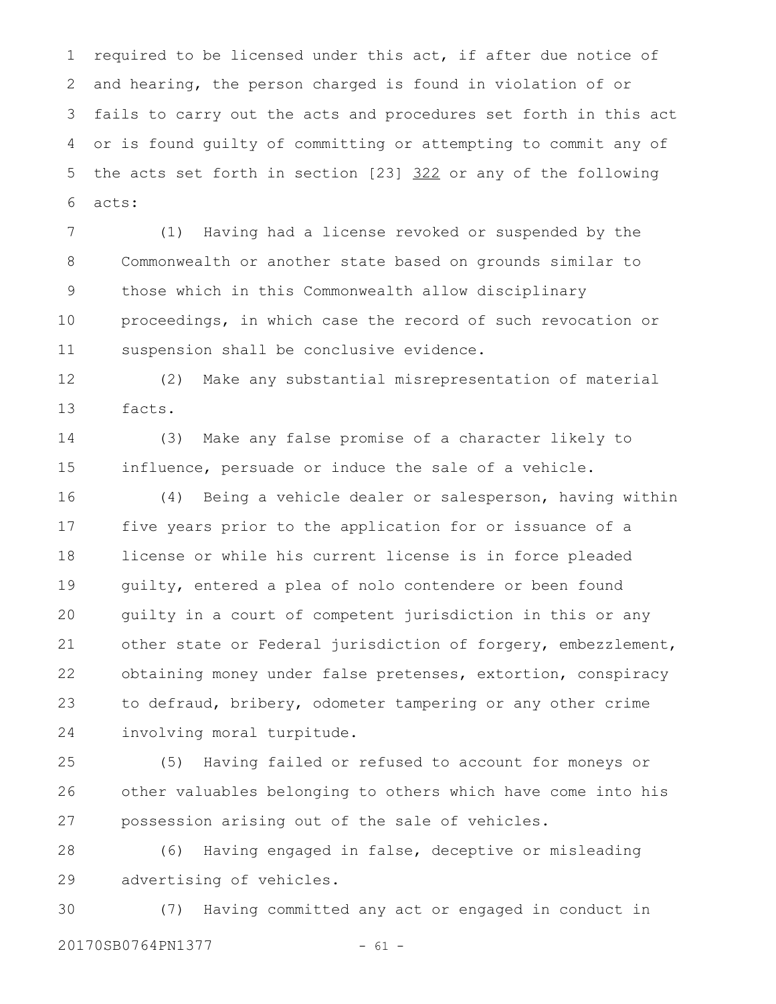required to be licensed under this act, if after due notice of and hearing, the person charged is found in violation of or fails to carry out the acts and procedures set forth in this act or is found guilty of committing or attempting to commit any of the acts set forth in section [23] 322 or any of the following acts: 1 2 3 4 5 6

(1) Having had a license revoked or suspended by the Commonwealth or another state based on grounds similar to those which in this Commonwealth allow disciplinary proceedings, in which case the record of such revocation or suspension shall be conclusive evidence. 7 8 9 10 11

(2) Make any substantial misrepresentation of material facts. 12 13

(3) Make any false promise of a character likely to influence, persuade or induce the sale of a vehicle. 14 15

(4) Being a vehicle dealer or salesperson, having within five years prior to the application for or issuance of a license or while his current license is in force pleaded guilty, entered a plea of nolo contendere or been found guilty in a court of competent jurisdiction in this or any other state or Federal jurisdiction of forgery, embezzlement, obtaining money under false pretenses, extortion, conspiracy to defraud, bribery, odometer tampering or any other crime involving moral turpitude. 16 17 18 19 20 21 22 23 24

(5) Having failed or refused to account for moneys or other valuables belonging to others which have come into his possession arising out of the sale of vehicles. 25 26 27

(6) Having engaged in false, deceptive or misleading advertising of vehicles. 28 29

(7) Having committed any act or engaged in conduct in 20170SB0764PN1377 - 61 -30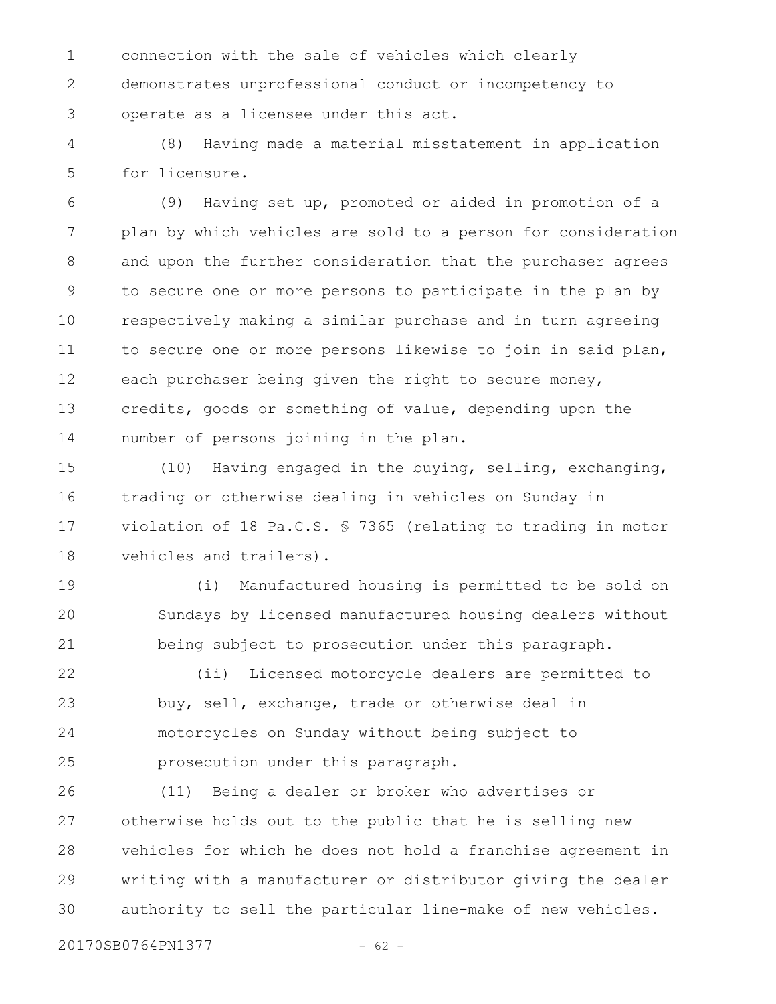connection with the sale of vehicles which clearly demonstrates unprofessional conduct or incompetency to operate as a licensee under this act. 1 2 3

(8) Having made a material misstatement in application for licensure. 4 5

(9) Having set up, promoted or aided in promotion of a plan by which vehicles are sold to a person for consideration and upon the further consideration that the purchaser agrees to secure one or more persons to participate in the plan by respectively making a similar purchase and in turn agreeing to secure one or more persons likewise to join in said plan, each purchaser being given the right to secure money, credits, goods or something of value, depending upon the number of persons joining in the plan. 6 7 8 9 10 11 12 13 14

(10) Having engaged in the buying, selling, exchanging, trading or otherwise dealing in vehicles on Sunday in violation of 18 Pa.C.S. § 7365 (relating to trading in motor vehicles and trailers). 15 16 17 18

(i) Manufactured housing is permitted to be sold on Sundays by licensed manufactured housing dealers without being subject to prosecution under this paragraph. 19 20 21

(ii) Licensed motorcycle dealers are permitted to buy, sell, exchange, trade or otherwise deal in motorcycles on Sunday without being subject to prosecution under this paragraph. 22 23 24 25

(11) Being a dealer or broker who advertises or otherwise holds out to the public that he is selling new vehicles for which he does not hold a franchise agreement in writing with a manufacturer or distributor giving the dealer authority to sell the particular line-make of new vehicles. 26 27 28 29 30

20170SB0764PN1377 - 62 -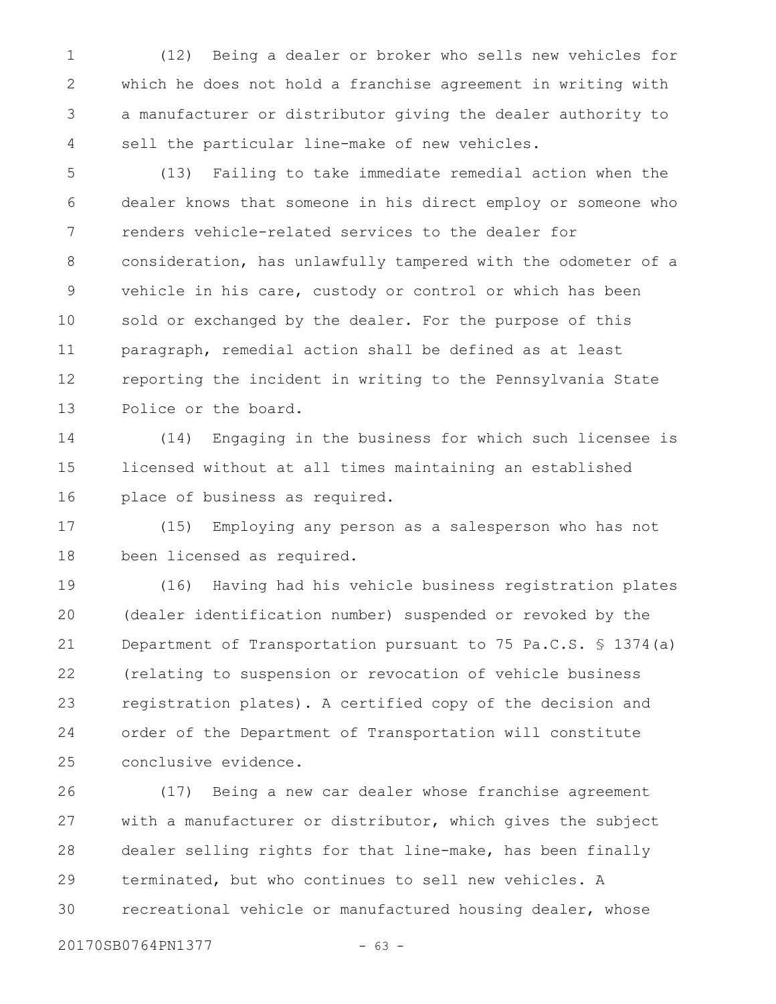(12) Being a dealer or broker who sells new vehicles for which he does not hold a franchise agreement in writing with a manufacturer or distributor giving the dealer authority to sell the particular line-make of new vehicles. 1 2 3 4

(13) Failing to take immediate remedial action when the dealer knows that someone in his direct employ or someone who renders vehicle-related services to the dealer for consideration, has unlawfully tampered with the odometer of a vehicle in his care, custody or control or which has been sold or exchanged by the dealer. For the purpose of this paragraph, remedial action shall be defined as at least reporting the incident in writing to the Pennsylvania State Police or the board. 5 6 7 8 9 10 11 12 13

(14) Engaging in the business for which such licensee is licensed without at all times maintaining an established place of business as required. 14 15 16

(15) Employing any person as a salesperson who has not been licensed as required. 17 18

(16) Having had his vehicle business registration plates (dealer identification number) suspended or revoked by the Department of Transportation pursuant to 75 Pa.C.S. § 1374(a) (relating to suspension or revocation of vehicle business registration plates). A certified copy of the decision and order of the Department of Transportation will constitute conclusive evidence. 19 20 21 22 23 24 25

(17) Being a new car dealer whose franchise agreement with a manufacturer or distributor, which gives the subject dealer selling rights for that line-make, has been finally terminated, but who continues to sell new vehicles. A recreational vehicle or manufactured housing dealer, whose 26 27 28 29 30

20170SB0764PN1377 - 63 -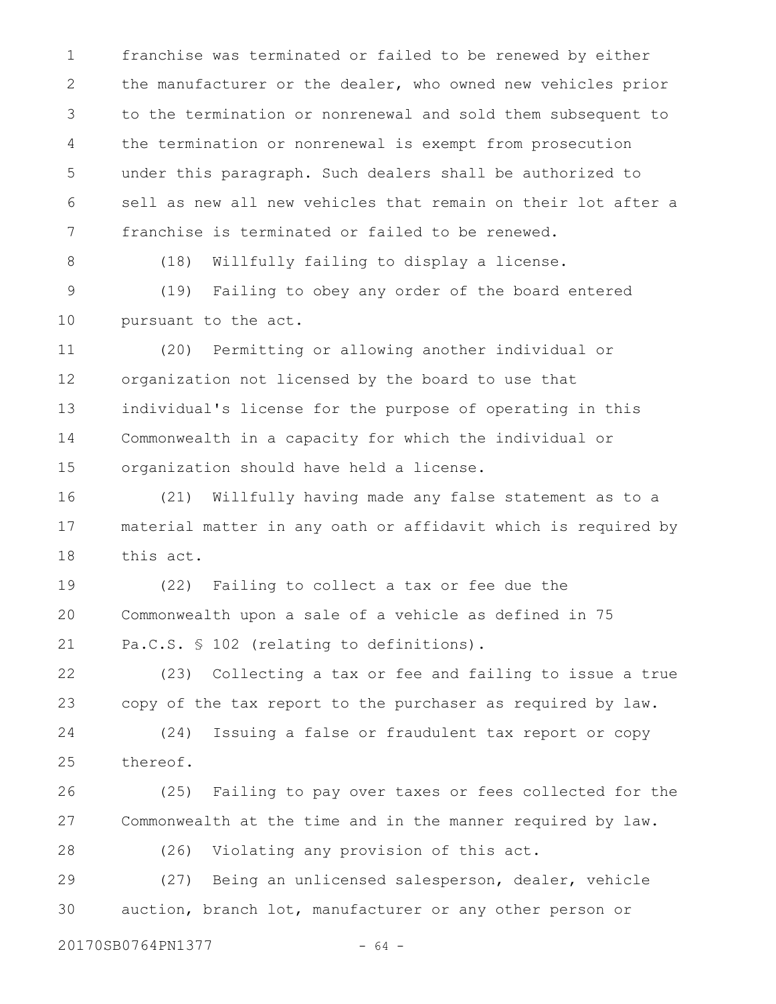franchise was terminated or failed to be renewed by either the manufacturer or the dealer, who owned new vehicles prior to the termination or nonrenewal and sold them subsequent to the termination or nonrenewal is exempt from prosecution under this paragraph. Such dealers shall be authorized to sell as new all new vehicles that remain on their lot after a franchise is terminated or failed to be renewed. 1 2 3 4 5 6 7

8

(18) Willfully failing to display a license.

(19) Failing to obey any order of the board entered pursuant to the act. 9 10

(20) Permitting or allowing another individual or organization not licensed by the board to use that individual's license for the purpose of operating in this Commonwealth in a capacity for which the individual or organization should have held a license. 11 12 13 14 15

(21) Willfully having made any false statement as to a material matter in any oath or affidavit which is required by this act. 16 17 18

(22) Failing to collect a tax or fee due the Commonwealth upon a sale of a vehicle as defined in 75 Pa.C.S. § 102 (relating to definitions). 19 20 21

(23) Collecting a tax or fee and failing to issue a true copy of the tax report to the purchaser as required by law. 22 23

(24) Issuing a false or fraudulent tax report or copy thereof. 24 25

(25) Failing to pay over taxes or fees collected for the Commonwealth at the time and in the manner required by law. 26 27

(26) Violating any provision of this act. 28

(27) Being an unlicensed salesperson, dealer, vehicle auction, branch lot, manufacturer or any other person or 29 30

20170SB0764PN1377 - 64 -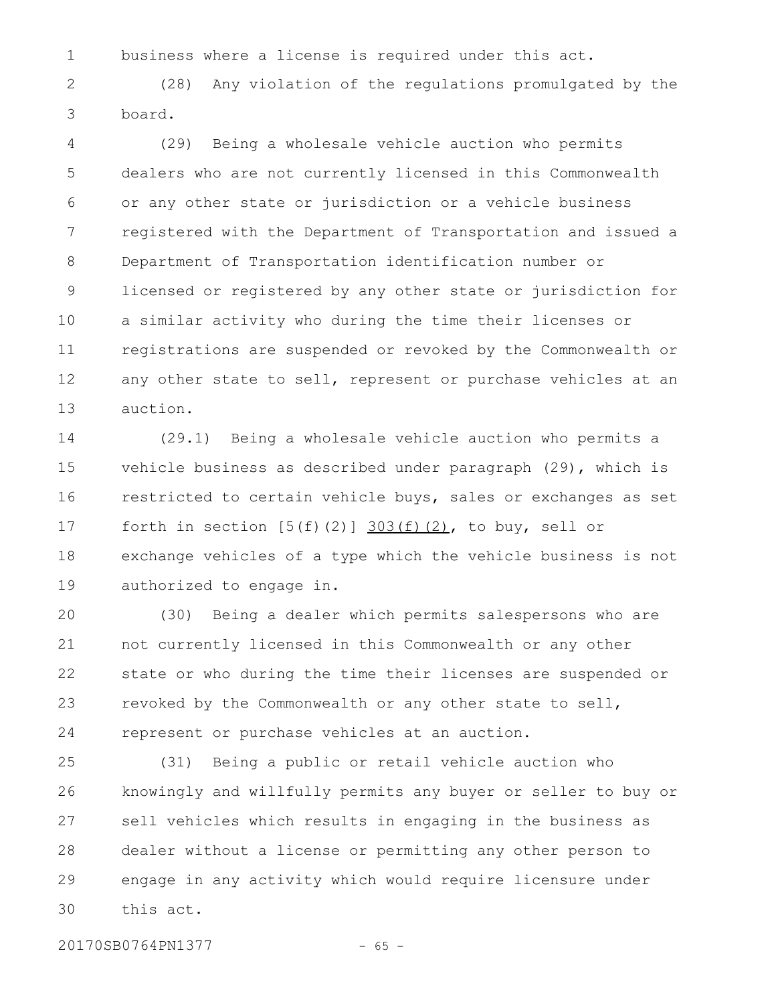business where a license is required under this act. 1

(28) Any violation of the regulations promulgated by the board. 2 3

(29) Being a wholesale vehicle auction who permits dealers who are not currently licensed in this Commonwealth or any other state or jurisdiction or a vehicle business registered with the Department of Transportation and issued a Department of Transportation identification number or licensed or registered by any other state or jurisdiction for a similar activity who during the time their licenses or registrations are suspended or revoked by the Commonwealth or any other state to sell, represent or purchase vehicles at an auction. 4 5 6 7 8 9 10 11 12 13

(29.1) Being a wholesale vehicle auction who permits a vehicle business as described under paragraph (29), which is restricted to certain vehicle buys, sales or exchanges as set forth in section  $[5(f)(2)]$   $303(f)(2)$ , to buy, sell or exchange vehicles of a type which the vehicle business is not authorized to engage in. 14 15 16 17 18 19

(30) Being a dealer which permits salespersons who are not currently licensed in this Commonwealth or any other state or who during the time their licenses are suspended or revoked by the Commonwealth or any other state to sell, represent or purchase vehicles at an auction. 20 21 22 23 24

(31) Being a public or retail vehicle auction who knowingly and willfully permits any buyer or seller to buy or sell vehicles which results in engaging in the business as dealer without a license or permitting any other person to engage in any activity which would require licensure under this act. 25 26 27 28 29 30

20170SB0764PN1377 - 65 -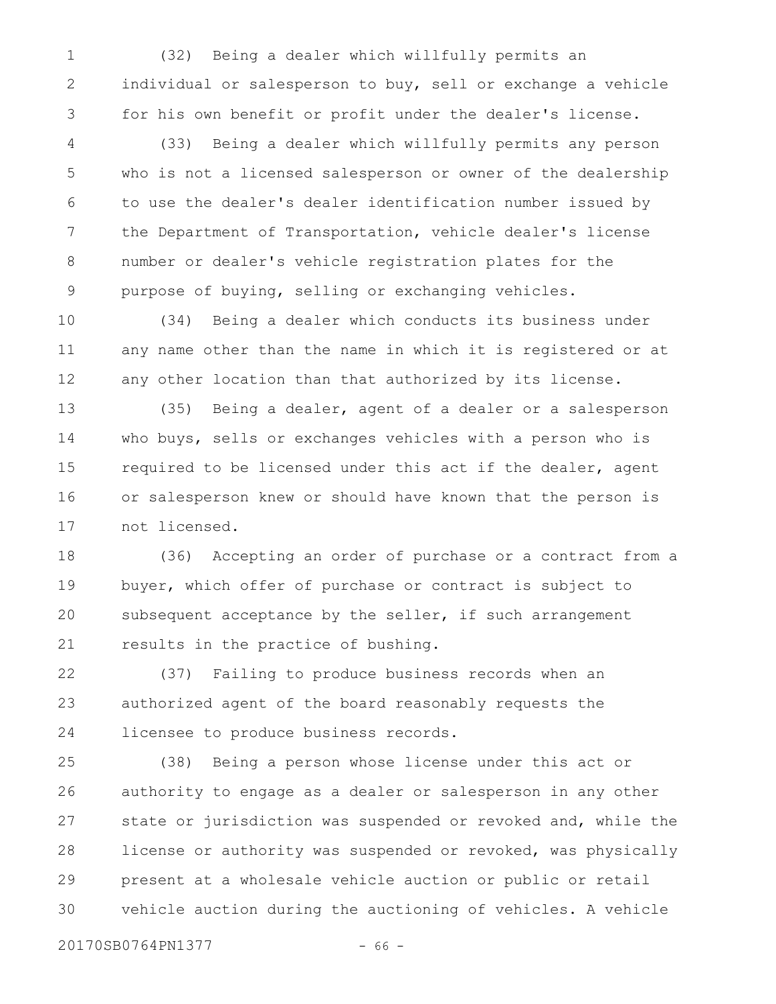(32) Being a dealer which willfully permits an individual or salesperson to buy, sell or exchange a vehicle for his own benefit or profit under the dealer's license. 1 2 3

(33) Being a dealer which willfully permits any person who is not a licensed salesperson or owner of the dealership to use the dealer's dealer identification number issued by the Department of Transportation, vehicle dealer's license number or dealer's vehicle registration plates for the purpose of buying, selling or exchanging vehicles. 4 5 6 7 8 9

(34) Being a dealer which conducts its business under any name other than the name in which it is registered or at any other location than that authorized by its license. 10 11 12

(35) Being a dealer, agent of a dealer or a salesperson who buys, sells or exchanges vehicles with a person who is required to be licensed under this act if the dealer, agent or salesperson knew or should have known that the person is not licensed. 13 14 15 16 17

(36) Accepting an order of purchase or a contract from a buyer, which offer of purchase or contract is subject to subsequent acceptance by the seller, if such arrangement results in the practice of bushing. 18 19 20 21

(37) Failing to produce business records when an authorized agent of the board reasonably requests the licensee to produce business records. 22 23 24

(38) Being a person whose license under this act or authority to engage as a dealer or salesperson in any other state or jurisdiction was suspended or revoked and, while the license or authority was suspended or revoked, was physically present at a wholesale vehicle auction or public or retail vehicle auction during the auctioning of vehicles. A vehicle 25 26 27 28 29 30

20170SB0764PN1377 - 66 -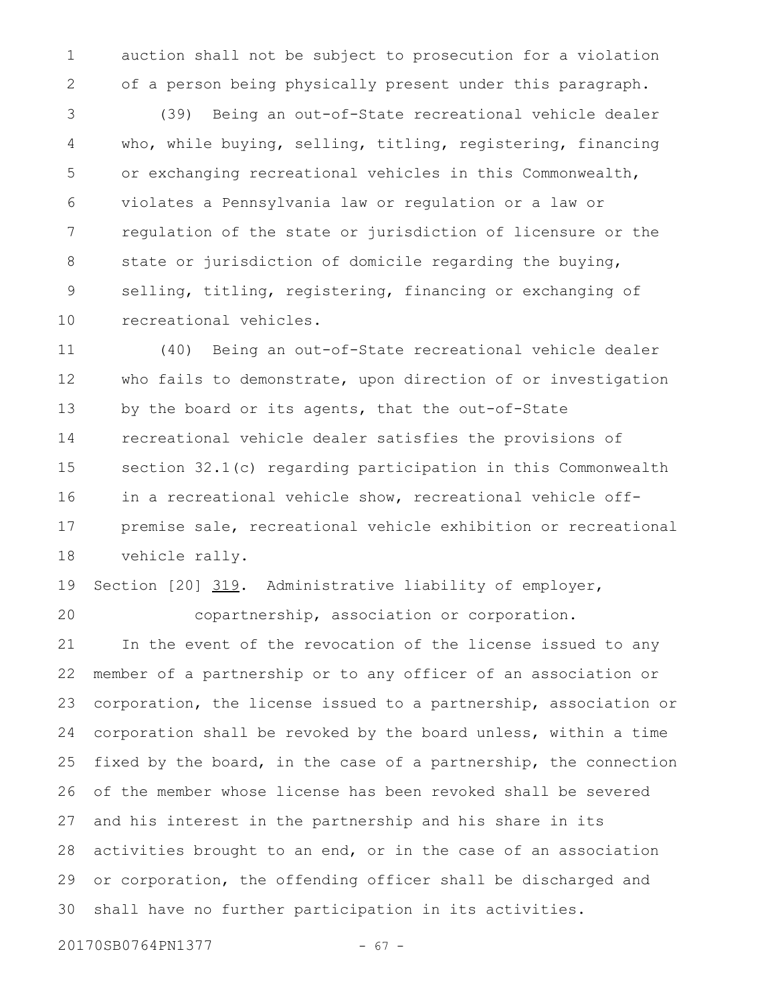auction shall not be subject to prosecution for a violation of a person being physically present under this paragraph. 1 2

(39) Being an out-of-State recreational vehicle dealer who, while buying, selling, titling, registering, financing or exchanging recreational vehicles in this Commonwealth, violates a Pennsylvania law or regulation or a law or regulation of the state or jurisdiction of licensure or the state or jurisdiction of domicile regarding the buying, selling, titling, registering, financing or exchanging of recreational vehicles. 3 4 5 6 7 8 9 10

(40) Being an out-of-State recreational vehicle dealer who fails to demonstrate, upon direction of or investigation by the board or its agents, that the out-of-State recreational vehicle dealer satisfies the provisions of section 32.1(c) regarding participation in this Commonwealth in a recreational vehicle show, recreational vehicle offpremise sale, recreational vehicle exhibition or recreational vehicle rally. 11 12 13 14 15 16 17 18

Section [20] 319. Administrative liability of employer, 19

20

copartnership, association or corporation.

In the event of the revocation of the license issued to any member of a partnership or to any officer of an association or corporation, the license issued to a partnership, association or corporation shall be revoked by the board unless, within a time fixed by the board, in the case of a partnership, the connection of the member whose license has been revoked shall be severed and his interest in the partnership and his share in its activities brought to an end, or in the case of an association or corporation, the offending officer shall be discharged and shall have no further participation in its activities. 21 22 23 24 25 26 27 28 29 30

20170SB0764PN1377 - 67 -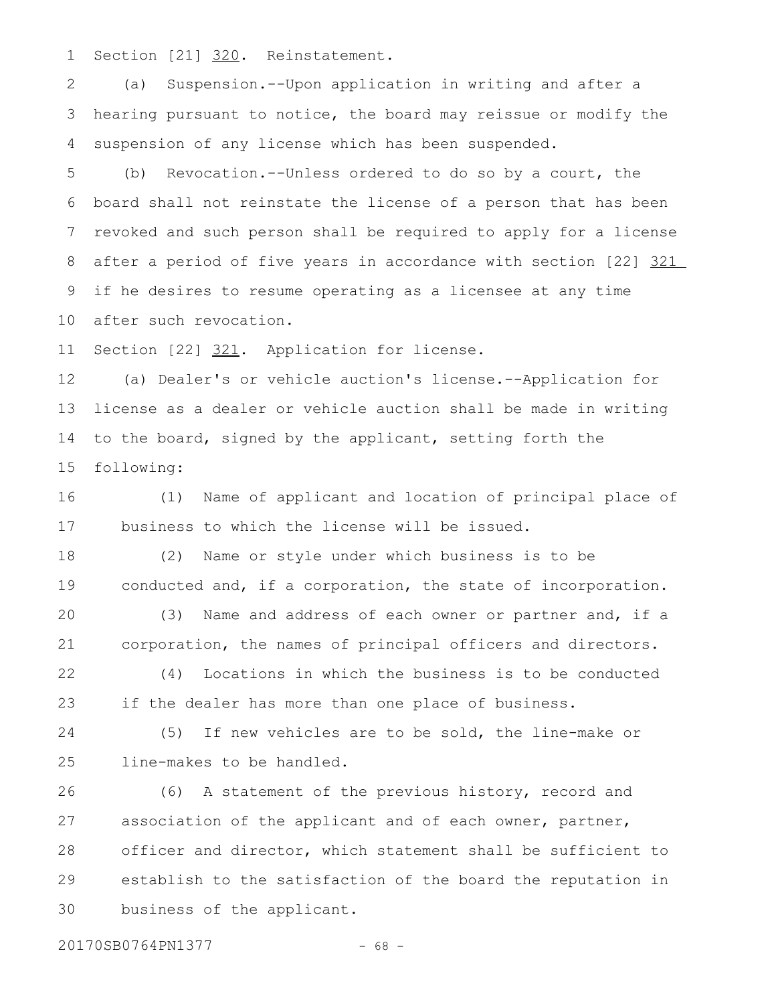Section [21] 320. Reinstatement. 1

(a) Suspension.--Upon application in writing and after a hearing pursuant to notice, the board may reissue or modify the suspension of any license which has been suspended. 2 3 4

(b) Revocation.--Unless ordered to do so by a court, the board shall not reinstate the license of a person that has been revoked and such person shall be required to apply for a license after a period of five years in accordance with section [22] 321 if he desires to resume operating as a licensee at any time after such revocation. 5 6 7 8 9 10

Section [22] 321. Application for license. 11

(a) Dealer's or vehicle auction's license.--Application for license as a dealer or vehicle auction shall be made in writing to the board, signed by the applicant, setting forth the following: 12 13 14 15

(1) Name of applicant and location of principal place of business to which the license will be issued. 16 17

(2) Name or style under which business is to be conducted and, if a corporation, the state of incorporation. 18 19

(3) Name and address of each owner or partner and, if a corporation, the names of principal officers and directors. 20 21

(4) Locations in which the business is to be conducted if the dealer has more than one place of business. 22 23

(5) If new vehicles are to be sold, the line-make or line-makes to be handled. 24 25

(6) A statement of the previous history, record and association of the applicant and of each owner, partner, officer and director, which statement shall be sufficient to establish to the satisfaction of the board the reputation in business of the applicant. 26 27 28 29 30

20170SB0764PN1377 - 68 -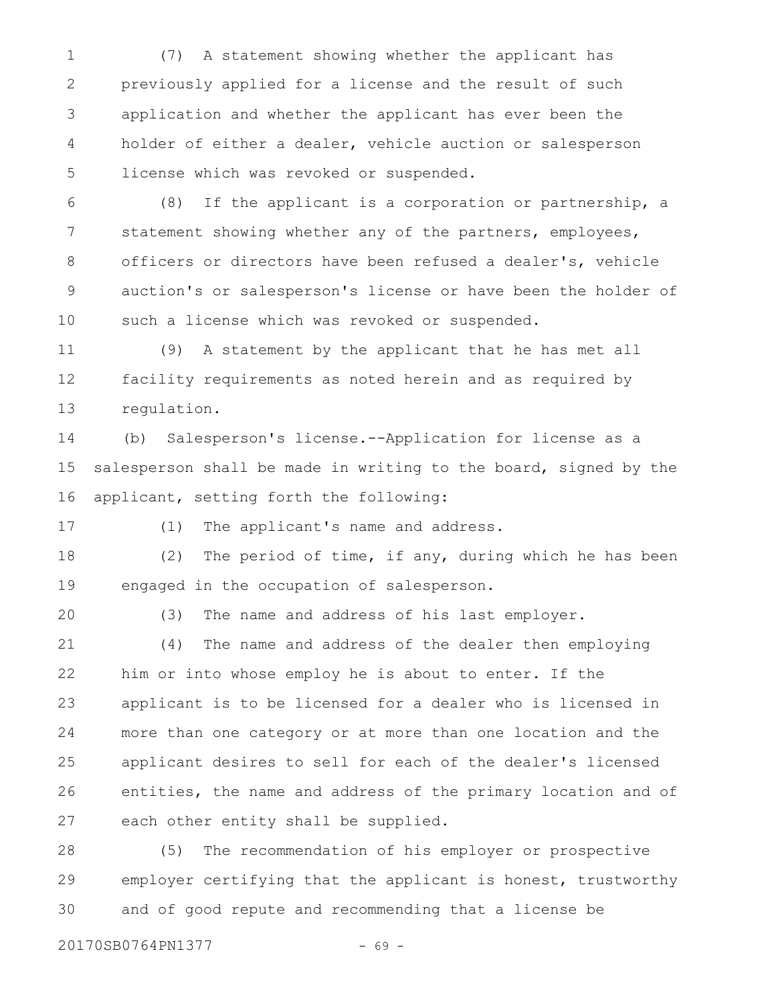(7) A statement showing whether the applicant has previously applied for a license and the result of such application and whether the applicant has ever been the holder of either a dealer, vehicle auction or salesperson license which was revoked or suspended. 1 2 3 4 5

(8) If the applicant is a corporation or partnership, a statement showing whether any of the partners, employees, officers or directors have been refused a dealer's, vehicle auction's or salesperson's license or have been the holder of such a license which was revoked or suspended. 6 7 8 9 10

(9) A statement by the applicant that he has met all facility requirements as noted herein and as required by regulation. 11 12 13

(b) Salesperson's license.--Application for license as a salesperson shall be made in writing to the board, signed by the applicant, setting forth the following: 14 15 16

17

(1) The applicant's name and address.

(2) The period of time, if any, during which he has been engaged in the occupation of salesperson. 18 19

20

(3) The name and address of his last employer.

(4) The name and address of the dealer then employing him or into whose employ he is about to enter. If the applicant is to be licensed for a dealer who is licensed in more than one category or at more than one location and the applicant desires to sell for each of the dealer's licensed entities, the name and address of the primary location and of each other entity shall be supplied. 21 22 23 24 25 26 27

(5) The recommendation of his employer or prospective employer certifying that the applicant is honest, trustworthy and of good repute and recommending that a license be 28 29 30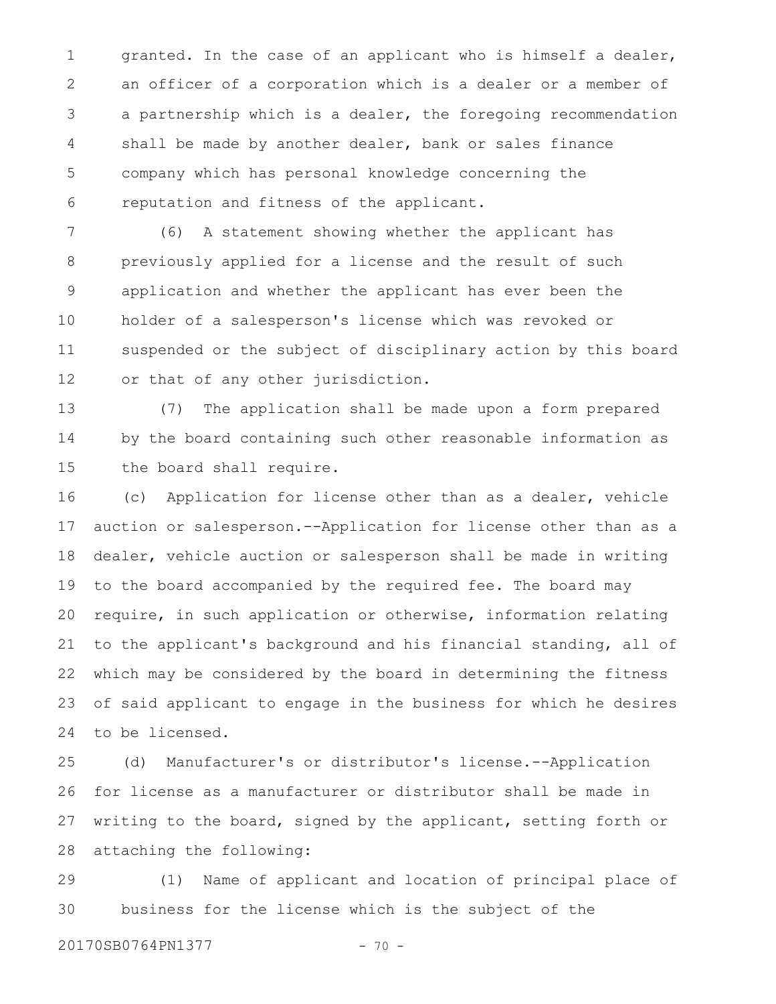granted. In the case of an applicant who is himself a dealer, an officer of a corporation which is a dealer or a member of a partnership which is a dealer, the foregoing recommendation shall be made by another dealer, bank or sales finance company which has personal knowledge concerning the reputation and fitness of the applicant. 1 2 3 4 5 6

(6) A statement showing whether the applicant has previously applied for a license and the result of such application and whether the applicant has ever been the holder of a salesperson's license which was revoked or suspended or the subject of disciplinary action by this board or that of any other jurisdiction. 7 8 9 10 11 12

(7) The application shall be made upon a form prepared by the board containing such other reasonable information as the board shall require. 13 14 15

(c) Application for license other than as a dealer, vehicle auction or salesperson.--Application for license other than as a dealer, vehicle auction or salesperson shall be made in writing to the board accompanied by the required fee. The board may require, in such application or otherwise, information relating to the applicant's background and his financial standing, all of which may be considered by the board in determining the fitness of said applicant to engage in the business for which he desires to be licensed. 16 17 18 19 20 21 22 23 24

(d) Manufacturer's or distributor's license.--Application for license as a manufacturer or distributor shall be made in writing to the board, signed by the applicant, setting forth or attaching the following: 25 26 27 28

(1) Name of applicant and location of principal place of business for the license which is the subject of the 29 30

20170SB0764PN1377 - 70 -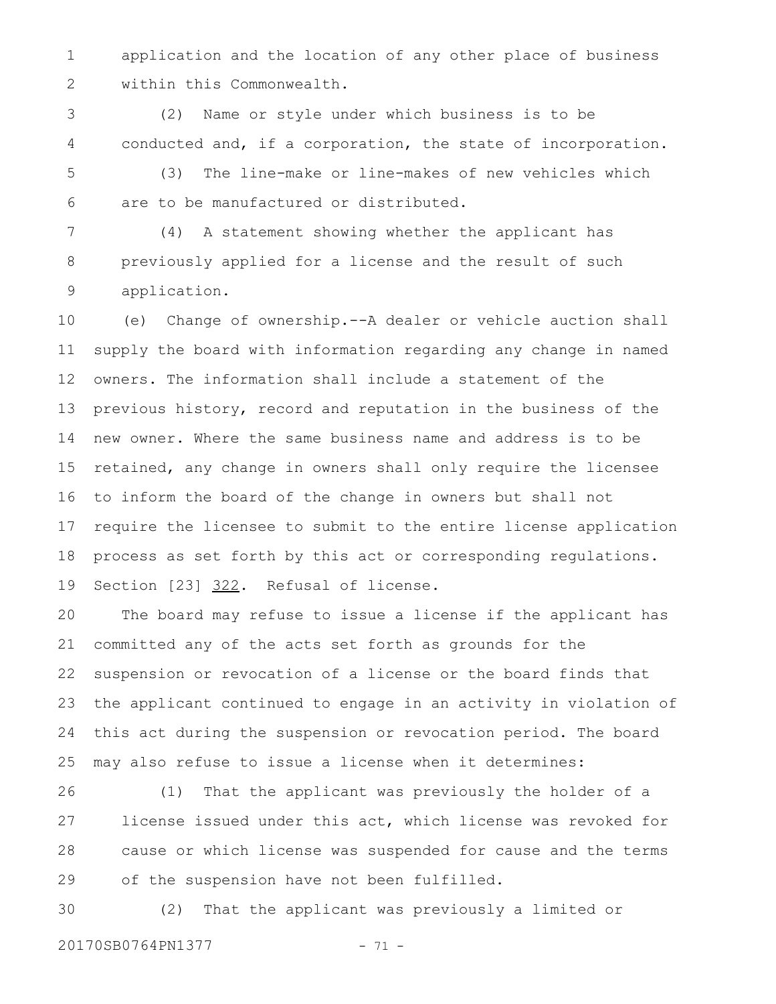application and the location of any other place of business within this Commonwealth. 1 2

(2) Name or style under which business is to be conducted and, if a corporation, the state of incorporation. 3 4

(3) The line-make or line-makes of new vehicles which are to be manufactured or distributed. 5 6

(4) A statement showing whether the applicant has previously applied for a license and the result of such application. 7 8 9

(e) Change of ownership.--A dealer or vehicle auction shall supply the board with information regarding any change in named owners. The information shall include a statement of the previous history, record and reputation in the business of the new owner. Where the same business name and address is to be retained, any change in owners shall only require the licensee to inform the board of the change in owners but shall not require the licensee to submit to the entire license application process as set forth by this act or corresponding regulations. Section [23] 322. Refusal of license. 10 11 12 13 14 15 16 17 18 19

The board may refuse to issue a license if the applicant has committed any of the acts set forth as grounds for the suspension or revocation of a license or the board finds that the applicant continued to engage in an activity in violation of this act during the suspension or revocation period. The board may also refuse to issue a license when it determines: 20 21 22 23 24 25

(1) That the applicant was previously the holder of a license issued under this act, which license was revoked for cause or which license was suspended for cause and the terms of the suspension have not been fulfilled. 26 27 28 29

(2) That the applicant was previously a limited or 20170SB0764PN1377 - 71 -30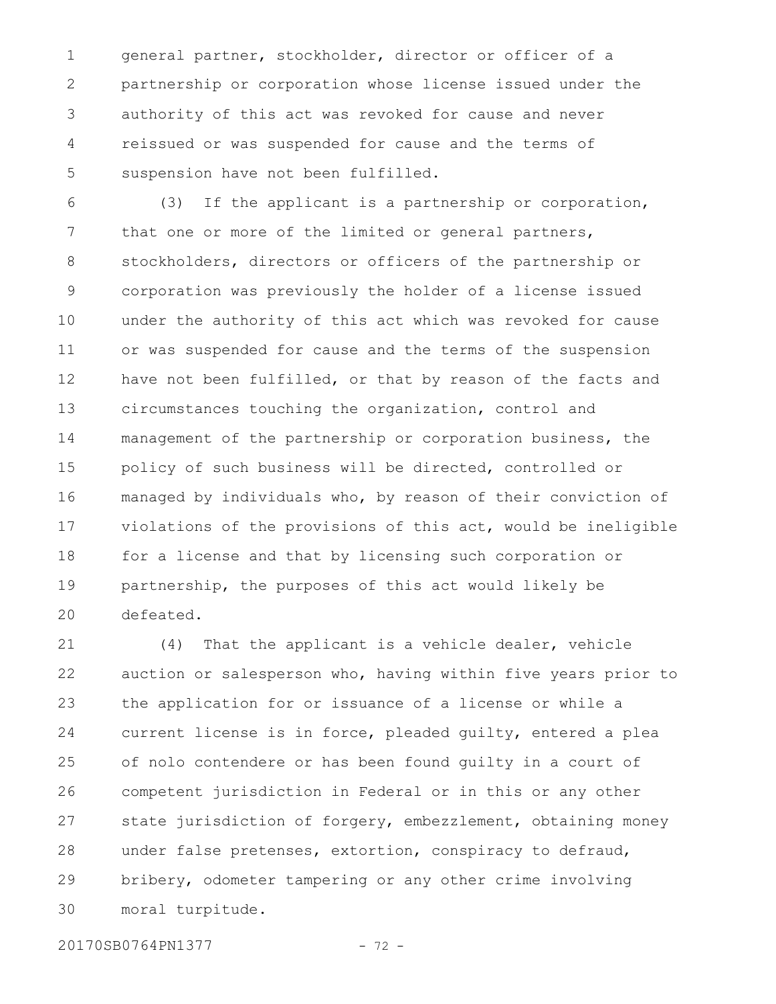general partner, stockholder, director or officer of a partnership or corporation whose license issued under the authority of this act was revoked for cause and never reissued or was suspended for cause and the terms of suspension have not been fulfilled. 1 2 3 4 5

(3) If the applicant is a partnership or corporation, that one or more of the limited or general partners, stockholders, directors or officers of the partnership or corporation was previously the holder of a license issued under the authority of this act which was revoked for cause or was suspended for cause and the terms of the suspension have not been fulfilled, or that by reason of the facts and circumstances touching the organization, control and management of the partnership or corporation business, the policy of such business will be directed, controlled or managed by individuals who, by reason of their conviction of violations of the provisions of this act, would be ineligible for a license and that by licensing such corporation or partnership, the purposes of this act would likely be defeated. 6 7 8 9 10 11 12 13 14 15 16 17 18 19 20

(4) That the applicant is a vehicle dealer, vehicle auction or salesperson who, having within five years prior to the application for or issuance of a license or while a current license is in force, pleaded guilty, entered a plea of nolo contendere or has been found guilty in a court of competent jurisdiction in Federal or in this or any other state jurisdiction of forgery, embezzlement, obtaining money under false pretenses, extortion, conspiracy to defraud, bribery, odometer tampering or any other crime involving moral turpitude. 21 22 23 24 25 26 27 28 29 30

20170SB0764PN1377 - 72 -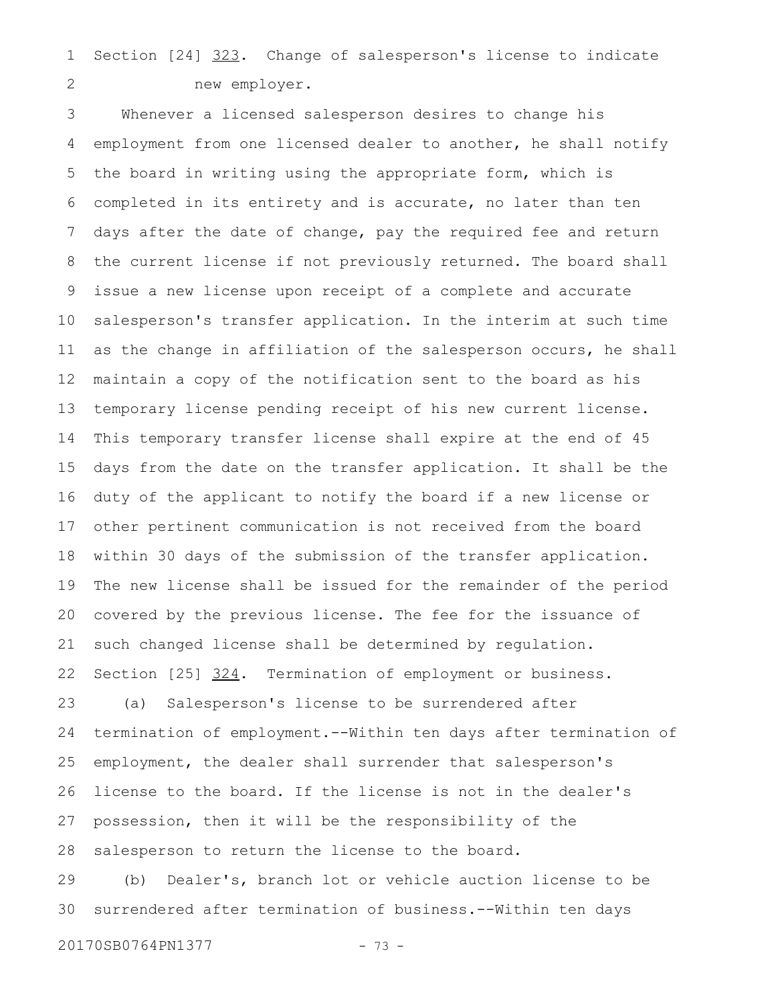Section [24] 323. Change of salesperson's license to indicate new employer. 1 2

Whenever a licensed salesperson desires to change his employment from one licensed dealer to another, he shall notify the board in writing using the appropriate form, which is completed in its entirety and is accurate, no later than ten days after the date of change, pay the required fee and return the current license if not previously returned. The board shall issue a new license upon receipt of a complete and accurate salesperson's transfer application. In the interim at such time as the change in affiliation of the salesperson occurs, he shall maintain a copy of the notification sent to the board as his temporary license pending receipt of his new current license. This temporary transfer license shall expire at the end of 45 days from the date on the transfer application. It shall be the duty of the applicant to notify the board if a new license or other pertinent communication is not received from the board within 30 days of the submission of the transfer application. The new license shall be issued for the remainder of the period covered by the previous license. The fee for the issuance of such changed license shall be determined by regulation. Section [25] 324. Termination of employment or business. (a) Salesperson's license to be surrendered after termination of employment.--Within ten days after termination of employment, the dealer shall surrender that salesperson's license to the board. If the license is not in the dealer's possession, then it will be the responsibility of the salesperson to return the license to the board. (b) Dealer's, branch lot or vehicle auction license to be surrendered after termination of business.--Within ten days 3 4 5 6 7 8 9 10 11 12 13 14 15 16 17 18 19 20 21 22 23 24 25 26 27 28 29 30

20170SB0764PN1377 - 73 -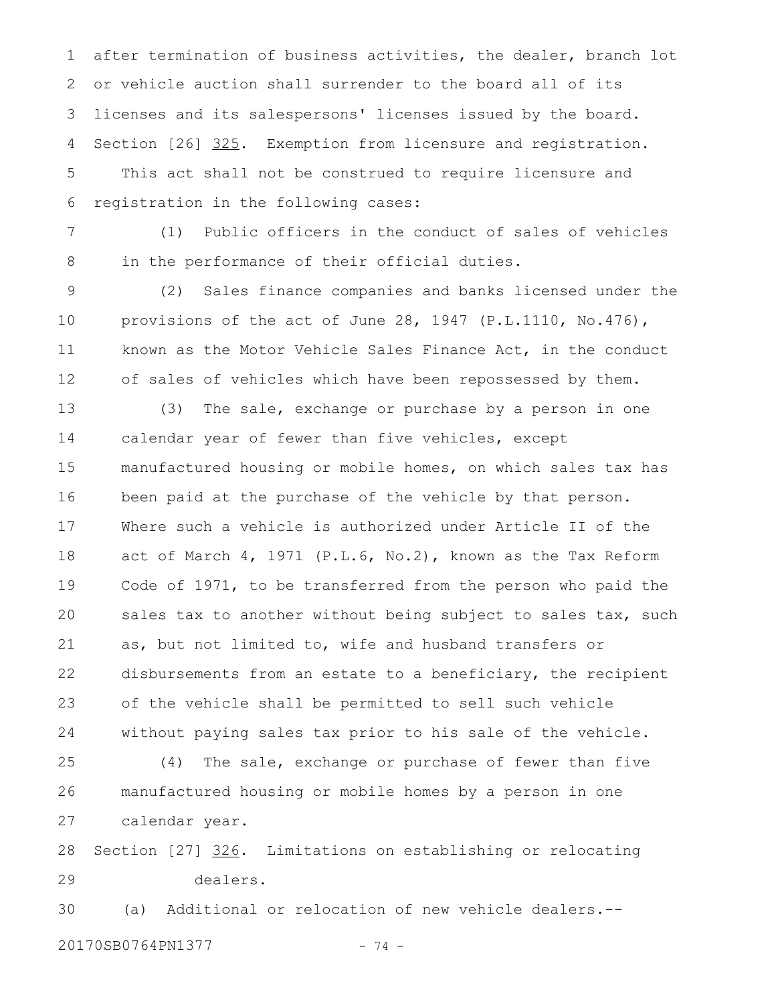after termination of business activities, the dealer, branch lot or vehicle auction shall surrender to the board all of its licenses and its salespersons' licenses issued by the board. Section [26] 325. Exemption from licensure and registration. This act shall not be construed to require licensure and registration in the following cases: 1 2 3 4 5 6

(1) Public officers in the conduct of sales of vehicles in the performance of their official duties. 7 8

(2) Sales finance companies and banks licensed under the provisions of the act of June 28, 1947 (P.L.1110, No.476), known as the Motor Vehicle Sales Finance Act, in the conduct of sales of vehicles which have been repossessed by them. 9 10 11 12

(3) The sale, exchange or purchase by a person in one calendar year of fewer than five vehicles, except manufactured housing or mobile homes, on which sales tax has been paid at the purchase of the vehicle by that person. Where such a vehicle is authorized under Article II of the act of March 4, 1971 (P.L.6, No.2), known as the Tax Reform Code of 1971, to be transferred from the person who paid the sales tax to another without being subject to sales tax, such as, but not limited to, wife and husband transfers or disbursements from an estate to a beneficiary, the recipient of the vehicle shall be permitted to sell such vehicle without paying sales tax prior to his sale of the vehicle. 13 14 15 16 17 18 19 20 21 22 23 24

(4) The sale, exchange or purchase of fewer than five manufactured housing or mobile homes by a person in one calendar year. 25 26 27

Section [27] 326. Limitations on establishing or relocating dealers. 28 29

(a) Additional or relocation of new vehicle dealers.-- 20170SB0764PN1377 - 74 -30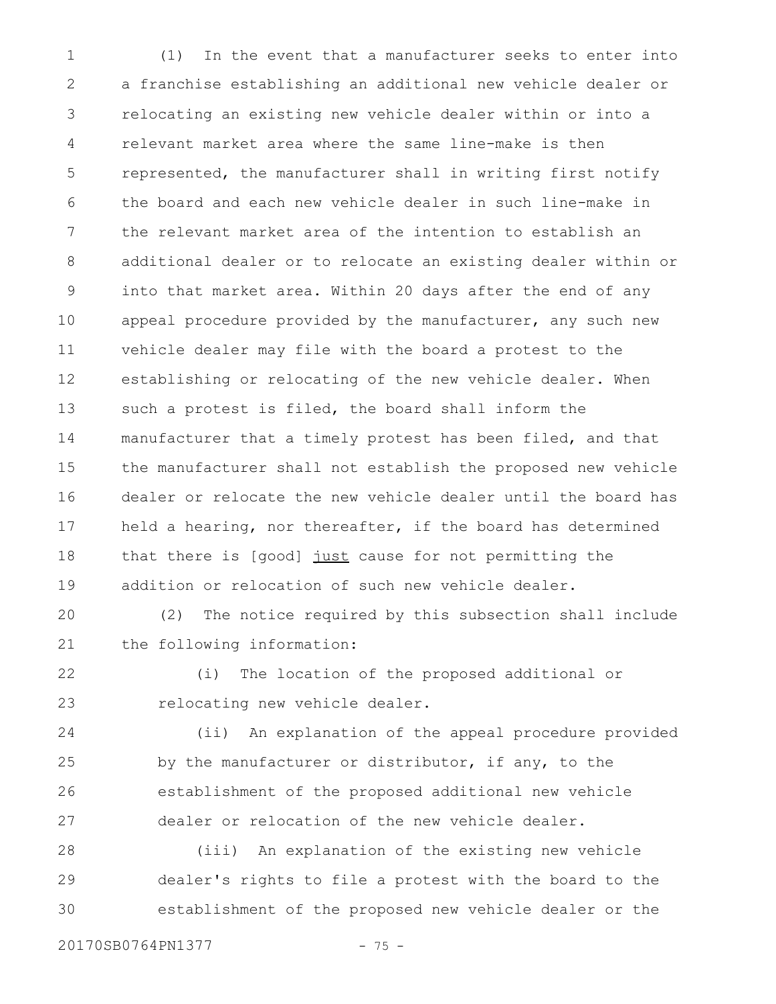(1) In the event that a manufacturer seeks to enter into a franchise establishing an additional new vehicle dealer or relocating an existing new vehicle dealer within or into a relevant market area where the same line-make is then represented, the manufacturer shall in writing first notify the board and each new vehicle dealer in such line-make in the relevant market area of the intention to establish an additional dealer or to relocate an existing dealer within or into that market area. Within 20 days after the end of any appeal procedure provided by the manufacturer, any such new vehicle dealer may file with the board a protest to the establishing or relocating of the new vehicle dealer. When such a protest is filed, the board shall inform the manufacturer that a timely protest has been filed, and that the manufacturer shall not establish the proposed new vehicle dealer or relocate the new vehicle dealer until the board has held a hearing, nor thereafter, if the board has determined that there is [good] just cause for not permitting the addition or relocation of such new vehicle dealer. 1 2 3 4 5 6 7 8 9 10 11 12 13 14 15 16 17 18 19

(2) The notice required by this subsection shall include the following information: 20 21

(i) The location of the proposed additional or relocating new vehicle dealer. 22 23

(ii) An explanation of the appeal procedure provided by the manufacturer or distributor, if any, to the establishment of the proposed additional new vehicle dealer or relocation of the new vehicle dealer. 24 25 26 27

(iii) An explanation of the existing new vehicle dealer's rights to file a protest with the board to the establishment of the proposed new vehicle dealer or the 28 29 30

20170SB0764PN1377 - 75 -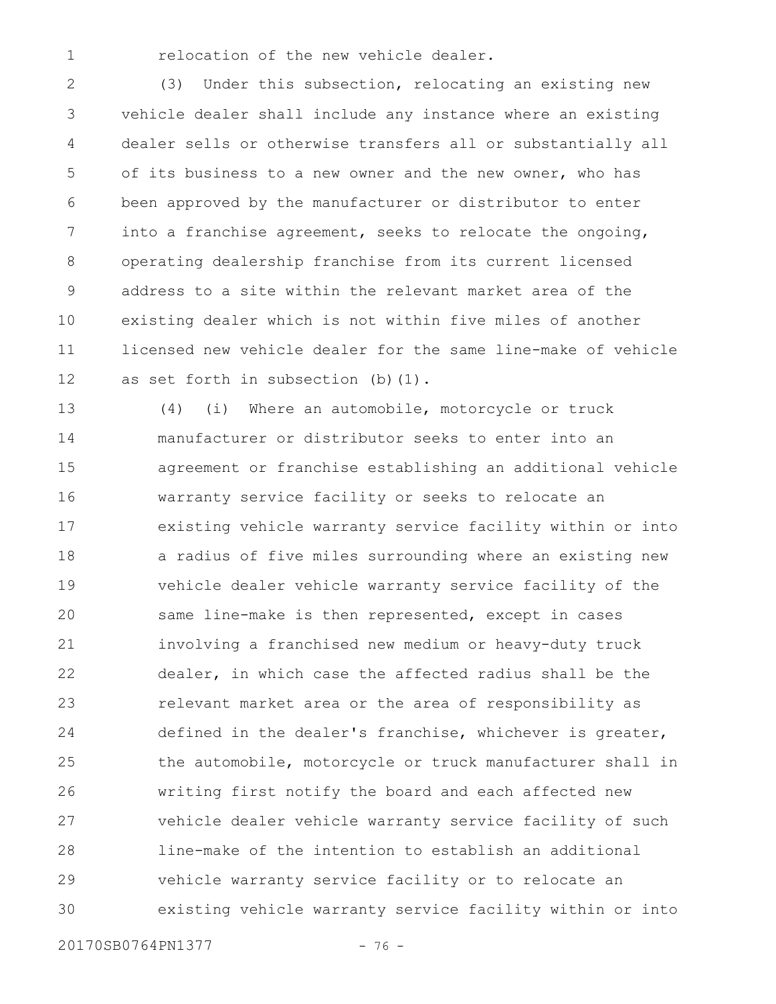relocation of the new vehicle dealer.

1

(3) Under this subsection, relocating an existing new vehicle dealer shall include any instance where an existing dealer sells or otherwise transfers all or substantially all of its business to a new owner and the new owner, who has been approved by the manufacturer or distributor to enter into a franchise agreement, seeks to relocate the ongoing, operating dealership franchise from its current licensed address to a site within the relevant market area of the existing dealer which is not within five miles of another licensed new vehicle dealer for the same line-make of vehicle as set forth in subsection (b)(1). 2 3 4 5 6 7 8 9 10 11 12

(4) (i) Where an automobile, motorcycle or truck manufacturer or distributor seeks to enter into an agreement or franchise establishing an additional vehicle warranty service facility or seeks to relocate an existing vehicle warranty service facility within or into a radius of five miles surrounding where an existing new vehicle dealer vehicle warranty service facility of the same line-make is then represented, except in cases involving a franchised new medium or heavy-duty truck dealer, in which case the affected radius shall be the relevant market area or the area of responsibility as defined in the dealer's franchise, whichever is greater, the automobile, motorcycle or truck manufacturer shall in writing first notify the board and each affected new vehicle dealer vehicle warranty service facility of such line-make of the intention to establish an additional vehicle warranty service facility or to relocate an existing vehicle warranty service facility within or into 13 14 15 16 17 18 19 20 21 22 23 24 25 26 27 28 29 30

20170SB0764PN1377 - 76 -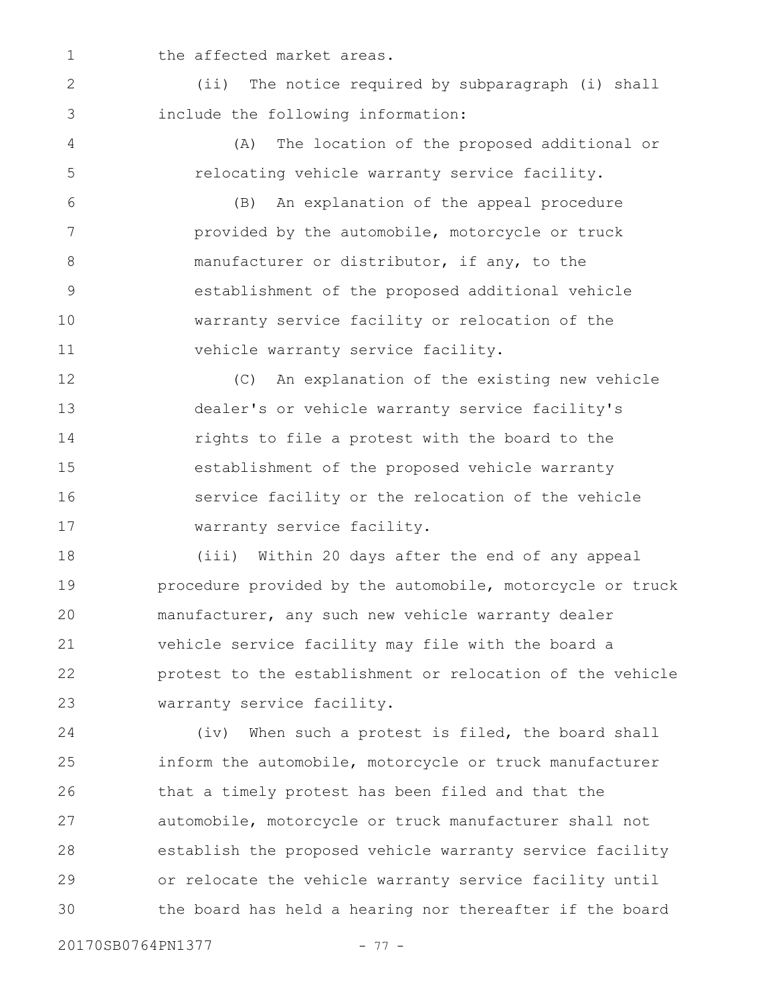the affected market areas.

(ii) The notice required by subparagraph (i) shall include the following information: 2 3

4

5

1

(A) The location of the proposed additional or relocating vehicle warranty service facility.

(B) An explanation of the appeal procedure provided by the automobile, motorcycle or truck manufacturer or distributor, if any, to the establishment of the proposed additional vehicle warranty service facility or relocation of the vehicle warranty service facility. 6 7 8 9 10 11

(C) An explanation of the existing new vehicle dealer's or vehicle warranty service facility's rights to file a protest with the board to the establishment of the proposed vehicle warranty service facility or the relocation of the vehicle warranty service facility. 12 13 14 15 16 17

(iii) Within 20 days after the end of any appeal procedure provided by the automobile, motorcycle or truck manufacturer, any such new vehicle warranty dealer vehicle service facility may file with the board a protest to the establishment or relocation of the vehicle warranty service facility. 18 19 20 21 22 23

(iv) When such a protest is filed, the board shall inform the automobile, motorcycle or truck manufacturer that a timely protest has been filed and that the automobile, motorcycle or truck manufacturer shall not establish the proposed vehicle warranty service facility or relocate the vehicle warranty service facility until the board has held a hearing nor thereafter if the board 24 25 26 27 28 29 30

20170SB0764PN1377 - 77 -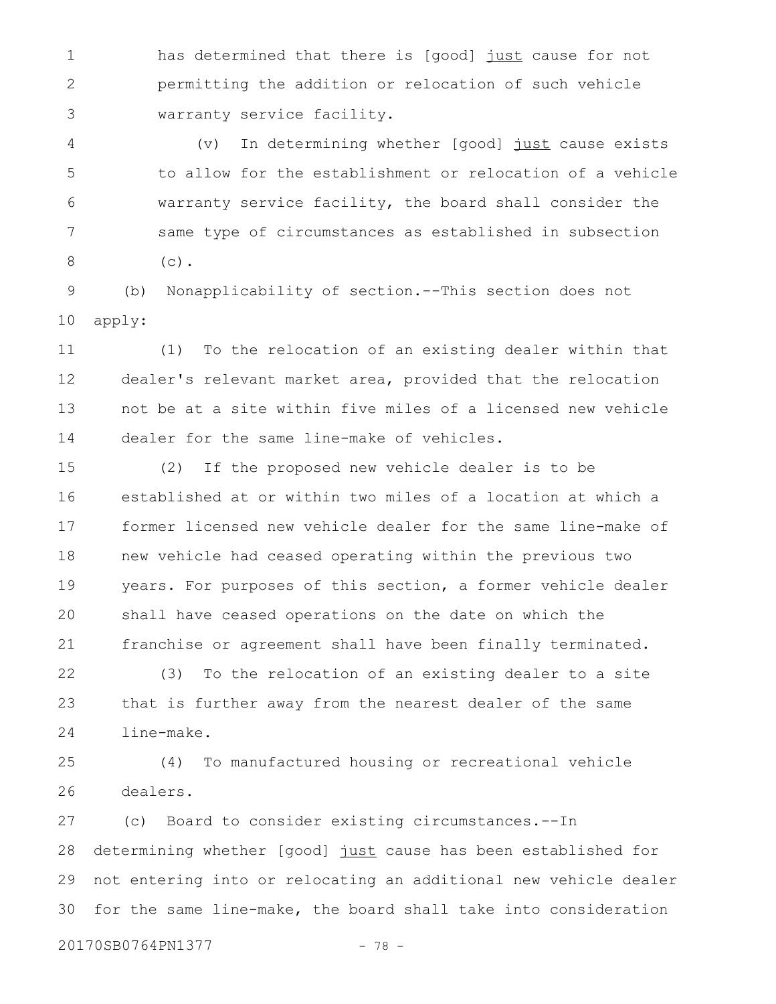has determined that there is [good] just cause for not permitting the addition or relocation of such vehicle warranty service facility. 1 2 3

(v) In determining whether [good] just cause exists to allow for the establishment or relocation of a vehicle warranty service facility, the board shall consider the same type of circumstances as established in subsection  $(c)$ . 4 5 6 7 8

(b) Nonapplicability of section.--This section does not apply: 9 10

(1) To the relocation of an existing dealer within that dealer's relevant market area, provided that the relocation not be at a site within five miles of a licensed new vehicle dealer for the same line-make of vehicles. 11 12 13 14

(2) If the proposed new vehicle dealer is to be established at or within two miles of a location at which a former licensed new vehicle dealer for the same line-make of new vehicle had ceased operating within the previous two years. For purposes of this section, a former vehicle dealer shall have ceased operations on the date on which the franchise or agreement shall have been finally terminated. 15 16 17 18 19 20 21

(3) To the relocation of an existing dealer to a site that is further away from the nearest dealer of the same line-make. 22 23 24

(4) To manufactured housing or recreational vehicle dealers. 25 26

(c) Board to consider existing circumstances.--In determining whether [good] just cause has been established for not entering into or relocating an additional new vehicle dealer for the same line-make, the board shall take into consideration 27 28 29 30

20170SB0764PN1377 - 78 -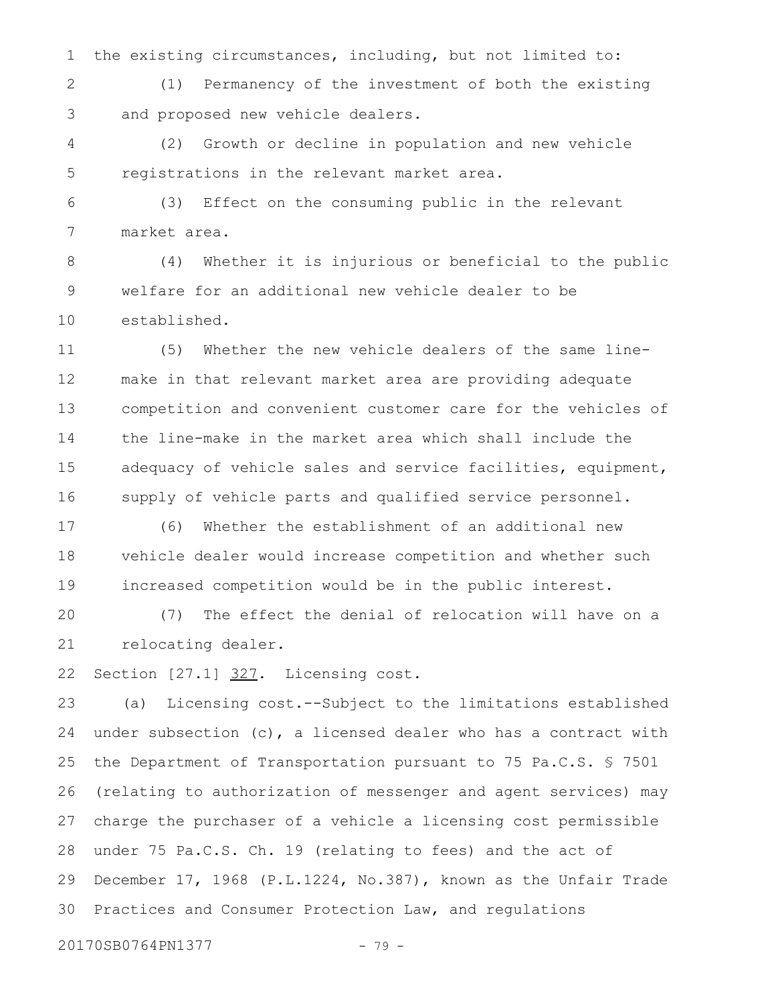the existing circumstances, including, but not limited to: 1

(1) Permanency of the investment of both the existing and proposed new vehicle dealers. 2 3

(2) Growth or decline in population and new vehicle registrations in the relevant market area. 4 5

(3) Effect on the consuming public in the relevant market area. 6 7

(4) Whether it is injurious or beneficial to the public welfare for an additional new vehicle dealer to be established. 8 9 10

(5) Whether the new vehicle dealers of the same linemake in that relevant market area are providing adequate competition and convenient customer care for the vehicles of the line-make in the market area which shall include the adequacy of vehicle sales and service facilities, equipment, supply of vehicle parts and qualified service personnel. 11 12 13 14 15 16

(6) Whether the establishment of an additional new vehicle dealer would increase competition and whether such increased competition would be in the public interest. 17 18 19

(7) The effect the denial of relocation will have on a relocating dealer. 20 21

Section [27.1] 327. Licensing cost. 22

(a) Licensing cost.--Subject to the limitations established under subsection (c), a licensed dealer who has a contract with the Department of Transportation pursuant to 75 Pa.C.S. § 7501 (relating to authorization of messenger and agent services) may charge the purchaser of a vehicle a licensing cost permissible under 75 Pa.C.S. Ch. 19 (relating to fees) and the act of December 17, 1968 (P.L.1224, No.387), known as the Unfair Trade Practices and Consumer Protection Law, and regulations 23 24 25 26 27 28 29 30

20170SB0764PN1377 - 79 -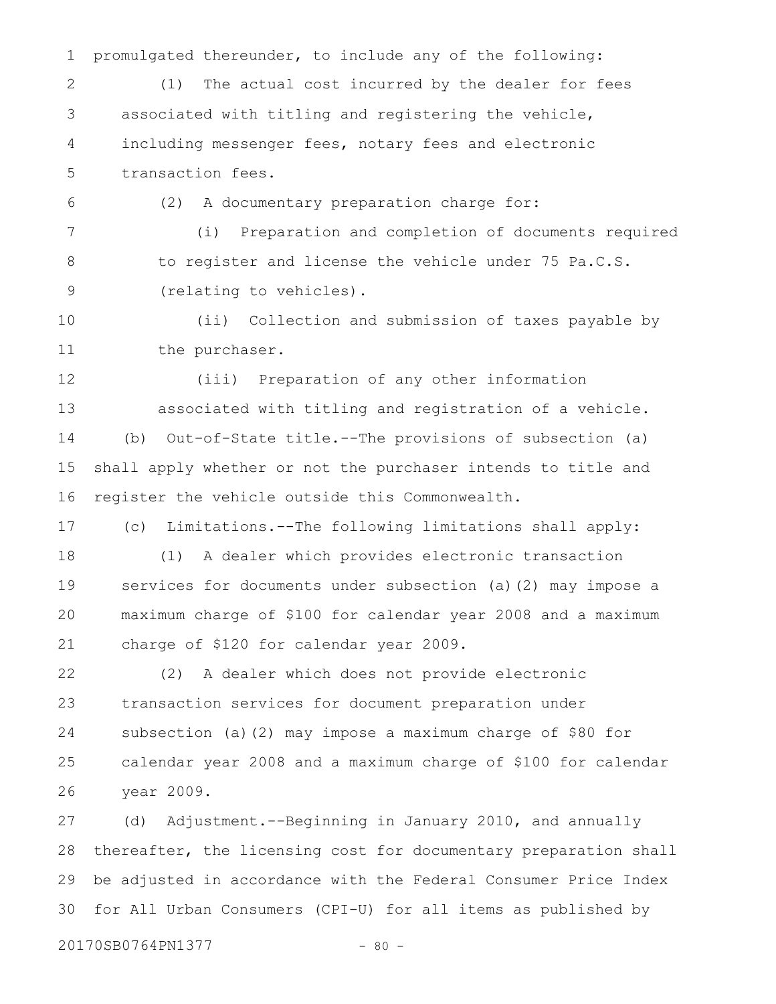promulgated thereunder, to include any of the following: (1) The actual cost incurred by the dealer for fees associated with titling and registering the vehicle, including messenger fees, notary fees and electronic transaction fees. (2) A documentary preparation charge for: (i) Preparation and completion of documents required to register and license the vehicle under 75 Pa.C.S. (relating to vehicles). (ii) Collection and submission of taxes payable by the purchaser. (iii) Preparation of any other information associated with titling and registration of a vehicle. (b) Out-of-State title.--The provisions of subsection (a) shall apply whether or not the purchaser intends to title and register the vehicle outside this Commonwealth. (c) Limitations.--The following limitations shall apply: (1) A dealer which provides electronic transaction services for documents under subsection (a)(2) may impose a maximum charge of \$100 for calendar year 2008 and a maximum charge of \$120 for calendar year 2009. (2) A dealer which does not provide electronic transaction services for document preparation under subsection (a)(2) may impose a maximum charge of \$80 for calendar year 2008 and a maximum charge of \$100 for calendar year 2009. (d) Adjustment.--Beginning in January 2010, and annually thereafter, the licensing cost for documentary preparation shall 1 2 3 4 5 6 7 8 9 10 11 12 13 14 15 16 17 18 19 20 21 22 23 24 25 26 27 28

be adjusted in accordance with the Federal Consumer Price Index for All Urban Consumers (CPI-U) for all items as published by 29 30

20170SB0764PN1377 - 80 -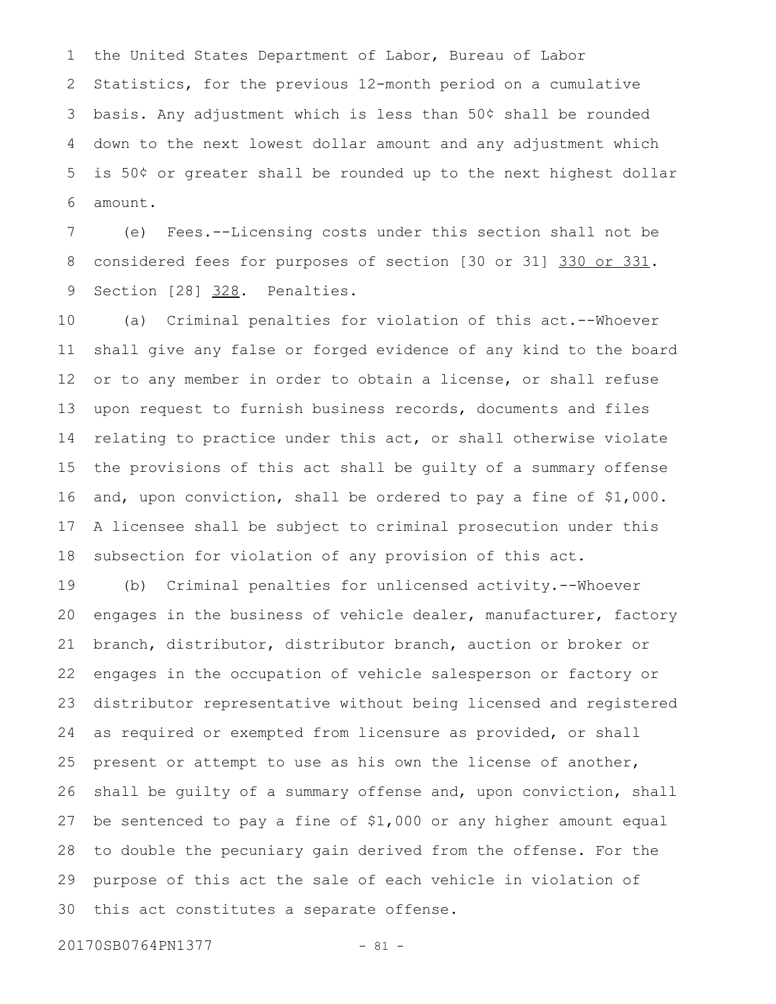the United States Department of Labor, Bureau of Labor Statistics, for the previous 12-month period on a cumulative basis. Any adjustment which is less than 50¢ shall be rounded down to the next lowest dollar amount and any adjustment which is 50¢ or greater shall be rounded up to the next highest dollar amount. 1 2 3 4 5 6

(e) Fees.--Licensing costs under this section shall not be considered fees for purposes of section [30 or 31] 330 or 331. Section [28] 328. Penalties. 7 8 9

(a) Criminal penalties for violation of this act.--Whoever shall give any false or forged evidence of any kind to the board or to any member in order to obtain a license, or shall refuse upon request to furnish business records, documents and files relating to practice under this act, or shall otherwise violate the provisions of this act shall be guilty of a summary offense and, upon conviction, shall be ordered to pay a fine of \$1,000. A licensee shall be subject to criminal prosecution under this subsection for violation of any provision of this act. 10 11 12 13 14 15 16 17 18

(b) Criminal penalties for unlicensed activity.--Whoever engages in the business of vehicle dealer, manufacturer, factory branch, distributor, distributor branch, auction or broker or engages in the occupation of vehicle salesperson or factory or distributor representative without being licensed and registered as required or exempted from licensure as provided, or shall present or attempt to use as his own the license of another, shall be guilty of a summary offense and, upon conviction, shall be sentenced to pay a fine of \$1,000 or any higher amount equal to double the pecuniary gain derived from the offense. For the purpose of this act the sale of each vehicle in violation of this act constitutes a separate offense. 19 20 21 22 23 24 25 26 27 28 29 30

20170SB0764PN1377 - 81 -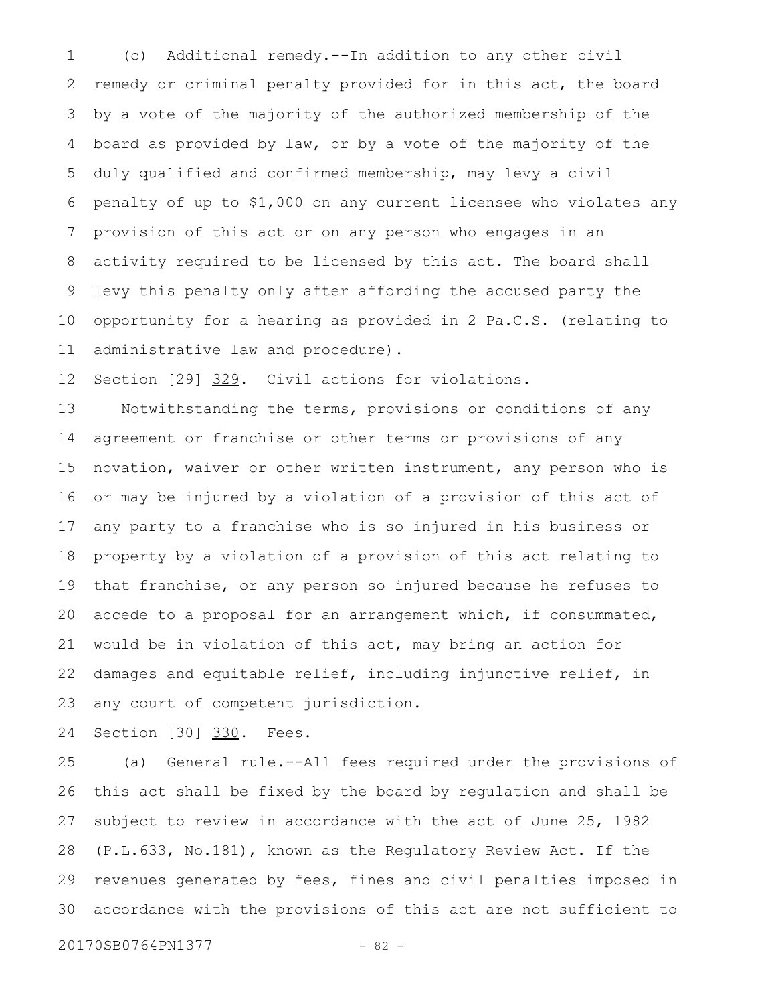(c) Additional remedy.--In addition to any other civil remedy or criminal penalty provided for in this act, the board by a vote of the majority of the authorized membership of the board as provided by law, or by a vote of the majority of the duly qualified and confirmed membership, may levy a civil penalty of up to \$1,000 on any current licensee who violates any provision of this act or on any person who engages in an activity required to be licensed by this act. The board shall levy this penalty only after affording the accused party the opportunity for a hearing as provided in 2 Pa.C.S. (relating to administrative law and procedure). 1 2 3 4 5 6 7 8 9 10 11

Section [29] 329. Civil actions for violations. 12

Notwithstanding the terms, provisions or conditions of any agreement or franchise or other terms or provisions of any novation, waiver or other written instrument, any person who is or may be injured by a violation of a provision of this act of any party to a franchise who is so injured in his business or property by a violation of a provision of this act relating to that franchise, or any person so injured because he refuses to accede to a proposal for an arrangement which, if consummated, would be in violation of this act, may bring an action for damages and equitable relief, including injunctive relief, in any court of competent jurisdiction. 13 14 15 16 17 18 19 20 21 22 23

Section [30] 330. Fees. 24

(a) General rule.--All fees required under the provisions of this act shall be fixed by the board by regulation and shall be subject to review in accordance with the act of June 25, 1982 (P.L.633, No.181), known as the Regulatory Review Act. If the revenues generated by fees, fines and civil penalties imposed in accordance with the provisions of this act are not sufficient to 25 26 27 28 29 30

20170SB0764PN1377 - 82 -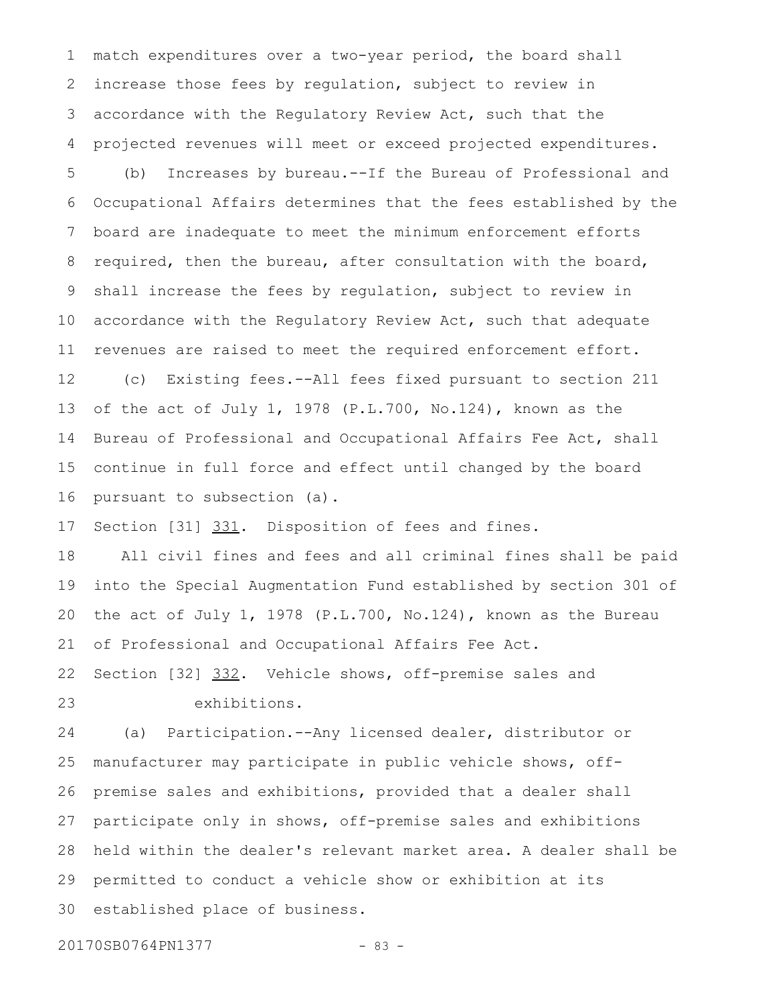match expenditures over a two-year period, the board shall increase those fees by regulation, subject to review in accordance with the Regulatory Review Act, such that the projected revenues will meet or exceed projected expenditures. 1 2 3 4

(b) Increases by bureau.--If the Bureau of Professional and Occupational Affairs determines that the fees established by the board are inadequate to meet the minimum enforcement efforts required, then the bureau, after consultation with the board, shall increase the fees by regulation, subject to review in accordance with the Regulatory Review Act, such that adequate revenues are raised to meet the required enforcement effort. 5 6 7 8 9 10 11

(c) Existing fees.--All fees fixed pursuant to section 211 of the act of July 1, 1978 (P.L.700, No.124), known as the Bureau of Professional and Occupational Affairs Fee Act, shall continue in full force and effect until changed by the board pursuant to subsection (a). 12 13 14 15 16

Section [31] 331. Disposition of fees and fines. 17

All civil fines and fees and all criminal fines shall be paid into the Special Augmentation Fund established by section 301 of the act of July 1, 1978 (P.L.700, No.124), known as the Bureau of Professional and Occupational Affairs Fee Act. 18 19 20 21

Section [32] 332. Vehicle shows, off-premise sales and exhibitions. 22 23

(a) Participation.--Any licensed dealer, distributor or manufacturer may participate in public vehicle shows, offpremise sales and exhibitions, provided that a dealer shall participate only in shows, off-premise sales and exhibitions held within the dealer's relevant market area. A dealer shall be permitted to conduct a vehicle show or exhibition at its established place of business. 24 25 26 27 28 29 30

20170SB0764PN1377 - 83 -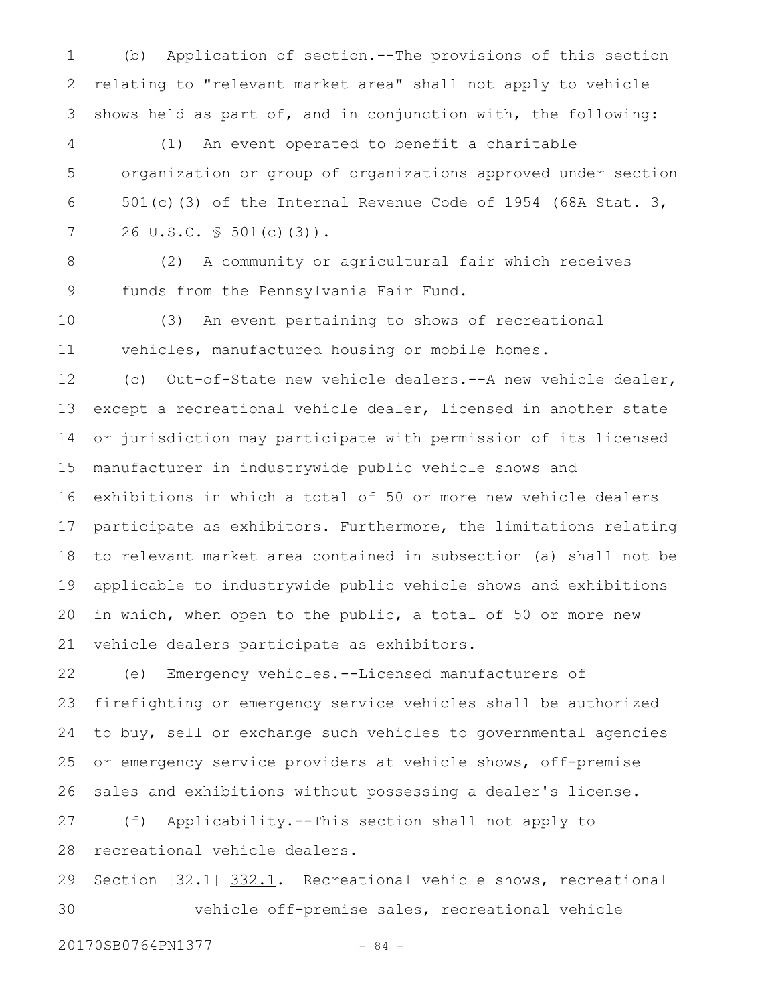(b) Application of section.--The provisions of this section relating to "relevant market area" shall not apply to vehicle shows held as part of, and in conjunction with, the following: 1 2 3

(1) An event operated to benefit a charitable organization or group of organizations approved under section 501(c)(3) of the Internal Revenue Code of 1954 (68A Stat. 3, 26 U.S.C. § 501(c)(3)). 4 5 6 7

8

(2) A community or agricultural fair which receives funds from the Pennsylvania Fair Fund. 9

(3) An event pertaining to shows of recreational vehicles, manufactured housing or mobile homes. 10 11

(c) Out-of-State new vehicle dealers.--A new vehicle dealer, except a recreational vehicle dealer, licensed in another state or jurisdiction may participate with permission of its licensed manufacturer in industrywide public vehicle shows and exhibitions in which a total of 50 or more new vehicle dealers participate as exhibitors. Furthermore, the limitations relating to relevant market area contained in subsection (a) shall not be applicable to industrywide public vehicle shows and exhibitions in which, when open to the public, a total of 50 or more new vehicle dealers participate as exhibitors. 12 13 14 15 16 17 18 19 20 21

(e) Emergency vehicles.--Licensed manufacturers of firefighting or emergency service vehicles shall be authorized to buy, sell or exchange such vehicles to governmental agencies or emergency service providers at vehicle shows, off-premise sales and exhibitions without possessing a dealer's license. 22 23 24 25 26

(f) Applicability.--This section shall not apply to recreational vehicle dealers. 27 28

Section [32.1] 332.1. Recreational vehicle shows, recreational vehicle off-premise sales, recreational vehicle 29 30

20170SB0764PN1377 - 84 -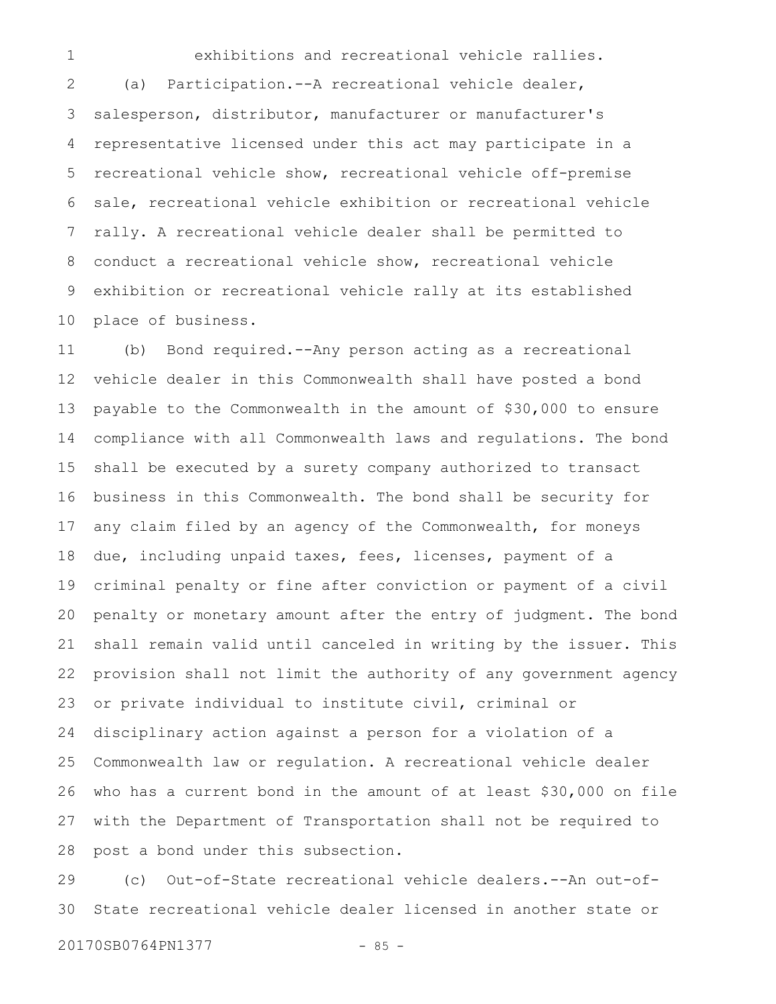exhibitions and recreational vehicle rallies.

(a) Participation.--A recreational vehicle dealer, salesperson, distributor, manufacturer or manufacturer's representative licensed under this act may participate in a recreational vehicle show, recreational vehicle off-premise sale, recreational vehicle exhibition or recreational vehicle rally. A recreational vehicle dealer shall be permitted to conduct a recreational vehicle show, recreational vehicle exhibition or recreational vehicle rally at its established place of business. 2 3 4 5 6 7 8 9 10

(b) Bond required.--Any person acting as a recreational vehicle dealer in this Commonwealth shall have posted a bond payable to the Commonwealth in the amount of \$30,000 to ensure compliance with all Commonwealth laws and regulations. The bond shall be executed by a surety company authorized to transact business in this Commonwealth. The bond shall be security for any claim filed by an agency of the Commonwealth, for moneys due, including unpaid taxes, fees, licenses, payment of a criminal penalty or fine after conviction or payment of a civil penalty or monetary amount after the entry of judgment. The bond shall remain valid until canceled in writing by the issuer. This provision shall not limit the authority of any government agency or private individual to institute civil, criminal or disciplinary action against a person for a violation of a Commonwealth law or regulation. A recreational vehicle dealer who has a current bond in the amount of at least \$30,000 on file with the Department of Transportation shall not be required to post a bond under this subsection. 11 12 13 14 15 16 17 18 19 20 21 22 23 24 25 26 27 28

(c) Out-of-State recreational vehicle dealers.--An out-of-State recreational vehicle dealer licensed in another state or 29 30

20170SB0764PN1377 - 85 -

1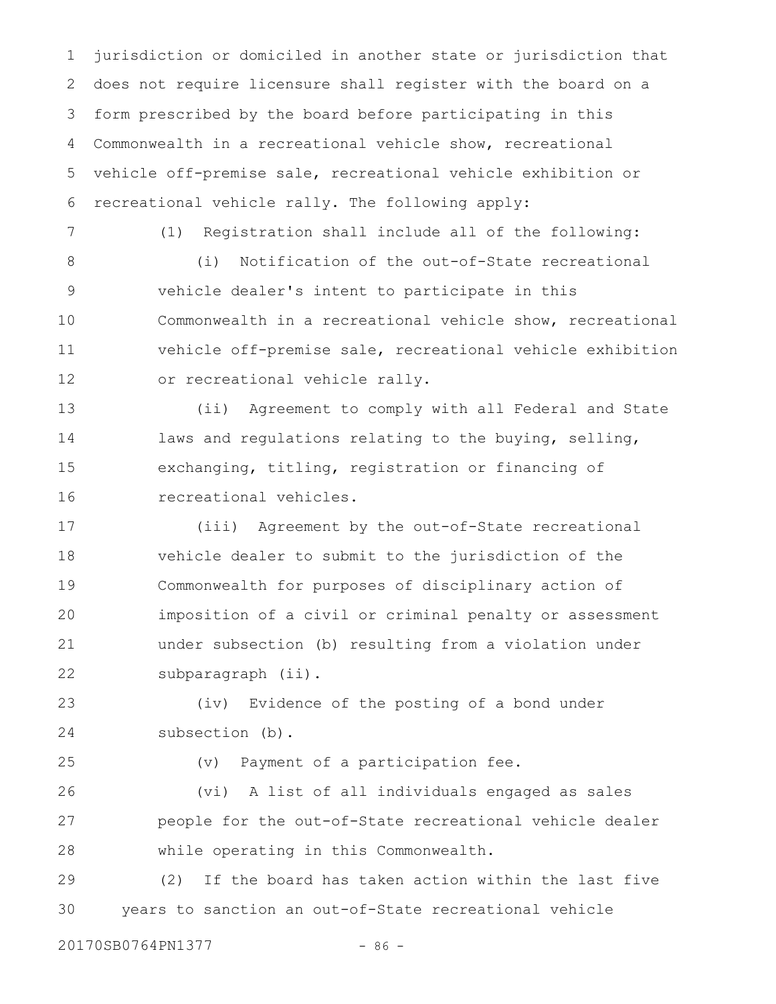jurisdiction or domiciled in another state or jurisdiction that does not require licensure shall register with the board on a form prescribed by the board before participating in this Commonwealth in a recreational vehicle show, recreational vehicle off-premise sale, recreational vehicle exhibition or recreational vehicle rally. The following apply: 1 2 3 4 5 6

7

(1) Registration shall include all of the following:

(i) Notification of the out-of-State recreational vehicle dealer's intent to participate in this Commonwealth in a recreational vehicle show, recreational vehicle off-premise sale, recreational vehicle exhibition or recreational vehicle rally. 8 9 10 11 12

(ii) Agreement to comply with all Federal and State laws and regulations relating to the buying, selling, exchanging, titling, registration or financing of recreational vehicles. 13 14 15 16

(iii) Agreement by the out-of-State recreational vehicle dealer to submit to the jurisdiction of the Commonwealth for purposes of disciplinary action of imposition of a civil or criminal penalty or assessment under subsection (b) resulting from a violation under subparagraph (ii). 17 18 19 20 21 22

(iv) Evidence of the posting of a bond under subsection (b). 23 24

25

(v) Payment of a participation fee.

(vi) A list of all individuals engaged as sales people for the out-of-State recreational vehicle dealer while operating in this Commonwealth. 26 27 28

(2) If the board has taken action within the last five years to sanction an out-of-State recreational vehicle 29 30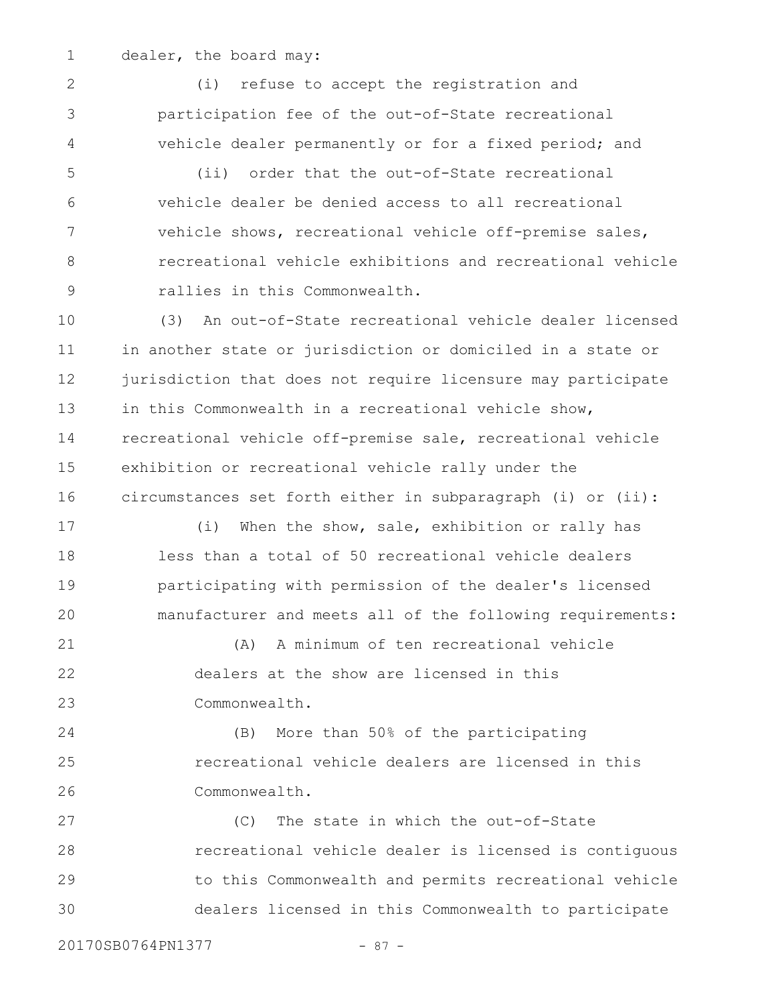1

2

3

4

dealer, the board may:

(i) refuse to accept the registration and participation fee of the out-of-State recreational vehicle dealer permanently or for a fixed period; and

(ii) order that the out-of-State recreational vehicle dealer be denied access to all recreational vehicle shows, recreational vehicle off-premise sales, recreational vehicle exhibitions and recreational vehicle rallies in this Commonwealth. 5 6 7 8 9

(3) An out-of-State recreational vehicle dealer licensed in another state or jurisdiction or domiciled in a state or jurisdiction that does not require licensure may participate in this Commonwealth in a recreational vehicle show, recreational vehicle off-premise sale, recreational vehicle exhibition or recreational vehicle rally under the circumstances set forth either in subparagraph (i) or (ii): 10 11 12 13 14 15 16

(i) When the show, sale, exhibition or rally has less than a total of 50 recreational vehicle dealers participating with permission of the dealer's licensed manufacturer and meets all of the following requirements: 17 18 19 20

(A) A minimum of ten recreational vehicle dealers at the show are licensed in this Commonwealth. 21 22 23

(B) More than 50% of the participating recreational vehicle dealers are licensed in this Commonwealth. 24 25 26

(C) The state in which the out-of-State recreational vehicle dealer is licensed is contiguous to this Commonwealth and permits recreational vehicle dealers licensed in this Commonwealth to participate 27 28 29 30

20170SB0764PN1377 - 87 -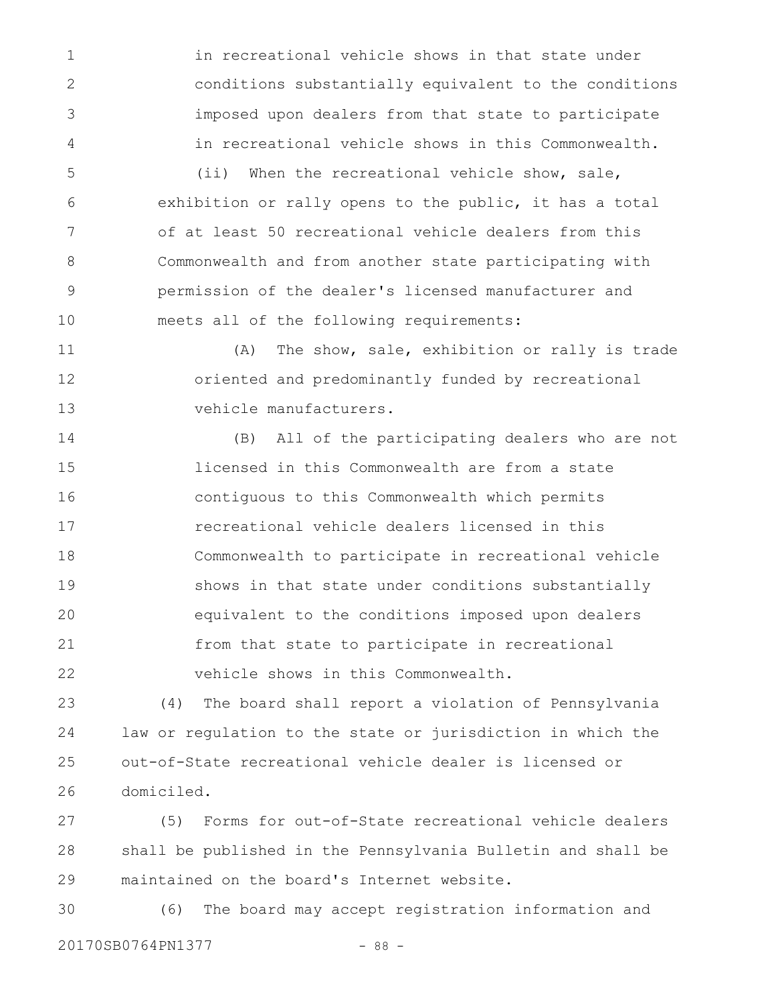in recreational vehicle shows in that state under conditions substantially equivalent to the conditions imposed upon dealers from that state to participate in recreational vehicle shows in this Commonwealth. (ii) When the recreational vehicle show, sale,

1

2

3

4

5

exhibition or rally opens to the public, it has a total of at least 50 recreational vehicle dealers from this Commonwealth and from another state participating with permission of the dealer's licensed manufacturer and meets all of the following requirements: 6 7 8 9 10

(A) The show, sale, exhibition or rally is trade oriented and predominantly funded by recreational vehicle manufacturers. 11 12 13

(B) All of the participating dealers who are not licensed in this Commonwealth are from a state contiguous to this Commonwealth which permits recreational vehicle dealers licensed in this Commonwealth to participate in recreational vehicle shows in that state under conditions substantially equivalent to the conditions imposed upon dealers from that state to participate in recreational vehicle shows in this Commonwealth. 14 15 16 17 18 19 20 21 22

(4) The board shall report a violation of Pennsylvania law or regulation to the state or jurisdiction in which the out-of-State recreational vehicle dealer is licensed or domiciled. 23 24 25 26

(5) Forms for out-of-State recreational vehicle dealers shall be published in the Pennsylvania Bulletin and shall be maintained on the board's Internet website. 27 28 29

(6) The board may accept registration information and 20170SB0764PN1377 - 88 -30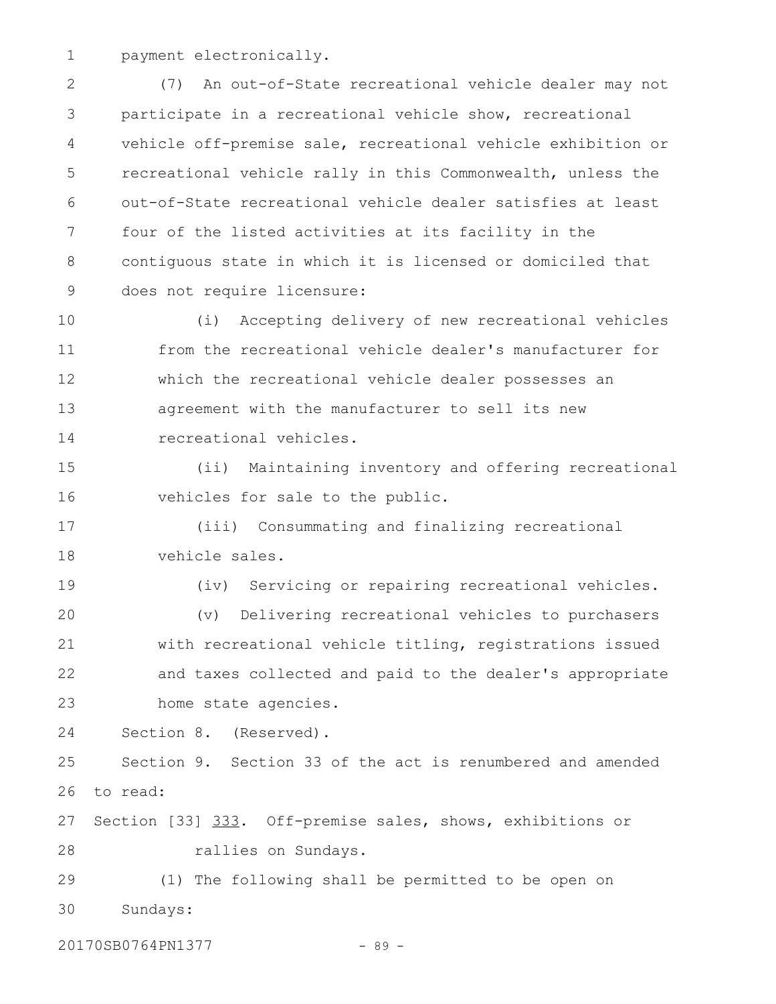payment electronically. 1

(7) An out-of-State recreational vehicle dealer may not participate in a recreational vehicle show, recreational vehicle off-premise sale, recreational vehicle exhibition or recreational vehicle rally in this Commonwealth, unless the out-of-State recreational vehicle dealer satisfies at least four of the listed activities at its facility in the contiguous state in which it is licensed or domiciled that does not require licensure: 2 3 4 5 6 7 8 9

(i) Accepting delivery of new recreational vehicles from the recreational vehicle dealer's manufacturer for which the recreational vehicle dealer possesses an agreement with the manufacturer to sell its new recreational vehicles. 10 11 12 13 14

(ii) Maintaining inventory and offering recreational vehicles for sale to the public. 15 16

(iii) Consummating and finalizing recreational vehicle sales. 17 18

(iv) Servicing or repairing recreational vehicles. (v) Delivering recreational vehicles to purchasers with recreational vehicle titling, registrations issued and taxes collected and paid to the dealer's appropriate home state agencies. 19 20 21 22 23

Section 8. (Reserved). 24

Section 9. Section 33 of the act is renumbered and amended to read: 25 26

Section [33] 333. Off-premise sales, shows, exhibitions or rallies on Sundays. 27 28

(1) The following shall be permitted to be open on Sundays: 29 30

20170SB0764PN1377 - 89 -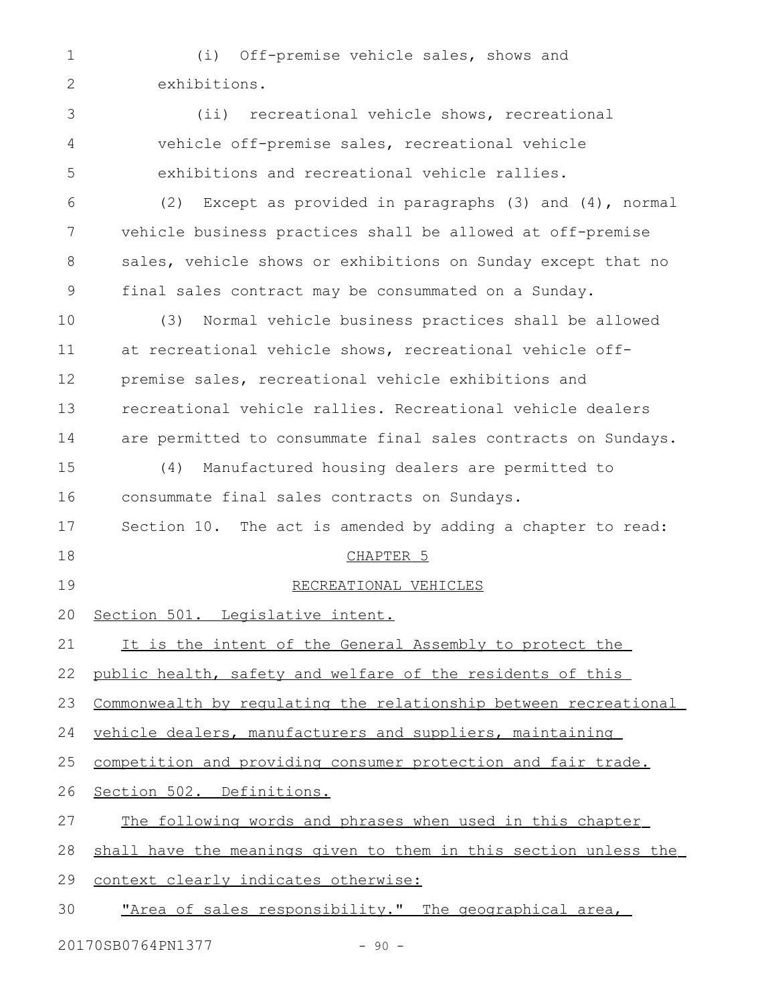(i) Off-premise vehicle sales, shows and exhibitions. (ii) recreational vehicle shows, recreational vehicle off-premise sales, recreational vehicle exhibitions and recreational vehicle rallies. (2) Except as provided in paragraphs (3) and (4), normal vehicle business practices shall be allowed at off-premise sales, vehicle shows or exhibitions on Sunday except that no final sales contract may be consummated on a Sunday. (3) Normal vehicle business practices shall be allowed at recreational vehicle shows, recreational vehicle offpremise sales, recreational vehicle exhibitions and recreational vehicle rallies. Recreational vehicle dealers are permitted to consummate final sales contracts on Sundays. (4) Manufactured housing dealers are permitted to consummate final sales contracts on Sundays. Section 10. The act is amended by adding a chapter to read: CHAPTER 5 RECREATIONAL VEHICLES Section 501. Legislative intent. It is the intent of the General Assembly to protect the public health, safety and welfare of the residents of this Commonwealth by regulating the relationship between recreational vehicle dealers, manufacturers and suppliers, maintaining competition and providing consumer protection and fair trade. Section 502. Definitions. The following words and phrases when used in this chapter shall have the meanings given to them in this section unless the context clearly indicates otherwise: "Area of sales responsibility." The geographical area, 1 2 3 4 5 6 7 8 9 10 11 12 13 14 15 16 17 18 19 20 21 22 23 24 25 26 27 28 29 30

20170SB0764PN1377 - 90 -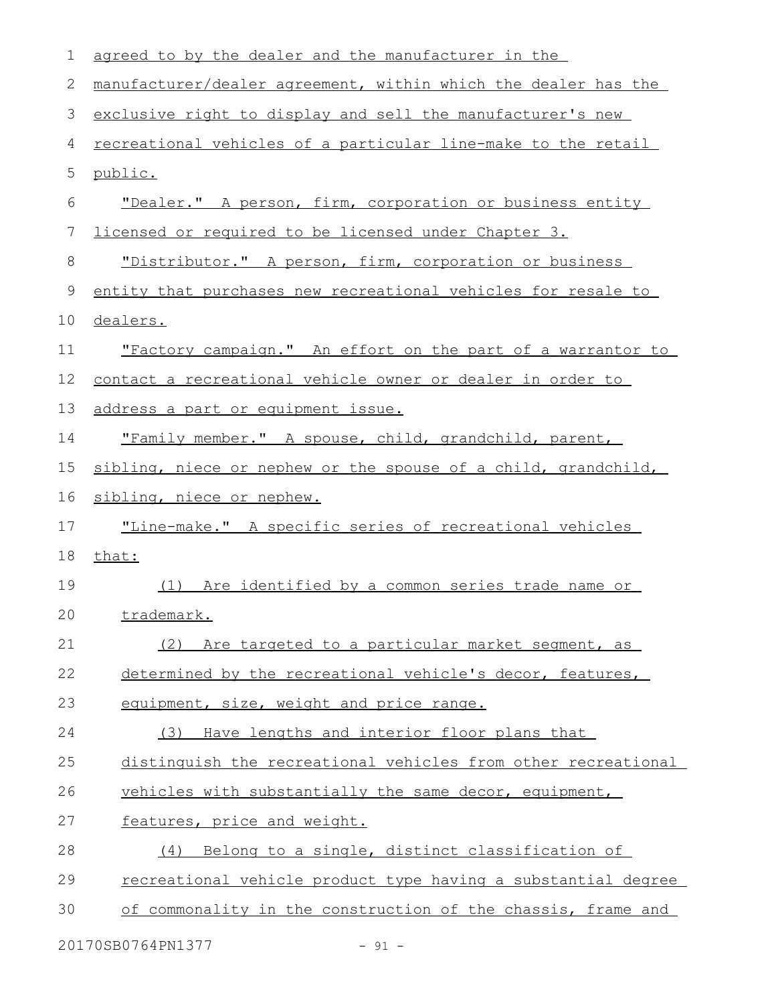| $\mathbf 1$ | agreed to by the dealer and the manufacturer in the                  |
|-------------|----------------------------------------------------------------------|
| 2           | manufacturer/dealer agreement, within which the dealer has the       |
| 3           | exclusive right to display and sell the manufacturer's new           |
| 4           | <u>recreational vehicles of a particular line-make to the retail</u> |
| 5           | public.                                                              |
| 6           | "Dealer." A person, firm, corporation or business entity             |
| 7           | licensed or required to be licensed under Chapter 3.                 |
| 8           | "Distributor." A person, firm, corporation or business               |
| 9           | entity that purchases new recreational vehicles for resale to        |
| 10          | dealers.                                                             |
| 11          | "Factory campaign." An effort on the part of a warrantor to          |
| 12          | contact a recreational vehicle owner or dealer in order to           |
| 13          | address a part or equipment issue.                                   |
| 14          | "Family member." A spouse, child, grandchild, parent,                |
| 15          | sibling, niece or nephew or the spouse of a child, grandchild,       |
| 16          | sibling, niece or nephew.                                            |
| 17          | "Line-make." A specific series of recreational vehicles              |
| 18          | that:                                                                |
| 19          | (1) Are identified by a common series trade name or                  |
| 20          | <u>trademark.</u>                                                    |
| 21          | (2)<br>Are targeted to a particular market segment, as               |
| 22          | determined by the recreational vehicle's decor, features,            |
| 23          | equipment, size, weight and price range.                             |
| 24          | Have lengths and interior floor plans that<br>(3)                    |
| 25          | distinguish the recreational vehicles from other recreational        |
| 26          | vehicles with substantially the same decor, equipment,               |
| 27          | features, price and weight.                                          |
| 28          | Belong to a single, distinct classification of<br>(4)                |
| 29          | recreational vehicle product type having a substantial degree        |
| 30          | of commonality in the construction of the chassis, frame and         |
|             |                                                                      |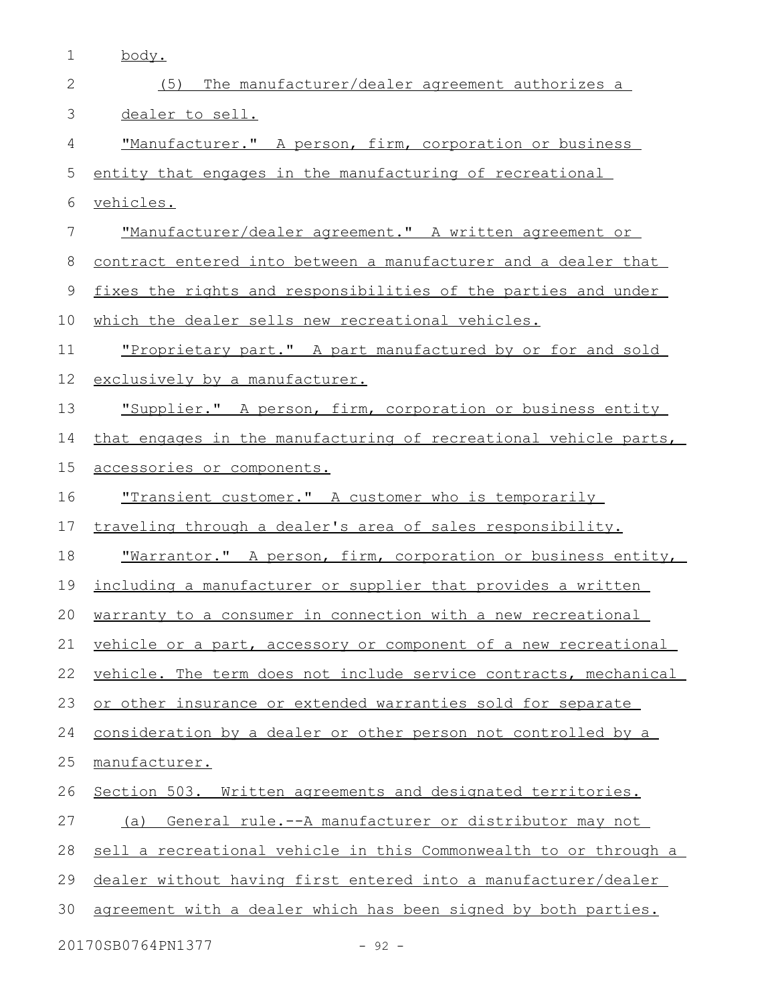| $\mathbf 1$ | body.                                                                |
|-------------|----------------------------------------------------------------------|
| 2           | (5)<br>The manufacturer/dealer agreement authorizes a                |
| 3           | dealer to sell.                                                      |
| 4           | "Manufacturer." A person, firm, corporation or business              |
| 5           | entity that engages in the manufacturing of recreational             |
| 6           | vehicles.                                                            |
| 7           | "Manufacturer/dealer agreement." A written agreement or              |
| 8           | contract entered into between a manufacturer and a dealer that       |
| 9           | fixes the rights and responsibilities of the parties and under       |
| 10          | which the dealer sells new recreational vehicles.                    |
| 11          | "Proprietary part." A part manufactured by or for and sold           |
| 12          | exclusively by a manufacturer.                                       |
| 13          | "Supplier." A person, firm, corporation or business entity           |
| 14          | that engages in the manufacturing of recreational vehicle parts,     |
| 15          | accessories or components.                                           |
| 16          | <u>"Transient customer." A customer who is temporarily</u>           |
| 17          | traveling through a dealer's area of sales responsibility.           |
| 18          | <u> "Warrantor." A person, firm, corporation or business entity,</u> |
| 19          | including a manufacturer or supplier that provides a written         |
| 20          | warranty to a consumer in connection with a new recreational         |
| 21          | vehicle or a part, accessory or component of a new recreational      |
| 22          | vehicle. The term does not include service contracts, mechanical     |
| 23          | or other insurance or extended warranties sold for separate          |
| 24          | consideration by a dealer or other person not controlled by a        |
| 25          | manufacturer.                                                        |
| 26          | Section 503. Written agreements and designated territories.          |
| 27          | (a) General rule.--A manufacturer or distributor may not             |
| 28          | sell a recreational vehicle in this Commonwealth to or through a     |
| 29          | dealer without having first entered into a manufacturer/dealer       |
| 30          | agreement with a dealer which has been signed by both parties.       |
|             | 20170SB0764PN1377<br>$-92 -$                                         |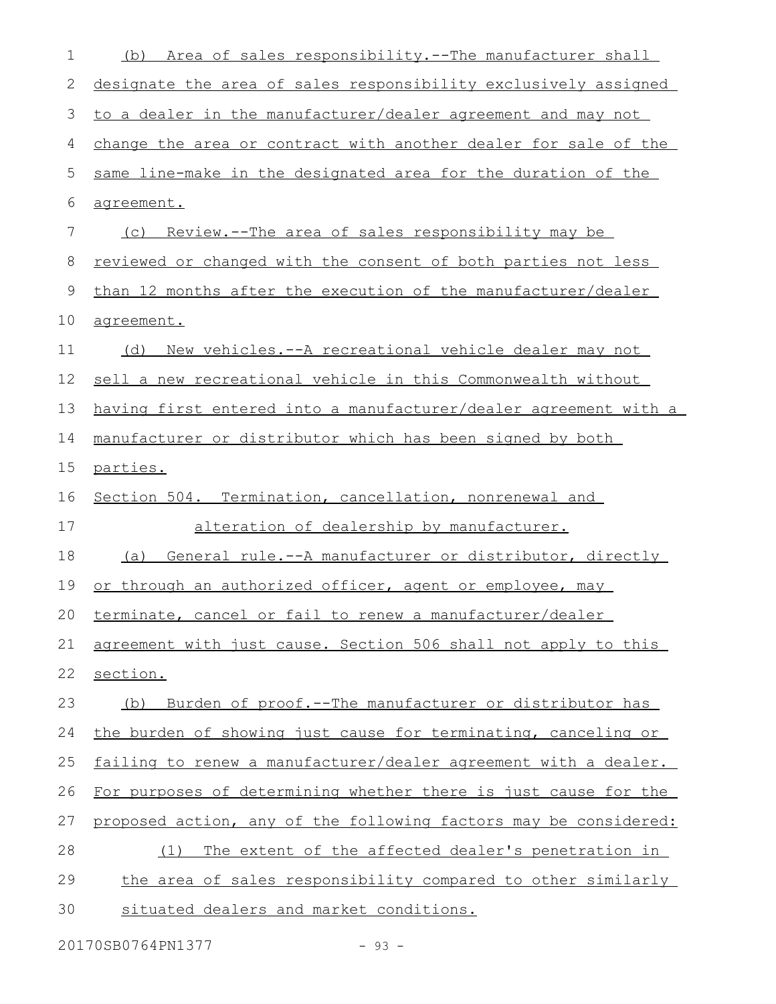| 1  | Area of sales responsibility.--The manufacturer shall<br>(b)     |
|----|------------------------------------------------------------------|
| 2  | designate the area of sales responsibility exclusively assigned  |
| 3  | to a dealer in the manufacturer/dealer agreement and may not     |
| 4  | change the area or contract with another dealer for sale of the  |
| 5  | same line-make in the designated area for the duration of the    |
| 6  | agreement.                                                       |
| 7  | (c) Review.--The area of sales responsibility may be             |
| 8  | reviewed or changed with the consent of both parties not less    |
| 9  | than 12 months after the execution of the manufacturer/dealer    |
| 10 | agreement.                                                       |
| 11 | New vehicles.--A recreational vehicle dealer may not<br>(d)      |
| 12 | sell a new recreational vehicle in this Commonwealth without     |
| 13 | having first entered into a manufacturer/dealer agreement with a |
| 14 | manufacturer or distributor which has been signed by both        |
| 15 | parties.                                                         |
| 16 | Section 504. Termination, cancellation, nonrenewal and           |
| 17 | alteration of dealership by manufacturer.                        |
| 18 | General rule.--A manufacturer or distributor, directly<br>(a)    |
| 19 | or through an authorized officer, agent or employee, may         |
| 20 | terminate, cancel or fail to renew a manufacturer/dealer         |
| 21 | agreement with just cause. Section 506 shall not apply to this   |
| 22 | section.                                                         |
| 23 | Burden of proof.--The manufacturer or distributor has<br>(b)     |
| 24 | the burden of showing just cause for terminating, canceling or   |
| 25 | failing to renew a manufacturer/dealer agreement with a dealer.  |
| 26 | For purposes of determining whether there is just cause for the  |
| 27 | proposed action, any of the following factors may be considered: |
| 28 | The extent of the affected dealer's penetration in<br>(1)        |
| 29 | the area of sales responsibility compared to other similarly     |
| 30 | situated dealers and market conditions.                          |
|    |                                                                  |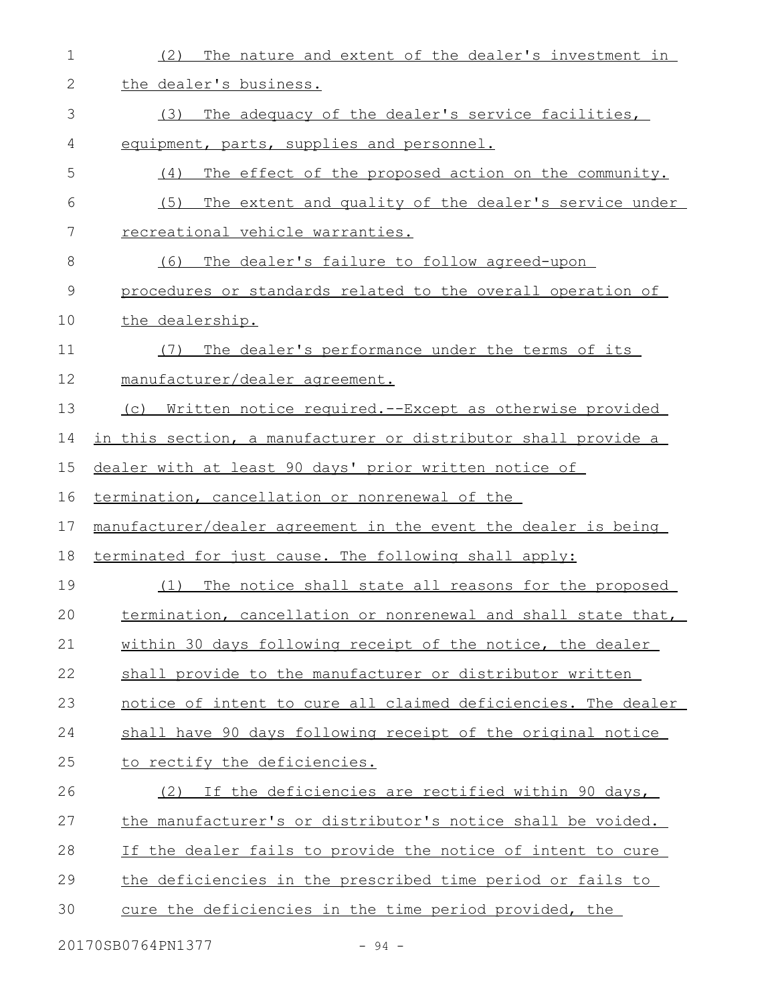| $\mathbf 1$  | The nature and extent of the dealer's investment in<br>(2)     |
|--------------|----------------------------------------------------------------|
| $\mathbf{2}$ | the dealer's business.                                         |
| 3            | The adequacy of the dealer's service facilities,<br>(3)        |
| 4            | equipment, parts, supplies and personnel.                      |
| 5            | (4)<br>The effect of the proposed action on the community.     |
| 6            | The extent and quality of the dealer's service under<br>(5)    |
| 7            | recreational vehicle warranties.                               |
| 8            | (6)<br>The dealer's failure to follow agreed-upon              |
| $\mathsf 9$  | procedures or standards related to the overall operation of    |
| 10           | the dealership.                                                |
| 11           | The dealer's performance under the terms of its<br>(7)         |
| 12           | manufacturer/dealer agreement.                                 |
| 13           | (c) Written notice required.--Except as otherwise provided     |
| 14           | in this section, a manufacturer or distributor shall provide a |
| 15           | dealer with at least 90 days' prior written notice of          |
| 16           | termination, cancellation or nonrenewal of the                 |
| 17           | manufacturer/dealer agreement in the event the dealer is being |
| 18           | terminated for just cause. The following shall apply:          |
| 19           | The notice shall state all reasons for the proposed<br>(1)     |
| 20           | termination, cancellation or nonrenewal and shall state that,  |
| 21           | within 30 days following receipt of the notice, the dealer     |
| 22           | shall provide to the manufacturer or distributor written       |
| 23           | notice of intent to cure all claimed deficiencies. The dealer  |
| 24           | shall have 90 days following receipt of the original notice    |
| 25           | to rectify the deficiencies.                                   |
| 26           | (2) If the deficiencies are rectified within 90 days,          |
| 27           | the manufacturer's or distributor's notice shall be voided.    |
| 28           | If the dealer fails to provide the notice of intent to cure    |
| 29           | the deficiencies in the prescribed time period or fails to     |
| 30           | cure the deficiencies in the time period provided, the         |
|              |                                                                |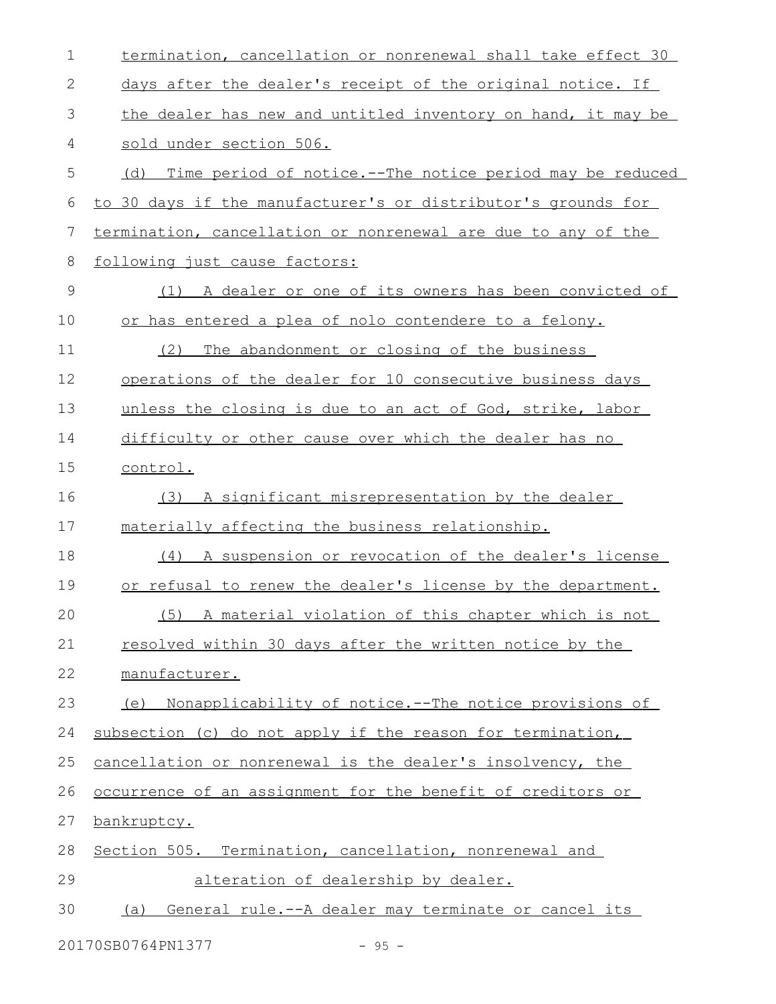| $\mathbf 1$ | termination, cancellation or nonrenewal shall take effect 30    |
|-------------|-----------------------------------------------------------------|
| 2           | days after the dealer's receipt of the original notice. If      |
| 3           | the dealer has new and untitled inventory on hand, it may be    |
| 4           | sold under section 506.                                         |
| 5           | Time period of notice.--The notice period may be reduced<br>(d) |
| 6           | to 30 days if the manufacturer's or distributor's grounds for   |
| 7           | termination, cancellation or nonrenewal are due to any of the   |
| 8           | following just cause factors:                                   |
| $\mathsf 9$ | (1) A dealer or one of its owners has been convicted of         |
| 10          | or has entered a plea of nolo contendere to a felony.           |
| 11          | (2)<br>The abandonment or closing of the business               |
| 12          | operations of the dealer for 10 consecutive business days       |
| 13          | unless the closing is due to an act of God, strike, labor       |
| 14          | difficulty or other cause over which the dealer has no          |
| 15          | control.                                                        |
| 16          | A significant misrepresentation by the dealer<br>(3)            |
| 17          | materially affecting the business relationship.                 |
| 18          | (4) A suspension or revocation of the dealer's license          |
| 19          | or refusal to renew the dealer's license by the department.     |
| 20          | (5) A material violation of this chapter which is not           |
| 21          | resolved within 30 days after the written notice by the         |
| 22          | manufacturer.                                                   |
| 23          | Nonapplicability of notice.--The notice provisions of<br>(e)    |
| 24          | subsection (c) do not apply if the reason for termination,      |
| 25          | cancellation or nonrenewal is the dealer's insolvency, the      |
| 26          | occurrence of an assignment for the benefit of creditors or     |
| 27          | bankruptcy.                                                     |
| 28          | Section 505. Termination, cancellation, nonrenewal and          |
| 29          | alteration of dealership by dealer.                             |
| 30          | General rule.--A dealer may terminate or cancel its<br>(a)      |
|             |                                                                 |

20170SB0764PN1377 - 95 -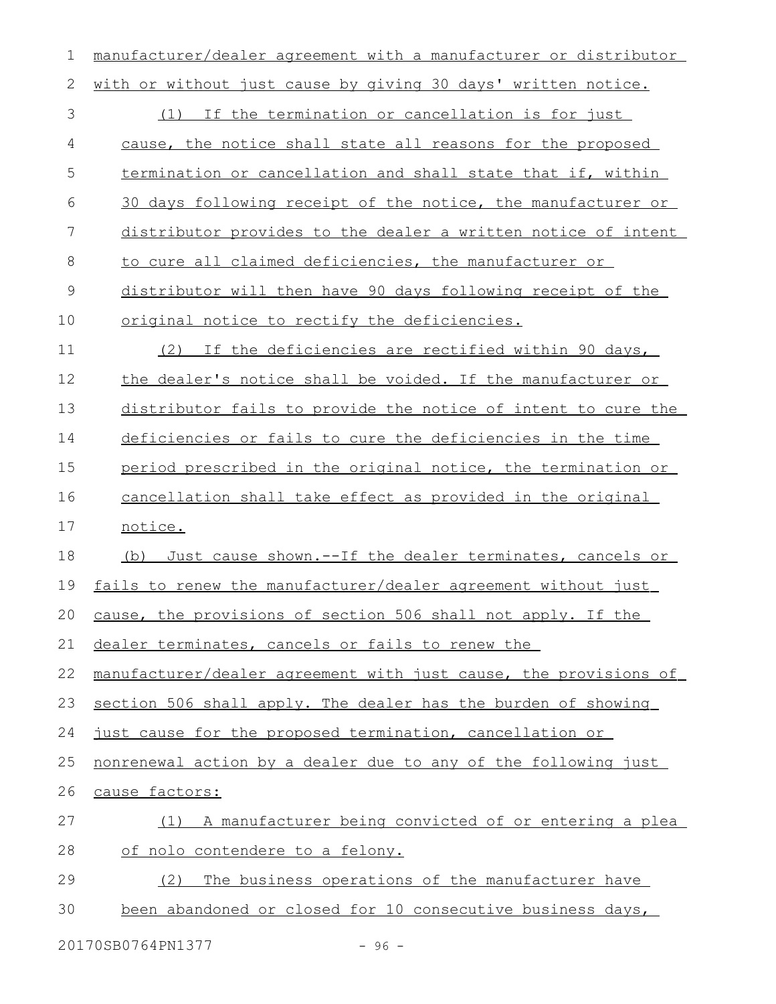manufacturer/dealer agreement with a manufacturer or distributor with or without just cause by giving 30 days' written notice. (1) If the termination or cancellation is for just cause, the notice shall state all reasons for the proposed termination or cancellation and shall state that if, within 30 days following receipt of the notice, the manufacturer or distributor provides to the dealer a written notice of intent to cure all claimed deficiencies, the manufacturer or distributor will then have 90 days following receipt of the original notice to rectify the deficiencies. (2) If the deficiencies are rectified within 90 days, the dealer's notice shall be voided. If the manufacturer or distributor fails to provide the notice of intent to cure the deficiencies or fails to cure the deficiencies in the time period prescribed in the original notice, the termination or cancellation shall take effect as provided in the original notice. (b) Just cause shown.--If the dealer terminates, cancels or fails to renew the manufacturer/dealer agreement without just cause, the provisions of section 506 shall not apply. If the dealer terminates, cancels or fails to renew the manufacturer/dealer agreement with just cause, the provisions of section 506 shall apply. The dealer has the burden of showing just cause for the proposed termination, cancellation or nonrenewal action by a dealer due to any of the following just cause factors: (1) A manufacturer being convicted of or entering a plea of nolo contendere to a felony. (2) The business operations of the manufacturer have been abandoned or closed for 10 consecutive business days, 1 2 3 4 5 6 7 8 9 10 11 12 13 14 15 16 17 18 19 20 21 22 23 24 25 26 27 28 29 30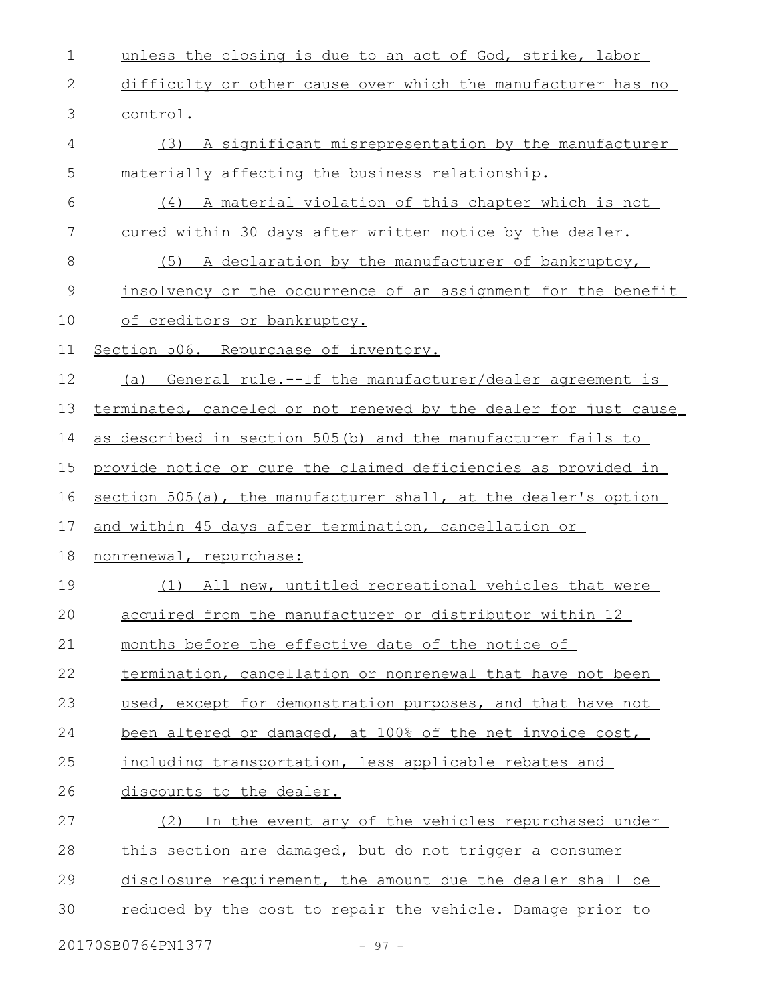unless the closing is due to an act of God, strike, labor difficulty or other cause over which the manufacturer has no control. (3) A significant misrepresentation by the manufacturer materially affecting the business relationship. (4) A material violation of this chapter which is not cured within 30 days after written notice by the dealer. (5) A declaration by the manufacturer of bankruptcy, insolvency or the occurrence of an assignment for the benefit of creditors or bankruptcy. Section 506. Repurchase of inventory. (a) General rule.--If the manufacturer/dealer agreement is terminated, canceled or not renewed by the dealer for just cause as described in section 505(b) and the manufacturer fails to provide notice or cure the claimed deficiencies as provided in section 505(a), the manufacturer shall, at the dealer's option and within 45 days after termination, cancellation or nonrenewal, repurchase: (1) All new, untitled recreational vehicles that were acquired from the manufacturer or distributor within 12 months before the effective date of the notice of termination, cancellation or nonrenewal that have not been used, except for demonstration purposes, and that have not been altered or damaged, at 100% of the net invoice cost, including transportation, less applicable rebates and discounts to the dealer. (2) In the event any of the vehicles repurchased under this section are damaged, but do not trigger a consumer disclosure requirement, the amount due the dealer shall be reduced by the cost to repair the vehicle. Damage prior to 1 2 3 4 5 6 7 8 9 10 11 12 13 14 15 16 17 18 19 20 21 22 23 24 25 26 27 28 29 30

20170SB0764PN1377 - 97 -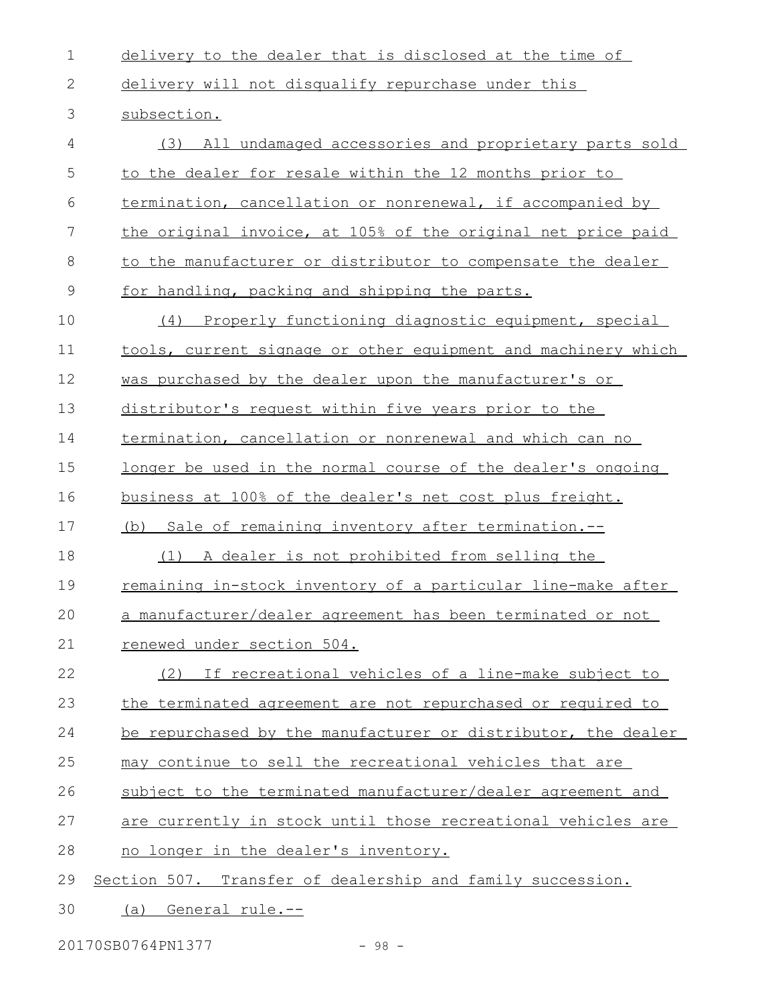| $\mathbf 1$  | delivery to the dealer that is disclosed at the time of            |
|--------------|--------------------------------------------------------------------|
| $\mathbf{2}$ | delivery will not disqualify repurchase under this                 |
| 3            | subsection.                                                        |
| 4            | All undamaged accessories and proprietary parts sold<br>(3)        |
| 5            | to the dealer for resale within the 12 months prior to             |
| 6            | termination, cancellation or nonrenewal, if accompanied by         |
| 7            | the original invoice, at 105% of the original net price paid       |
| 8            | to the manufacturer or distributor to compensate the dealer        |
| $\mathsf 9$  | for handling, packing and shipping the parts.                      |
| 10           | (4) Properly functioning diagnostic equipment, special             |
| 11           | tools, current signage or other equipment and machinery which      |
| 12           | was purchased by the dealer upon the manufacturer's or             |
| 13           | distributor's request within five years prior to the               |
| 14           | termination, cancellation or nonrenewal and which can no           |
| 15           | <u>longer be used in the normal course of the dealer's ongoing</u> |
| 16           | business at 100% of the dealer's net cost plus freight.            |
| 17           | (b) Sale of remaining inventory after termination.-                |
| 18           | (1) A dealer is not prohibited from selling the                    |
| 19           | remaining in-stock inventory of a particular line-make after       |
| 20           | a manufacturer/dealer agreement has been terminated or not         |
| 21           | renewed under section 504.                                         |
| 22           | (2) If recreational vehicles of a line-make subject to             |
| 23           | the terminated agreement are not repurchased or required to        |
| 24           | be repurchased by the manufacturer or distributor, the dealer      |
| 25           | may continue to sell the recreational vehicles that are            |
| 26           | subject to the terminated manufacturer/dealer agreement and        |
| 27           | are currently in stock until those recreational vehicles are       |
| 28           | no longer in the dealer's inventory.                               |
| 29           | Section 507. Transfer of dealership and family succession.         |
| 30           | (a) General rule.--                                                |

20170SB0764PN1377 - 98 -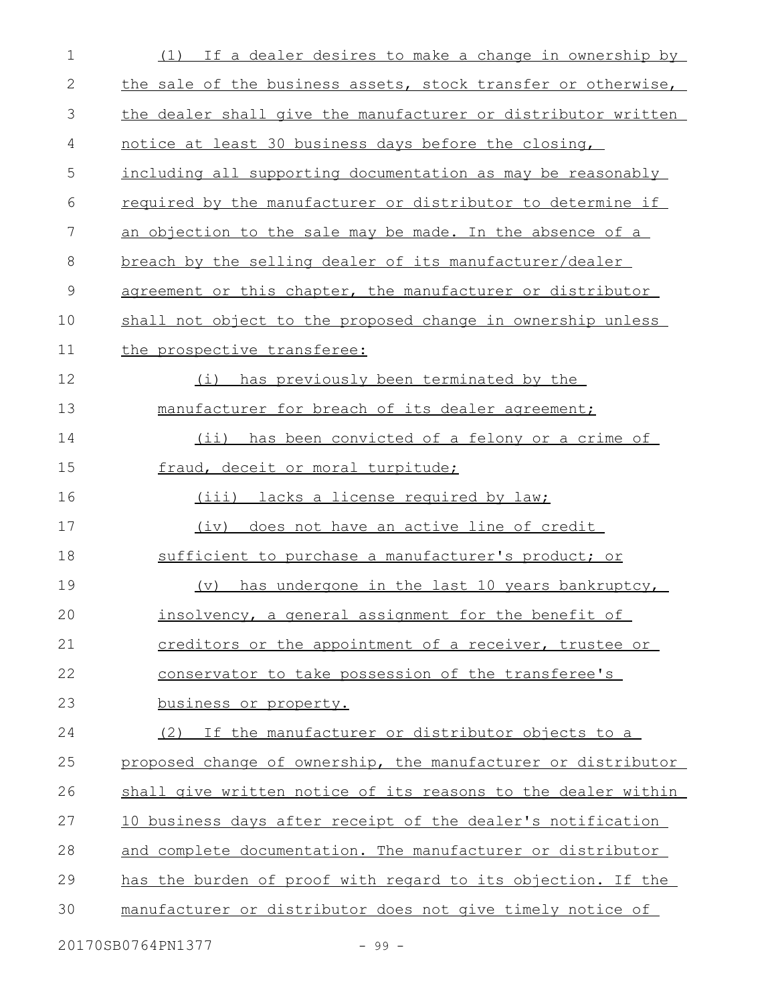| $\mathbf 1$  | (1) If a dealer desires to make a change in ownership by      |
|--------------|---------------------------------------------------------------|
| $\mathbf{2}$ | the sale of the business assets, stock transfer or otherwise, |
| 3            | the dealer shall give the manufacturer or distributor written |
| 4            | notice at least 30 business days before the closing,          |
| 5            | including all supporting documentation as may be reasonably   |
| 6            | required by the manufacturer or distributor to determine if   |
| 7            | an objection to the sale may be made. In the absence of a     |
| 8            | breach by the selling dealer of its manufacturer/dealer       |
| $\mathsf 9$  | agreement or this chapter, the manufacturer or distributor    |
| 10           | shall not object to the proposed change in ownership unless   |
| 11           | the prospective transferee:                                   |
| 12           | has previously been terminated by the<br>(i)                  |
| 13           | manufacturer for breach of its dealer agreement;              |
| 14           | has been convicted of a felony or a crime of<br>$(i$ i)       |
| 15           | fraud, deceit or moral turpitude;                             |
| 16           | (iii) lacks a license required by law;                        |
| 17           | (iv) does not have an active line of credit                   |
| 18           | sufficient to purchase a manufacturer's product; or           |
| 19           | has undergone in the last 10 years bankruptcy,<br>(v)         |
| 20           | insolvency, a general assignment for the benefit of           |
| 21           | creditors or the appointment of a receiver, trustee or        |
| 22           | conservator to take possession of the transferee's            |
| 23           | business or property.                                         |
| 24           | (2) If the manufacturer or distributor objects to a           |
| 25           | proposed change of ownership, the manufacturer or distributor |
| 26           | shall give written notice of its reasons to the dealer within |
| 27           | 10 business days after receipt of the dealer's notification   |
| 28           | and complete documentation. The manufacturer or distributor   |
| 29           | has the burden of proof with regard to its objection. If the  |
| 30           | manufacturer or distributor does not give timely notice of    |
|              |                                                               |

20170SB0764PN1377 - 99 -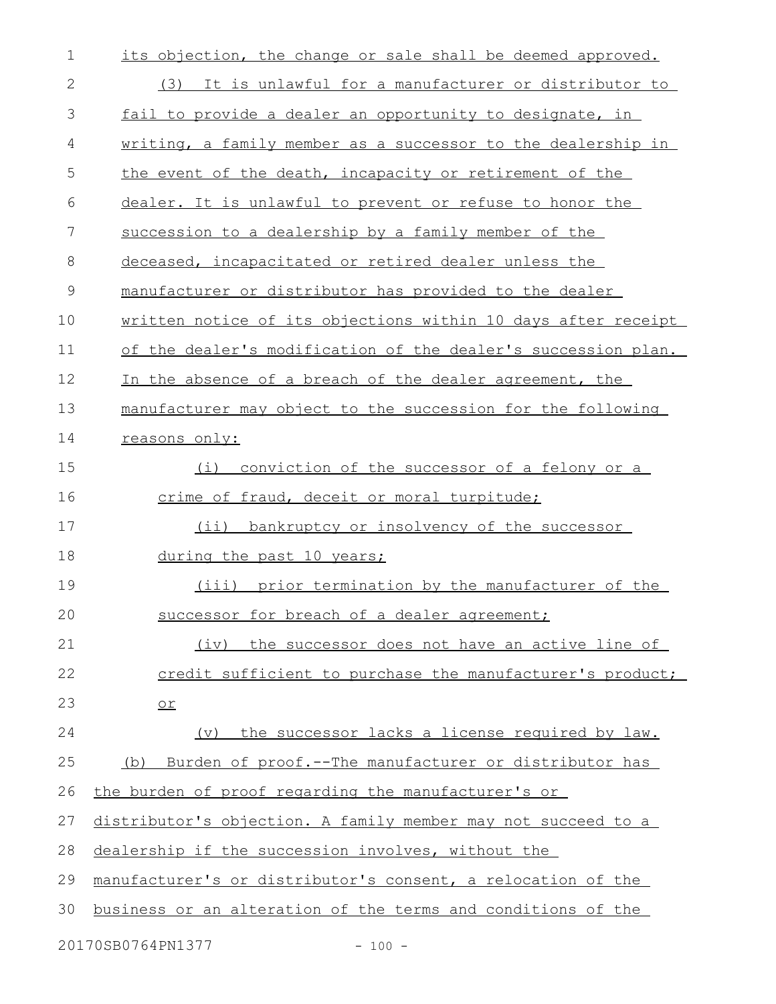| 1            | its objection, the change or sale shall be deemed approved.   |
|--------------|---------------------------------------------------------------|
| $\mathbf{2}$ | (3) It is unlawful for a manufacturer or distributor to       |
| 3            | fail to provide a dealer an opportunity to designate, in      |
| 4            | writing, a family member as a successor to the dealership in  |
| 5            | the event of the death, incapacity or retirement of the       |
| 6            | dealer. It is unlawful to prevent or refuse to honor the      |
| 7            | succession to a dealership by a family member of the          |
| 8            | deceased, incapacitated or retired dealer unless the          |
| 9            | manufacturer or distributor has provided to the dealer        |
| 10           | written notice of its objections within 10 days after receipt |
| 11           | of the dealer's modification of the dealer's succession plan. |
| 12           | In the absence of a breach of the dealer agreement, the       |
| 13           | manufacturer may object to the succession for the following   |
| 14           | reasons only:                                                 |
| 15           | conviction of the successor of a felony or a<br>(i)           |
| 16           | crime of fraud, deceit or moral turpitude;                    |
| 17           | (ii) bankruptcy or insolvency of the successor                |
| 18           | during the past 10 years;                                     |
| 19           | (iii) prior termination by the manufacturer of the            |
| 20           | successor for breach of a dealer agreement;                   |
| 21           | the successor does not have an active line of<br>(iv)         |
| 22           | credit sufficient to purchase the manufacturer's product;     |
| 23           | $or$                                                          |
| 24           | (v) the successor lacks a license required by law.            |
| 25           | Burden of proof.--The manufacturer or distributor has<br>(b)  |
| 26           | the burden of proof regarding the manufacturer's or           |
| 27           | distributor's objection. A family member may not succeed to a |
| 28           | dealership if the succession involves, without the            |
| 29           | manufacturer's or distributor's consent, a relocation of the  |
| 30           | business or an alteration of the terms and conditions of the  |
|              | 20170SB0764PN1377<br>$-100 -$                                 |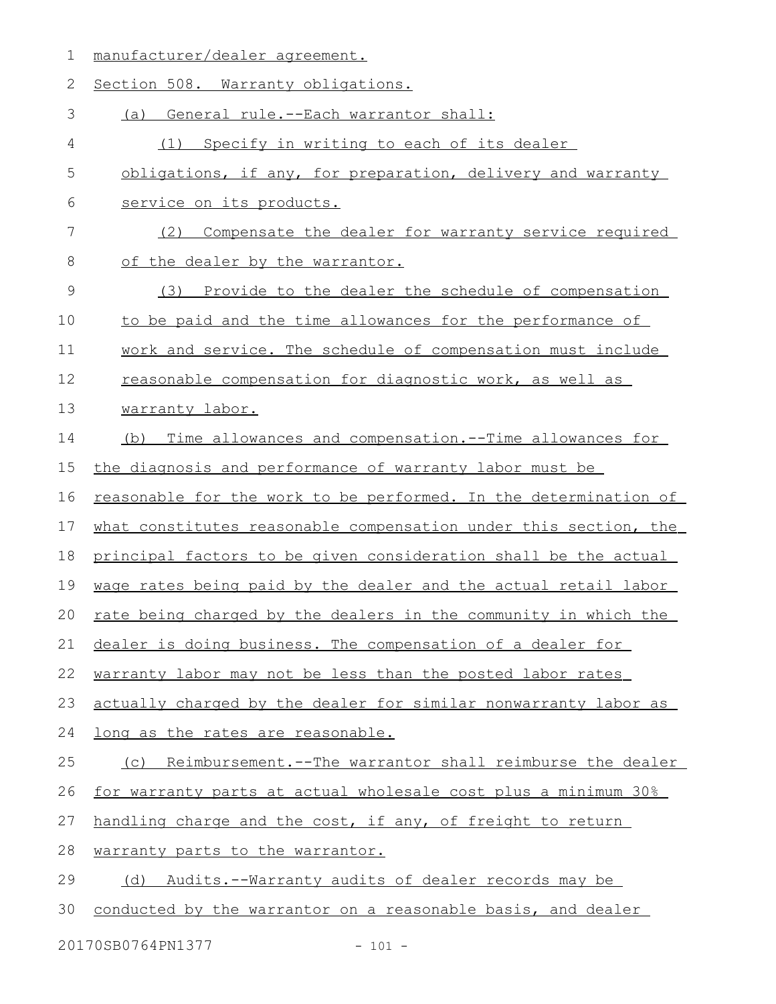1 manufacturer/dealer agreement.

| 2           | Section 508. Warranty obligations.                               |
|-------------|------------------------------------------------------------------|
| 3           | (a) General rule.--Each warrantor shall:                         |
| 4           | (1) Specify in writing to each of its dealer                     |
| 5           | obligations, if any, for preparation, delivery and warranty      |
| 6           | service on its products.                                         |
| 7           | Compensate the dealer for warranty service required<br>(2)       |
| 8           | of the dealer by the warrantor.                                  |
| $\mathsf 9$ | (3) Provide to the dealer the schedule of compensation           |
| 10          | to be paid and the time allowances for the performance of        |
| 11          | work and service. The schedule of compensation must include      |
| 12          | reasonable compensation for diagnostic work, as well as          |
| 13          | warranty labor.                                                  |
| 14          | (b) Time allowances and compensation.--Time allowances for       |
| 15          | the diagnosis and performance of warranty labor must be          |
| 16          | reasonable for the work to be performed. In the determination of |
| 17          | what constitutes reasonable compensation under this section, the |
| 18          | principal factors to be given consideration shall be the actual  |
| 19          | wage rates being paid by the dealer and the actual retail labor  |
| 20          | rate being charged by the dealers in the community in which the  |
|             | 21 dealer is doing business. The compensation of a dealer for    |
| 22          | warranty labor may not be less than the posted labor rates       |
| 23          | actually charged by the dealer for similar nonwarranty labor as  |
| 24          | long as the rates are reasonable.                                |
| 25          | (c) Reimbursement.--The warrantor shall reimburse the dealer     |
| 26          | for warranty parts at actual wholesale cost plus a minimum 30%   |
| 27          | handling charge and the cost, if any, of freight to return       |
| 28          | warranty parts to the warrantor.                                 |
| 29          | (d) Audits.--Warranty audits of dealer records may be            |
| 30          | conducted by the warrantor on a reasonable basis, and dealer     |
|             | 20170SB0764PN1377<br>$-101 -$                                    |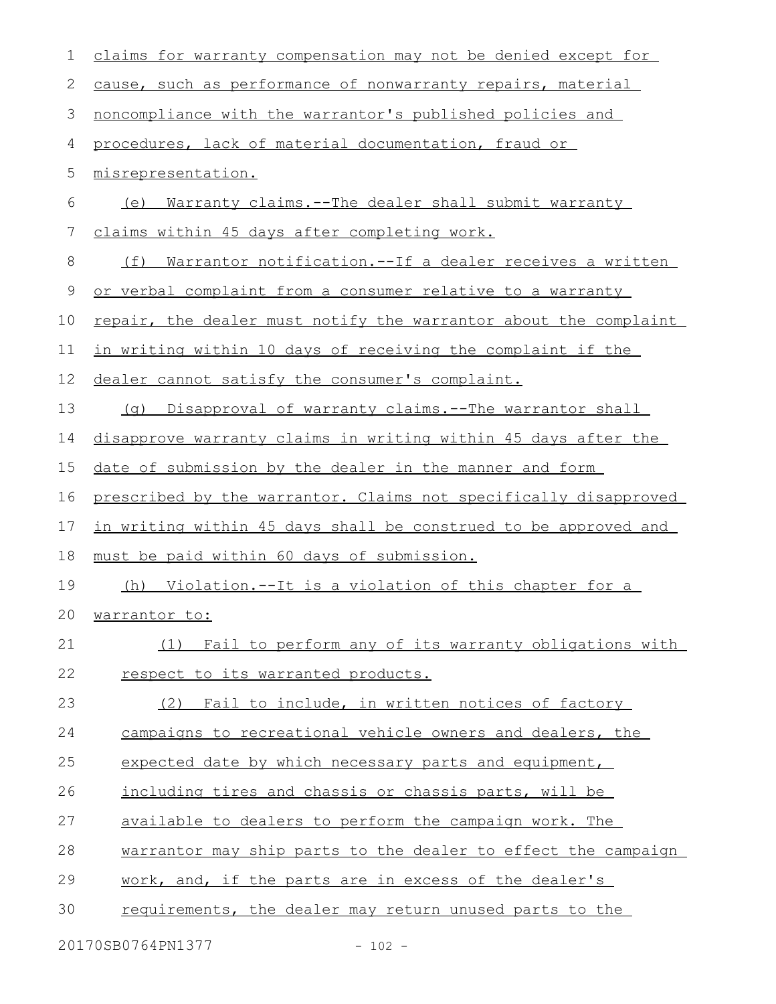| $\mathbf 1$   | claims for warranty compensation may not be denied except for          |
|---------------|------------------------------------------------------------------------|
| 2             | cause, such as performance of nonwarranty repairs, material            |
| $\mathcal{S}$ | noncompliance with the warrantor's published policies and              |
| 4             | procedures, lack of material documentation, fraud or                   |
| 5             | misrepresentation.                                                     |
| 6             | <u>Warranty claims.--The dealer shall submit warranty</u><br>(e)       |
| 7             | claims within 45 days after completing work.                           |
| $8\,$         | <u> Warrantor notification.--If a dealer receives a written</u><br>(f) |
| 9             | or verbal complaint from a consumer relative to a warranty             |
| 10            | repair, the dealer must notify the warrantor about the complaint       |
| 11            | in writing within 10 days of receiving the complaint if the            |
| 12            | dealer cannot satisfy the consumer's complaint.                        |
| 13            | (q) Disapproval of warranty claims.--The warrantor shall               |
| 14            | disapprove warranty claims in writing within 45 days after the         |
| 15            | date of submission by the dealer in the manner and form                |
| 16            | prescribed by the warrantor. Claims not specifically disapproved       |
| 17            | in writing within 45 days shall be construed to be approved and        |
| 18            | must be paid within 60 days of submission.                             |
| 19            | (h) Violation.--It is a violation of this chapter for a                |
| 20            | <u>warrantor to:</u>                                                   |
| 21            | (1) Fail to perform any of its warranty obligations with               |
| 22            | respect to its warranted products.                                     |
| 23            | Fail to include, in written notices of factory<br>(2)                  |
| 24            | campaigns to recreational vehicle owners and dealers, the              |
| 25            | expected date by which necessary parts and equipment,                  |
| 26            | including tires and chassis or chassis parts, will be                  |
| 27            | available to dealers to perform the campaign work. The                 |
| 28            | warrantor may ship parts to the dealer to effect the campaign          |
| 29            | work, and, if the parts are in excess of the dealer's                  |
| 30            | requirements, the dealer may return unused parts to the                |
|               |                                                                        |

20170SB0764PN1377 - 102 -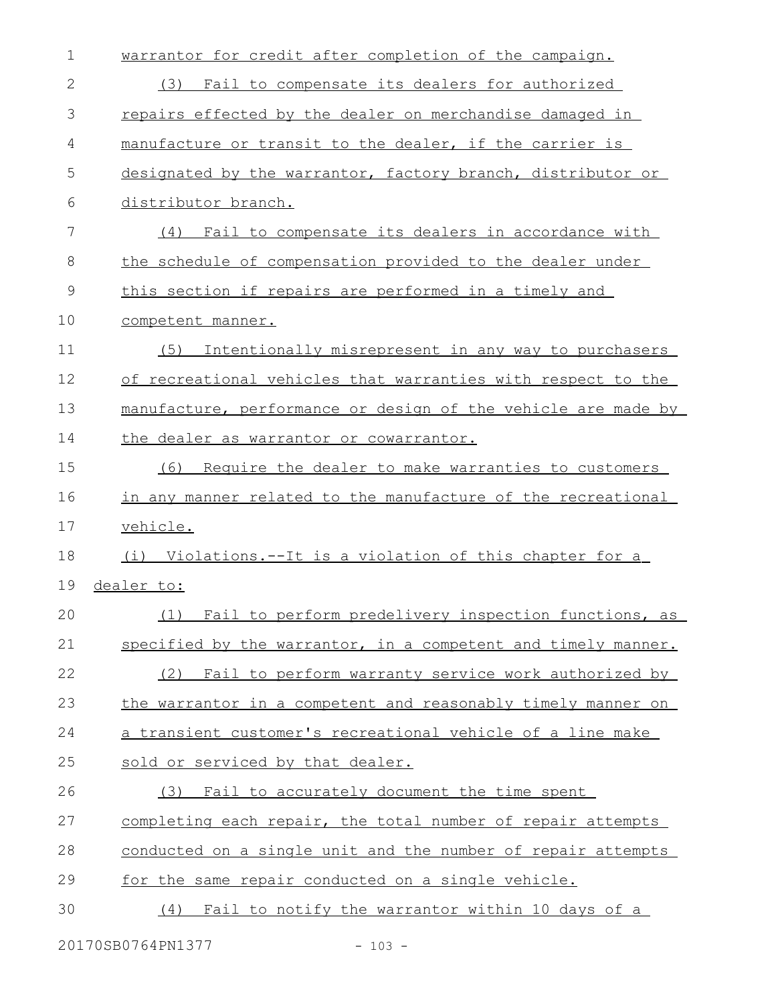| $\mathbf 1$   | warrantor for credit after completion of the campaign.        |
|---------------|---------------------------------------------------------------|
| 2             | Fail to compensate its dealers for authorized<br>(3)          |
| 3             | repairs effected by the dealer on merchandise damaged in      |
| 4             | manufacture or transit to the dealer, if the carrier is       |
| 5             | designated by the warrantor, factory branch, distributor or   |
| 6             | distributor branch.                                           |
| 7             | Fail to compensate its dealers in accordance with<br>(4)      |
| 8             | the schedule of compensation provided to the dealer under     |
| $\mathcal{G}$ | this section if repairs are performed in a timely and         |
| 10            | competent manner.                                             |
| 11            | Intentionally misrepresent in any way to purchasers<br>(5)    |
| 12            | of recreational vehicles that warranties with respect to the  |
| 13            | manufacture, performance or design of the vehicle are made by |
| 14            | the dealer as warrantor or cowarrantor.                       |
| 15            | Require the dealer to make warranties to customers<br>(6)     |
| 16            | in any manner related to the manufacture of the recreational  |
| 17            | vehicle.                                                      |
| 18            | (i) Violations.--It is a violation of this chapter for a      |
| 19            | dealer to:                                                    |
| 20            | (1) Fail to perform predelivery inspection functions, as      |
| 21            | specified by the warrantor, in a competent and timely manner. |
| 22            | Fail to perform warranty service work authorized by<br>(2)    |
| 23            | the warrantor in a competent and reasonably timely manner on  |
| 24            | a transient customer's recreational vehicle of a line make    |
| 25            | sold or serviced by that dealer.                              |
| 26            | Fail to accurately document the time spent<br>(3)             |
| 27            | completing each repair, the total number of repair attempts   |
| 28            | conducted on a single unit and the number of repair attempts  |
| 29            | for the same repair conducted on a single vehicle.            |
| 30            | Fail to notify the warrantor within 10 days of a<br>(4)       |
|               |                                                               |

20170SB0764PN1377 - 103 -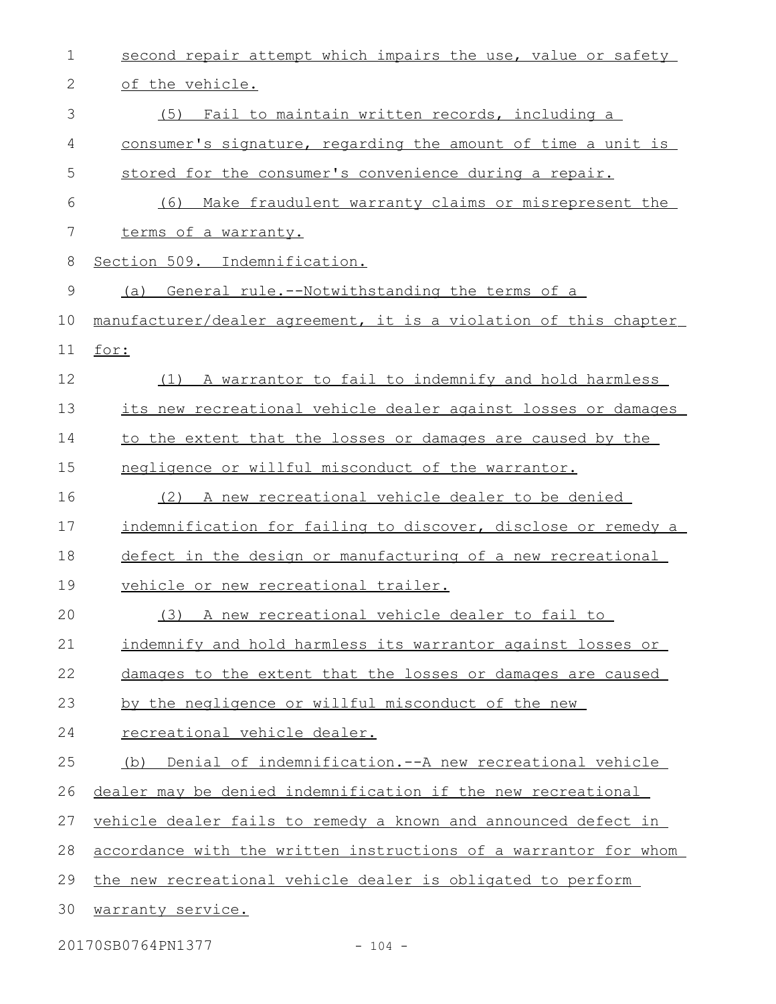| $\mathbf 1$ | second repair attempt which impairs the use, value or safety     |
|-------------|------------------------------------------------------------------|
| 2           | of the vehicle.                                                  |
| 3           | (5) Fail to maintain written records, including a                |
| 4           | consumer's signature, regarding the amount of time a unit is     |
| 5           | stored for the consumer's convenience during a repair.           |
| 6           | (6)<br>Make fraudulent warranty claims or misrepresent the       |
| 7           | terms of a warranty.                                             |
| 8           | Section 509. Indemnification.                                    |
| 9           | (a) General rule.--Notwithstanding the terms of a                |
| 10          | manufacturer/dealer agreement, it is a violation of this chapter |
| 11          | for:                                                             |
| 12          | (1) A warrantor to fail to indemnify and hold harmless           |
| 13          | its new recreational vehicle dealer against losses or damages    |
| 14          | to the extent that the losses or damages are caused by the       |
| 15          | negligence or willful misconduct of the warrantor.               |
| 16          | (2) A new recreational vehicle dealer to be denied               |
| 17          | indemnification for failing to discover, disclose or remedy a    |
| 18          | defect in the design or manufacturing of a new recreational      |
| 19          | vehicle or new recreational trailer.                             |
| 20          | (3) A new recreational vehicle dealer to fail to                 |
| 21          | indemnify and hold harmless its warrantor against losses or      |
| 22          | damages to the extent that the losses or damages are caused      |
| 23          | by the negligence or willful misconduct of the new               |
| 24          | recreational vehicle dealer.                                     |
| 25          | Denial of indemnification.--A new recreational vehicle<br>(b)    |
| 26          | dealer may be denied indemnification if the new recreational     |
| 27          | vehicle dealer fails to remedy a known and announced defect in   |
| 28          | accordance with the written instructions of a warrantor for whom |
| 29          | the new recreational vehicle dealer is obligated to perform      |
| 30          | warranty service.                                                |
|             |                                                                  |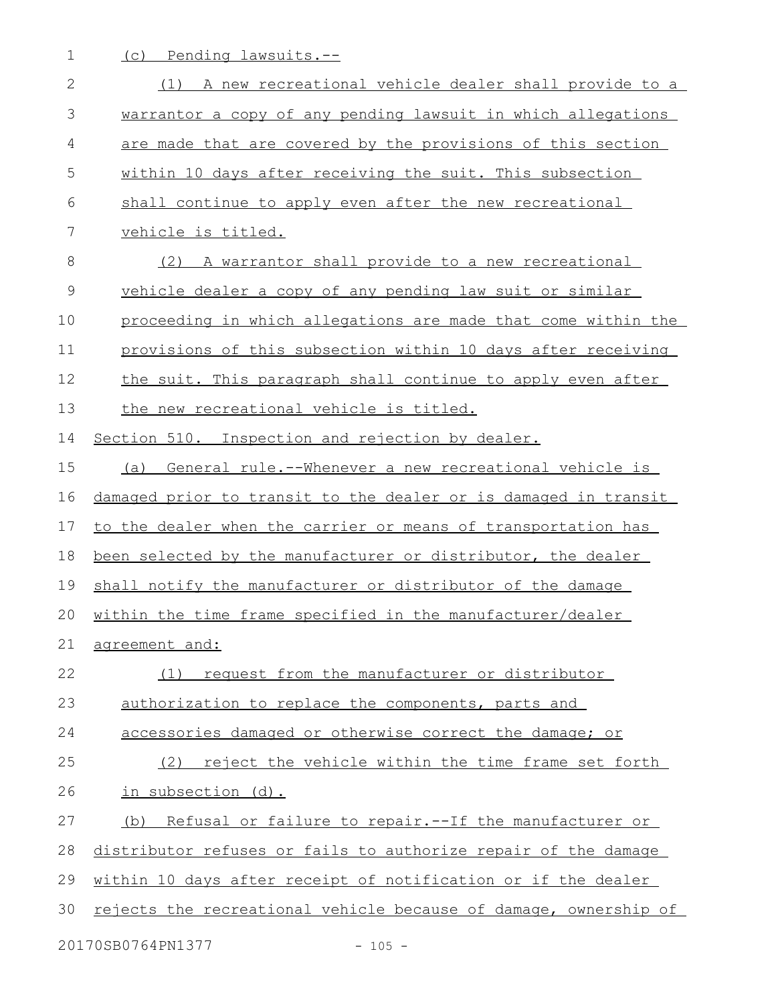1 (c) Pending lawsuits.--

| $\mathbf{2}$ | (1) A new recreational vehicle dealer shall provide to a         |
|--------------|------------------------------------------------------------------|
| 3            | warrantor a copy of any pending lawsuit in which allegations     |
| 4            | are made that are covered by the provisions of this section      |
| 5            | within 10 days after receiving the suit. This subsection         |
| 6            | shall continue to apply even after the new recreational          |
| 7            | vehicle is titled.                                               |
| $\,8\,$      | (2) A warrantor shall provide to a new recreational              |
| $\mathsf 9$  | vehicle dealer a copy of any pending law suit or similar         |
| 10           | proceeding in which allegations are made that come within the    |
| 11           | provisions of this subsection within 10 days after receiving     |
| 12           | the suit. This paragraph shall continue to apply even after      |
| 13           | the new recreational vehicle is titled.                          |
| 14           | Section 510. Inspection and rejection by dealer.                 |
| 15           | General rule.--Whenever a new recreational vehicle is<br>(a)     |
| 16           | damaged prior to transit to the dealer or is damaged in transit  |
| 17           | to the dealer when the carrier or means of transportation has    |
| 18           | been selected by the manufacturer or distributor, the dealer     |
| 19           | shall notify the manufacturer or distributor of the damage       |
| 20           | within the time frame specified in the manufacturer/dealer       |
| 21           | agreement and:                                                   |
| 22           | request from the manufacturer or distributor<br>(1)              |
| 23           | authorization to replace the components, parts and               |
| 24           | accessories damaged or otherwise correct the damage; or          |
| 25           | reject the vehicle within the time frame set forth<br>(2)        |
| 26           | in subsection (d).                                               |
| 27           | (b) Refusal or failure to repair.--If the manufacturer or        |
| 28           | distributor refuses or fails to authorize repair of the damage   |
| 29           | within 10 days after receipt of notification or if the dealer    |
| 30           | rejects the recreational vehicle because of damage, ownership of |
|              | 20170SB0764PN1377<br>$-105 -$                                    |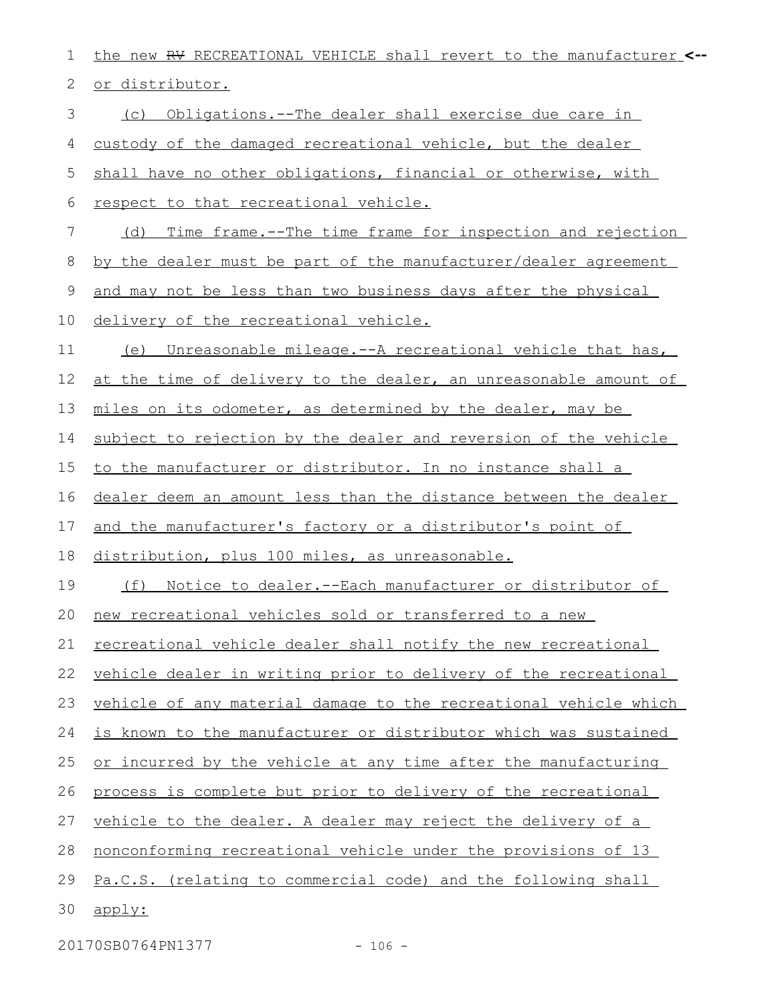| 1  | the new RV RECREATIONAL VEHICLE shall revert to the manufacturer <-- |
|----|----------------------------------------------------------------------|
| 2  | or distributor.                                                      |
| 3  | Obligations.--The dealer shall exercise due care in<br>(C)           |
| 4  | custody of the damaged recreational vehicle, but the dealer          |
| 5  | shall have no other obligations, financial or otherwise, with        |
| 6  | respect to that recreational vehicle.                                |
| 7  | Time frame.--The time frame for inspection and rejection<br>(d)      |
| 8  | by the dealer must be part of the manufacturer/dealer agreement      |
| 9  | and may not be less than two business days after the physical        |
| 10 | delivery of the recreational vehicle.                                |
| 11 | Unreasonable mileage.--A recreational vehicle that has,<br>(e)       |
| 12 | at the time of delivery to the dealer, an unreasonable amount of     |
| 13 | miles on its odometer, as determined by the dealer, may be           |
| 14 | subject to rejection by the dealer and reversion of the vehicle      |
| 15 | to the manufacturer or distributor. In no instance shall a           |
| 16 | dealer deem an amount less than the distance between the dealer      |
| 17 | and the manufacturer's factory or a distributor's point of           |
| 18 | distribution, plus 100 miles, as unreasonable.                       |
| 19 | (f) Notice to dealer.--Each manufacturer or distributor of           |
| 20 | new recreational vehicles sold or transferred to a new               |
| 21 | recreational vehicle dealer shall notify the new recreational        |
| 22 | vehicle dealer in writing prior to delivery of the recreational      |
| 23 | vehicle of any material damage to the recreational vehicle which     |
| 24 | is known to the manufacturer or distributor which was sustained      |
| 25 | or incurred by the vehicle at any time after the manufacturing       |
| 26 | process is complete but prior to delivery of the recreational        |
| 27 | vehicle to the dealer. A dealer may reject the delivery of a         |
| 28 | <u>nonconforming recreational vehicle under the provisions of 13</u> |
| 29 | Pa.C.S. (relating to commercial code) and the following shall        |
| 30 | apply:                                                               |

20170SB0764PN1377 - 106 -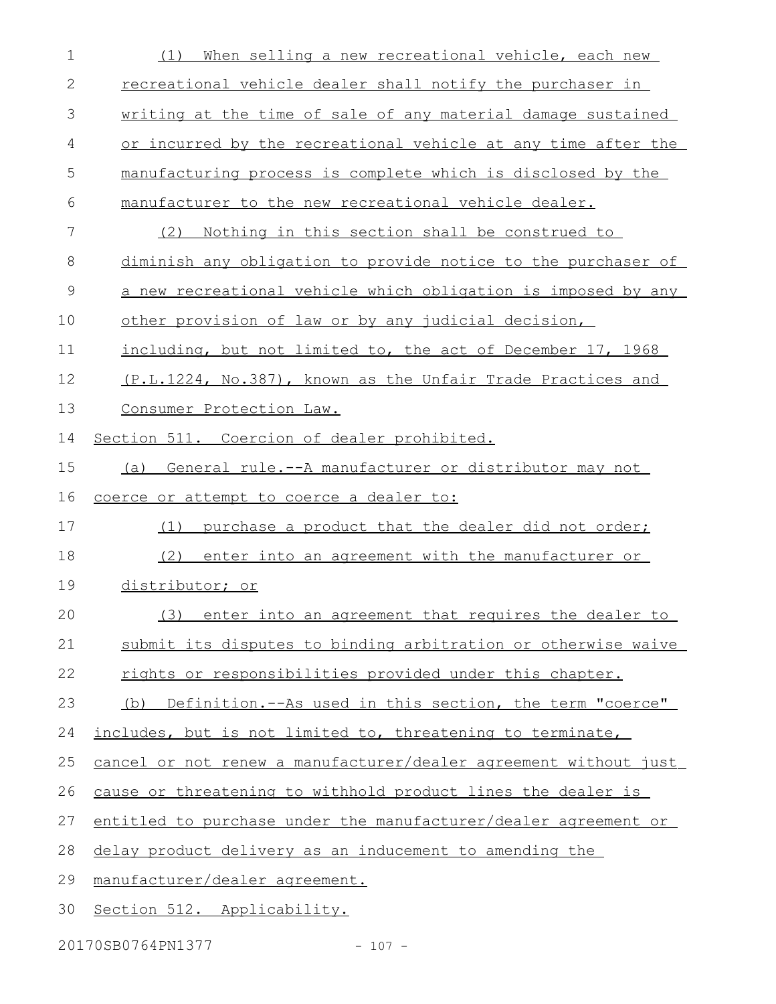| $\mathbf 1$ | When selling a new recreational vehicle, each new<br>(1)         |
|-------------|------------------------------------------------------------------|
| 2           | recreational vehicle dealer shall notify the purchaser in        |
| 3           | writing at the time of sale of any material damage sustained     |
| 4           | or incurred by the recreational vehicle at any time after the    |
| 5           | manufacturing process is complete which is disclosed by the      |
| 6           | manufacturer to the new recreational vehicle dealer.             |
| 7           | Nothing in this section shall be construed to<br>(2)             |
| 8           | diminish any obligation to provide notice to the purchaser of    |
| 9           | a new recreational vehicle which obligation is imposed by any    |
| 10          | other provision of law or by any judicial decision,              |
| 11          | including, but not limited to, the act of December 17, 1968      |
| 12          | (P.L.1224, No.387), known as the Unfair Trade Practices and      |
| 13          | Consumer Protection Law.                                         |
| 14          | Section 511. Coercion of dealer prohibited.                      |
| 15          | General rule.--A manufacturer or distributor may not<br>(a)      |
|             |                                                                  |
| 16          | coerce or attempt to coerce a dealer to:                         |
| 17          | purchase a product that the dealer did not order;<br>(1)         |
| 18          | (2)<br>enter into an agreement with the manufacturer or          |
| 19          | distributor; or                                                  |
| 20          | (3) enter into an agreement that requires the dealer to          |
| 21          | submit its disputes to binding arbitration or otherwise waive    |
| 22          | rights or responsibilities provided under this chapter.          |
| 23          | (b) Definition.--As used in this section, the term "coerce"      |
| 24          | includes, but is not limited to, threatening to terminate,       |
| 25          | cancel or not renew a manufacturer/dealer agreement without just |
| 26          | cause or threatening to withhold product lines the dealer is     |
| 27          | entitled to purchase under the manufacturer/dealer agreement or  |
| 28          | delay product delivery as an inducement to amending the          |
| 29          | manufacturer/dealer agreement.                                   |

20170SB0764PN1377 - 107 -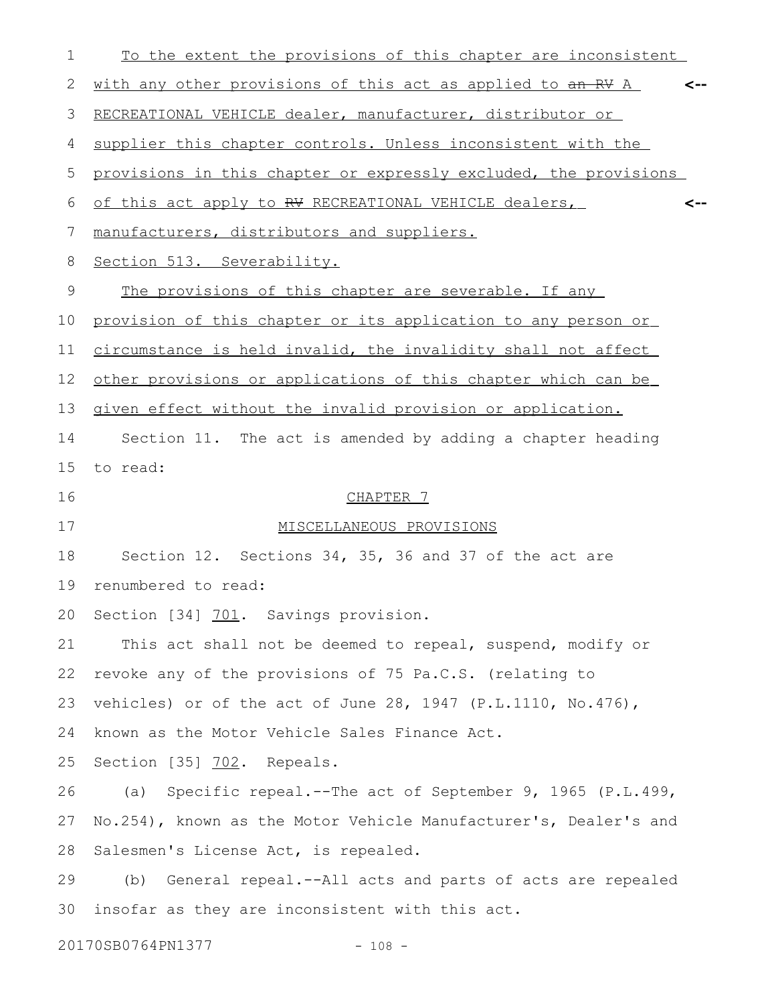| 1  | To the extent the provisions of this chapter are inconsistent      |  |
|----|--------------------------------------------------------------------|--|
| 2  | with any other provisions of this act as applied to an RV A<br><-- |  |
| 3  | RECREATIONAL VEHICLE dealer, manufacturer, distributor or          |  |
| 4  | supplier this chapter controls. Unless inconsistent with the       |  |
| 5  | provisions in this chapter or expressly excluded, the provisions   |  |
| 6  | of this act apply to RV RECREATIONAL VEHICLE dealers,<br><--       |  |
| 7  | manufacturers, distributors and suppliers.                         |  |
| 8  | Section 513. Severability.                                         |  |
| 9  | The provisions of this chapter are severable. If any               |  |
| 10 | provision of this chapter or its application to any person or      |  |
| 11 | circumstance is held invalid, the invalidity shall not affect      |  |
| 12 | other provisions or applications of this chapter which can be      |  |
| 13 | given effect without the invalid provision or application.         |  |
| 14 | Section 11. The act is amended by adding a chapter heading         |  |
| 15 | to read:                                                           |  |
| 16 | CHAPTER 7                                                          |  |
| 17 | MISCELLANEOUS PROVISIONS                                           |  |
| 18 | Section 12. Sections 34, 35, 36 and 37 of the act are              |  |
| 19 | renumbered to read:                                                |  |
|    | 20 Section [34] 701. Savings provision.                            |  |
| 21 | This act shall not be deemed to repeal, suspend, modify or         |  |
| 22 | revoke any of the provisions of 75 Pa.C.S. (relating to            |  |
| 23 | vehicles) or of the act of June 28, 1947 (P.L.1110, No.476),       |  |
| 24 | known as the Motor Vehicle Sales Finance Act.                      |  |
| 25 | Section [35] 702. Repeals.                                         |  |
| 26 | (a) Specific repeal.--The act of September 9, 1965 (P.L.499,       |  |
| 27 | No.254), known as the Motor Vehicle Manufacturer's, Dealer's and   |  |
| 28 | Salesmen's License Act, is repealed.                               |  |
| 29 | (b) General repeal.--All acts and parts of acts are repealed       |  |
| 30 | insofar as they are inconsistent with this act.                    |  |
|    |                                                                    |  |

20170SB0764PN1377 - 108 -